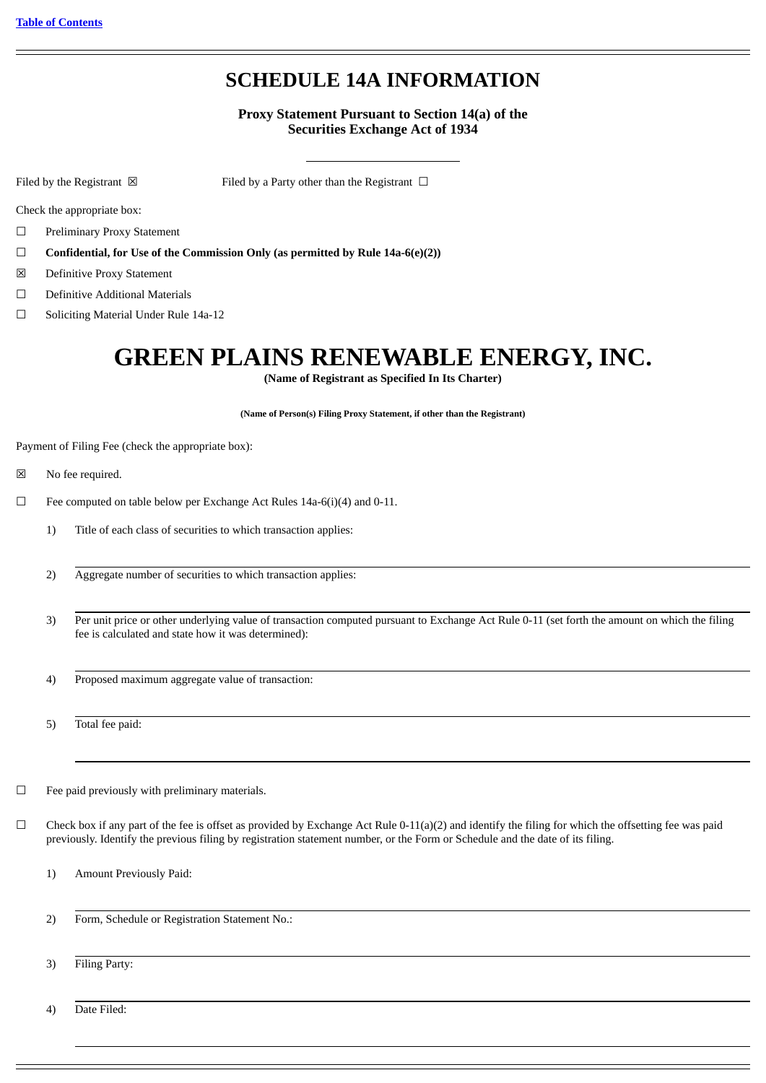# **SCHEDULE 14A INFORMATION**

# **Proxy Statement Pursuant to Section 14(a) of the Securities Exchange Act of 1934**

Filed by the Registrant  $\boxtimes$  Filed by a Party other than the Registrant  $\Box$ 

Check the appropriate box:

☐ Preliminary Proxy Statement

- ☐ **Confidential, for Use of the Commission Only (as permitted by Rule 14a-6(e)(2))**
- ☒ Definitive Proxy Statement
- ☐ Definitive Additional Materials
- ☐ Soliciting Material Under Rule 14a-12

# **GREEN PLAINS RENEWABLE ENERGY, INC.**

**(Name of Registrant as Specified In Its Charter)**

**(Name of Person(s) Filing Proxy Statement, if other than the Registrant)**

Payment of Filing Fee (check the appropriate box):

- ☒ No fee required.
- ☐ Fee computed on table below per Exchange Act Rules 14a-6(i)(4) and 0-11.
	- 1) Title of each class of securities to which transaction applies:
	- 2) Aggregate number of securities to which transaction applies:
	- 3) Per unit price or other underlying value of transaction computed pursuant to Exchange Act Rule 0-11 (set forth the amount on which the filing fee is calculated and state how it was determined):
	- 4) Proposed maximum aggregate value of transaction:
	- 5) Total fee paid:
- ☐ Fee paid previously with preliminary materials.
- $\Box$  Check box if any part of the fee is offset as provided by Exchange Act Rule 0-11(a)(2) and identify the filing for which the offsetting fee was paid previously. Identify the previous filing by registration statement number, or the Form or Schedule and the date of its filing.
	- 1) Amount Previously Paid:
	- 2) Form, Schedule or Registration Statement No.:
	- 3) Filing Party:

4) Date Filed: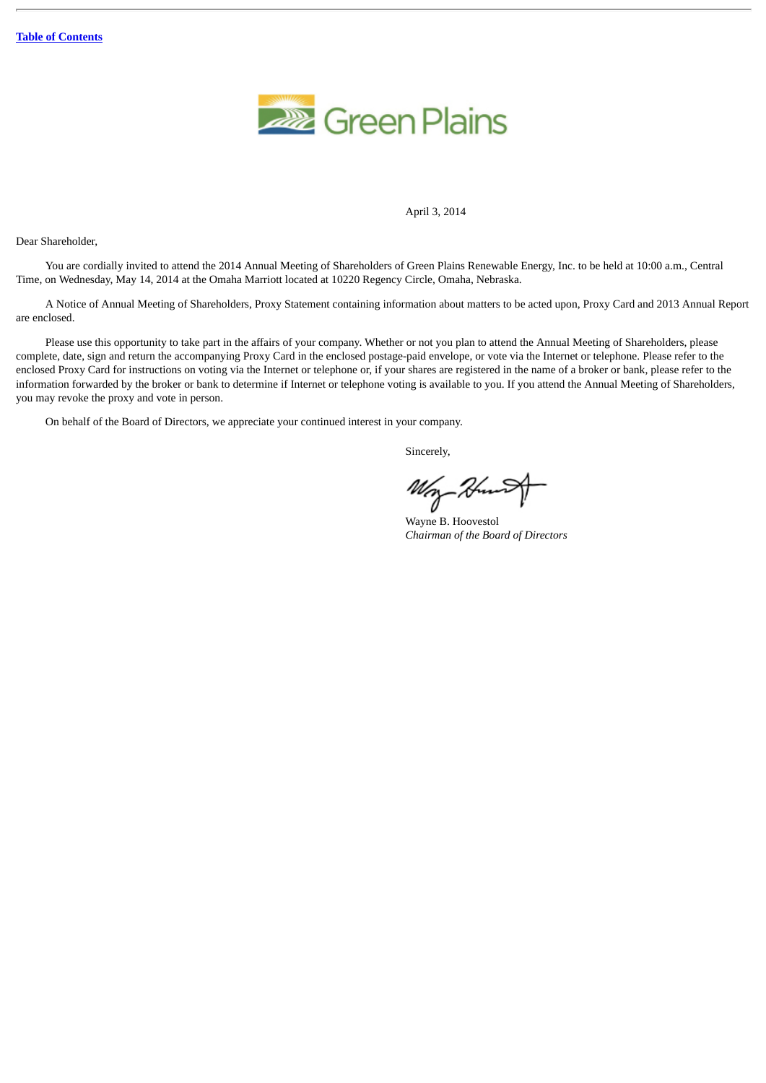

#### April 3, 2014

Dear Shareholder,

You are cordially invited to attend the 2014 Annual Meeting of Shareholders of Green Plains Renewable Energy, Inc. to be held at 10:00 a.m., Central Time, on Wednesday, May 14, 2014 at the Omaha Marriott located at 10220 Regency Circle, Omaha, Nebraska.

A Notice of Annual Meeting of Shareholders, Proxy Statement containing information about matters to be acted upon, Proxy Card and 2013 Annual Report are enclosed.

Please use this opportunity to take part in the affairs of your company. Whether or not you plan to attend the Annual Meeting of Shareholders, please complete, date, sign and return the accompanying Proxy Card in the enclosed postage-paid envelope, or vote via the Internet or telephone. Please refer to the enclosed Proxy Card for instructions on voting via the Internet or telephone or, if your shares are registered in the name of a broker or bank, please refer to the information forwarded by the broker or bank to determine if Internet or telephone voting is available to you. If you attend the Annual Meeting of Shareholders, you may revoke the proxy and vote in person.

On behalf of the Board of Directors, we appreciate your continued interest in your company.

Sincerely,

Wry

Wayne B. Hoovestol *Chairman of the Board of Directors*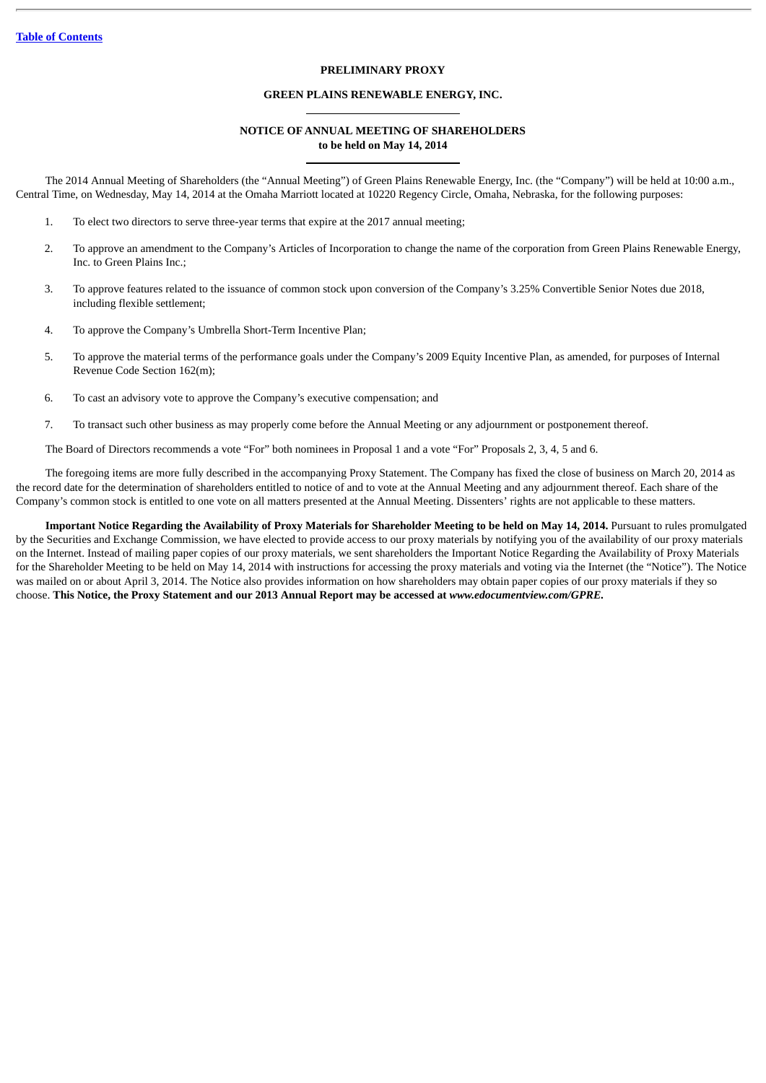# **PRELIMINARY PROXY**

# **GREEN PLAINS RENEWABLE ENERGY, INC.**

#### **NOTICE OF ANNUAL MEETING OF SHAREHOLDERS to be held on May 14, 2014**

The 2014 Annual Meeting of Shareholders (the "Annual Meeting") of Green Plains Renewable Energy, Inc. (the "Company") will be held at 10:00 a.m., Central Time, on Wednesday, May 14, 2014 at the Omaha Marriott located at 10220 Regency Circle, Omaha, Nebraska, for the following purposes:

- 1. To elect two directors to serve three-year terms that expire at the 2017 annual meeting;
- 2. To approve an amendment to the Company's Articles of Incorporation to change the name of the corporation from Green Plains Renewable Energy, Inc. to Green Plains Inc.;
- 3. To approve features related to the issuance of common stock upon conversion of the Company's 3.25% Convertible Senior Notes due 2018, including flexible settlement;
- 4. To approve the Company's Umbrella Short-Term Incentive Plan;
- 5. To approve the material terms of the performance goals under the Company's 2009 Equity Incentive Plan, as amended, for purposes of Internal Revenue Code Section 162(m);
- 6. To cast an advisory vote to approve the Company's executive compensation; and
- 7. To transact such other business as may properly come before the Annual Meeting or any adjournment or postponement thereof.

The Board of Directors recommends a vote "For" both nominees in Proposal 1 and a vote "For" Proposals 2, 3, 4, 5 and 6.

The foregoing items are more fully described in the accompanying Proxy Statement. The Company has fixed the close of business on March 20, 2014 as the record date for the determination of shareholders entitled to notice of and to vote at the Annual Meeting and any adjournment thereof. Each share of the Company's common stock is entitled to one vote on all matters presented at the Annual Meeting. Dissenters' rights are not applicable to these matters.

**Important Notice Regarding the Availability of Proxy Materials for Shareholder Meeting to be held on May 14, 2014.** Pursuant to rules promulgated by the Securities and Exchange Commission, we have elected to provide access to our proxy materials by notifying you of the availability of our proxy materials on the Internet. Instead of mailing paper copies of our proxy materials, we sent shareholders the Important Notice Regarding the Availability of Proxy Materials for the Shareholder Meeting to be held on May 14, 2014 with instructions for accessing the proxy materials and voting via the Internet (the "Notice"). The Notice was mailed on or about April 3, 2014. The Notice also provides information on how shareholders may obtain paper copies of our proxy materials if they so choose. **This Notice, the Proxy Statement and our 2013 Annual Report may be accessed at** *www.edocumentview.com/GPRE.*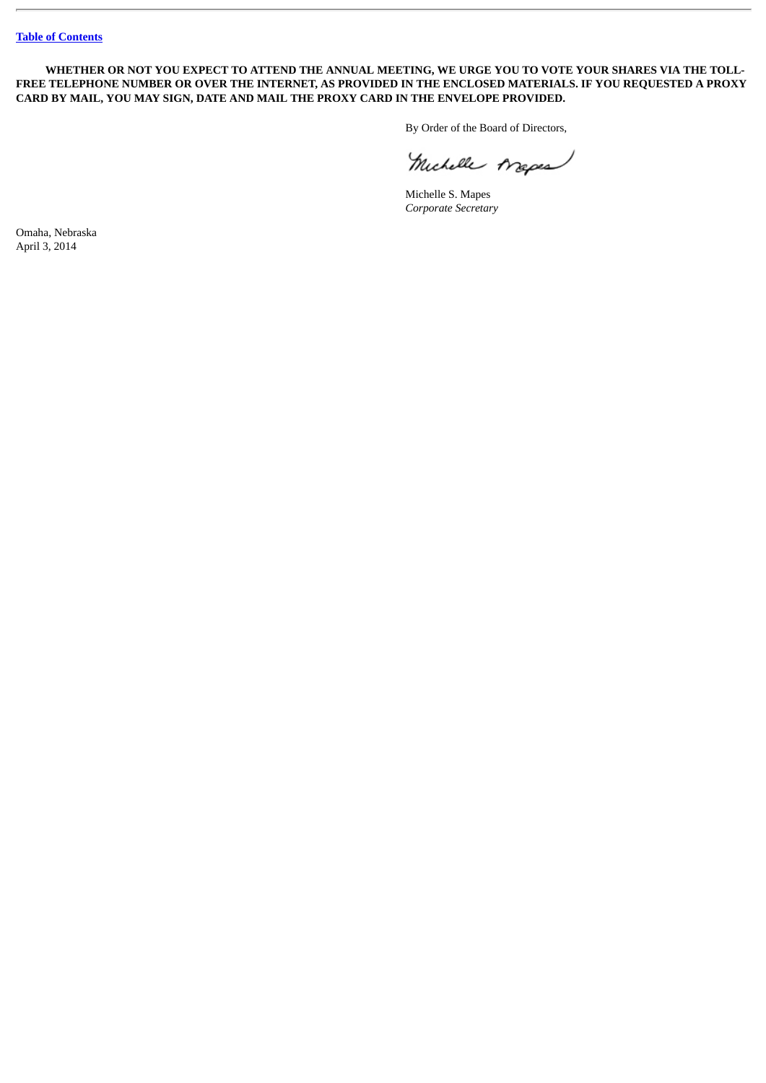**WHETHER OR NOT YOU EXPECT TO ATTEND THE ANNUAL MEETING, WE URGE YOU TO VOTE YOUR SHARES VIA THE TOLL-FREE TELEPHONE NUMBER OR OVER THE INTERNET, AS PROVIDED IN THE ENCLOSED MATERIALS. IF YOU REQUESTED A PROXY CARD BY MAIL, YOU MAY SIGN, DATE AND MAIL THE PROXY CARD IN THE ENVELOPE PROVIDED.**

By Order of the Board of Directors,

Michelle Arepea

Michelle S. Mapes *Corporate Secretary*

Omaha, Nebraska April 3, 2014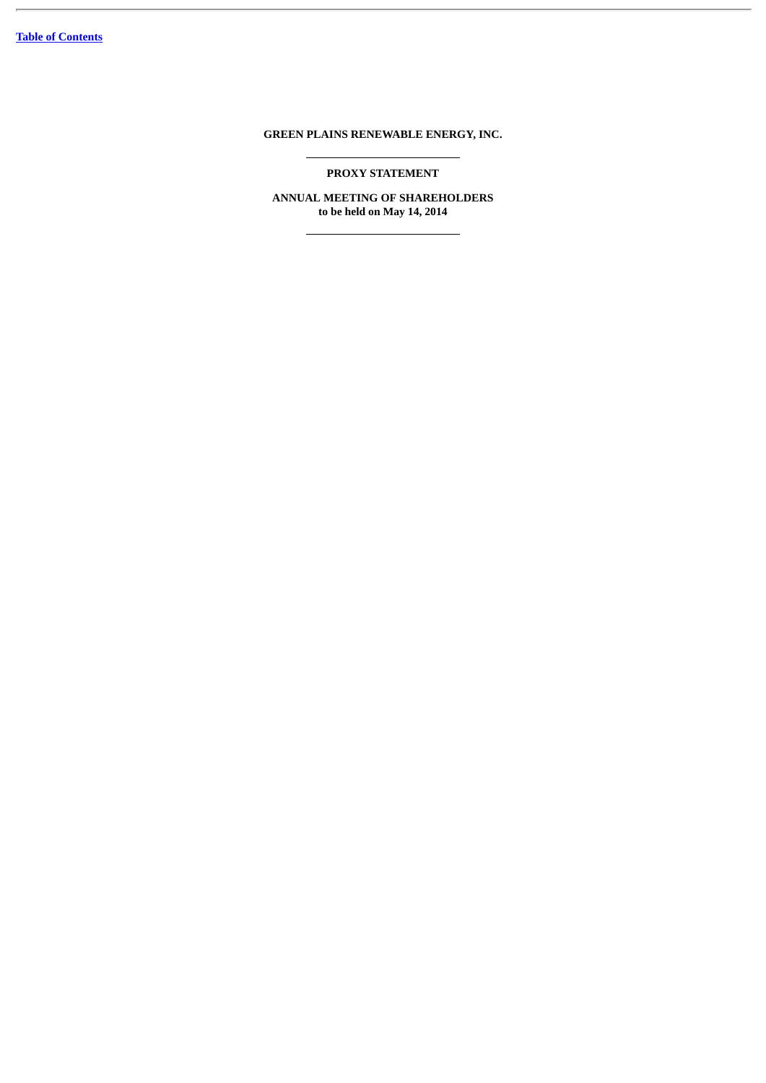# **GREEN PLAINS RENEWABLE ENERGY, INC.**

**PROXY STATEMENT**

**ANNUAL MEETING OF SHAREHOLDERS to be held on May 14, 2014**

<u> 1980 - Johann Barn, mars ann an t-A</u>

 $\overline{\phantom{a}}$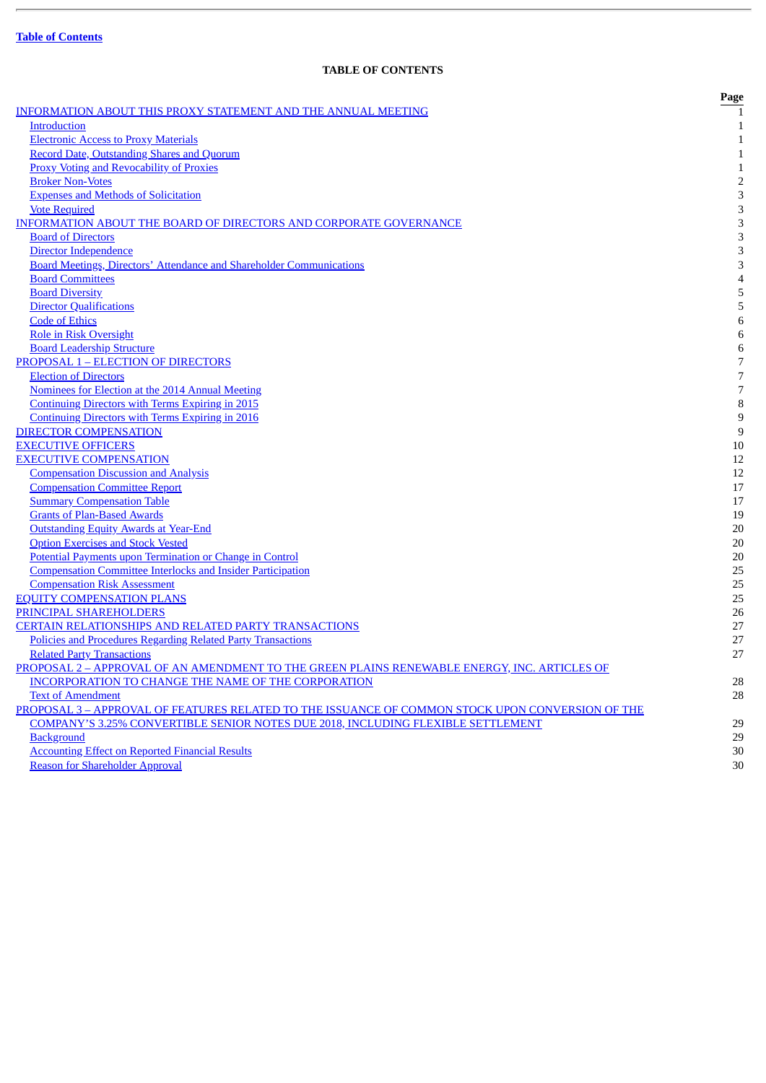J.

# **TABLE OF CONTENTS**

<span id="page-5-0"></span>

|                                                                                                  | Page           |
|--------------------------------------------------------------------------------------------------|----------------|
| <b>INFORMATION ABOUT THIS PROXY STATEMENT AND THE ANNUAL MEETING</b>                             |                |
| <b>Introduction</b>                                                                              | $\mathbf{1}$   |
| <b>Electronic Access to Proxy Materials</b>                                                      | $\mathbf{1}$   |
| <b>Record Date, Outstanding Shares and Quorum</b>                                                | $\mathbf{1}$   |
| <b>Proxy Voting and Revocability of Proxies</b>                                                  | $\mathbf 1$    |
| <b>Broker Non-Votes</b>                                                                          | $\overline{c}$ |
| <b>Expenses and Methods of Solicitation</b>                                                      | 3              |
| <b>Vote Required</b>                                                                             | 3              |
| INFORMATION ABOUT THE BOARD OF DIRECTORS AND CORPORATE GOVERNANCE                                | 3              |
| <b>Board of Directors</b>                                                                        | 3              |
| Director Independence                                                                            | 3              |
| <b>Board Meetings, Directors' Attendance and Shareholder Communications</b>                      | 3              |
| <b>Board Committees</b>                                                                          | $\overline{4}$ |
| <b>Board Diversity</b>                                                                           | 5              |
| <b>Director Qualifications</b>                                                                   | 5              |
| <b>Code of Ethics</b>                                                                            | 6              |
| <b>Role in Risk Oversight</b>                                                                    | 6              |
| <b>Board Leadership Structure</b>                                                                | 6              |
| <b>PROPOSAL 1 - ELECTION OF DIRECTORS</b>                                                        | 7              |
| <b>Election of Directors</b>                                                                     | $\overline{7}$ |
| Nominees for Election at the 2014 Annual Meeting                                                 | 7              |
| <b>Continuing Directors with Terms Expiring in 2015</b>                                          | 8              |
| <b>Continuing Directors with Terms Expiring in 2016</b>                                          | 9              |
| <b>DIRECTOR COMPENSATION</b>                                                                     | 9              |
| <b>EXECUTIVE OFFICERS</b>                                                                        | 10             |
| <b>EXECUTIVE COMPENSATION</b>                                                                    | 12             |
| <b>Compensation Discussion and Analysis</b>                                                      | 12             |
| <b>Compensation Committee Report</b>                                                             | 17             |
| <b>Summary Compensation Table</b>                                                                | 17             |
| <b>Grants of Plan-Based Awards</b>                                                               | 19             |
| <b>Outstanding Equity Awards at Year-End</b>                                                     | 20             |
| <b>Option Exercises and Stock Vested</b>                                                         | 20             |
| Potential Payments upon Termination or Change in Control                                         | 20             |
| <b>Compensation Committee Interlocks and Insider Participation</b>                               | 25             |
| <b>Compensation Risk Assessment</b>                                                              | 25             |
| <b>EQUITY COMPENSATION PLANS</b>                                                                 | 25             |
| PRINCIPAL SHAREHOLDERS                                                                           | 26             |
| <b>CERTAIN RELATIONSHIPS AND RELATED PARTY TRANSACTIONS</b>                                      | 27             |
| Policies and Procedures Regarding Related Party Transactions                                     | 27             |
| <b>Related Party Transactions</b>                                                                | 27             |
| PROPOSAL 2 - APPROVAL OF AN AMENDMENT TO THE GREEN PLAINS RENEWABLE ENERGY, INC. ARTICLES OF     |                |
| INCORPORATION TO CHANGE THE NAME OF THE CORPORATION                                              | 28             |
| <b>Text of Amendment</b>                                                                         | 28             |
| PROPOSAL 3 - APPROVAL OF FEATURES RELATED TO THE ISSUANCE OF COMMON STOCK UPON CONVERSION OF THE |                |
| <b>COMPANY'S 3.25% CONVERTIBLE SENIOR NOTES DUE 2018, INCLUDING FLEXIBLE SETTLEMENT</b>          | 29             |
| <b>Background</b>                                                                                | 29             |
| <b>Accounting Effect on Reported Financial Results</b>                                           | 30             |
| <b>Reason for Shareholder Approval</b>                                                           | 30             |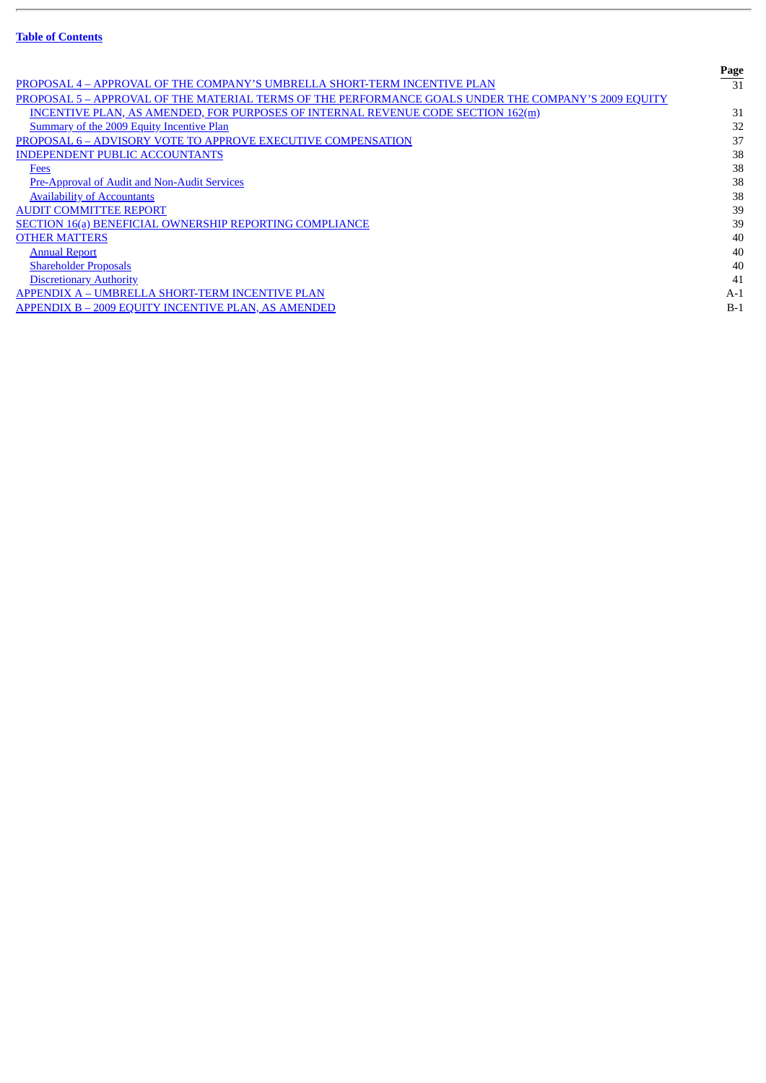J.

|                                                                                                      | Page  |
|------------------------------------------------------------------------------------------------------|-------|
| PROPOSAL 4 - APPROVAL OF THE COMPANY'S UMBRELLA SHORT-TERM INCENTIVE PLAN                            | 31    |
| PROPOSAL 5 - APPROVAL OF THE MATERIAL TERMS OF THE PERFORMANCE GOALS UNDER THE COMPANY'S 2009 EQUITY |       |
| <b>INCENTIVE PLAN, AS AMENDED, FOR PURPOSES OF INTERNAL REVENUE CODE SECTION 162(m)</b>              | 31    |
| Summary of the 2009 Equity Incentive Plan                                                            | 32    |
| <b>PROPOSAL 6 - ADVISORY VOTE TO APPROVE EXECUTIVE COMPENSATION</b>                                  | 37    |
| <b>INDEPENDENT PUBLIC ACCOUNTANTS</b>                                                                | 38    |
| <b>Fees</b>                                                                                          | 38    |
| Pre-Approval of Audit and Non-Audit Services                                                         | 38    |
| <b>Availability of Accountants</b>                                                                   | 38    |
| <b>AUDIT COMMITTEE REPORT</b>                                                                        | 39    |
| <b>SECTION 16(a) BENEFICIAL OWNERSHIP REPORTING COMPLIANCE</b>                                       | 39    |
| <b>OTHER MATTERS</b>                                                                                 | 40    |
| <b>Annual Report</b>                                                                                 | 40    |
| <b>Shareholder Proposals</b>                                                                         | 40    |
| <b>Discretionary Authority</b>                                                                       | 41    |
| APPENDIX A - UMBRELLA SHORT-TERM INCENTIVE PLAN                                                      | $A-1$ |
| APPENDIX B - 2009 EQUITY INCENTIVE PLAN, AS AMENDED                                                  | $B-1$ |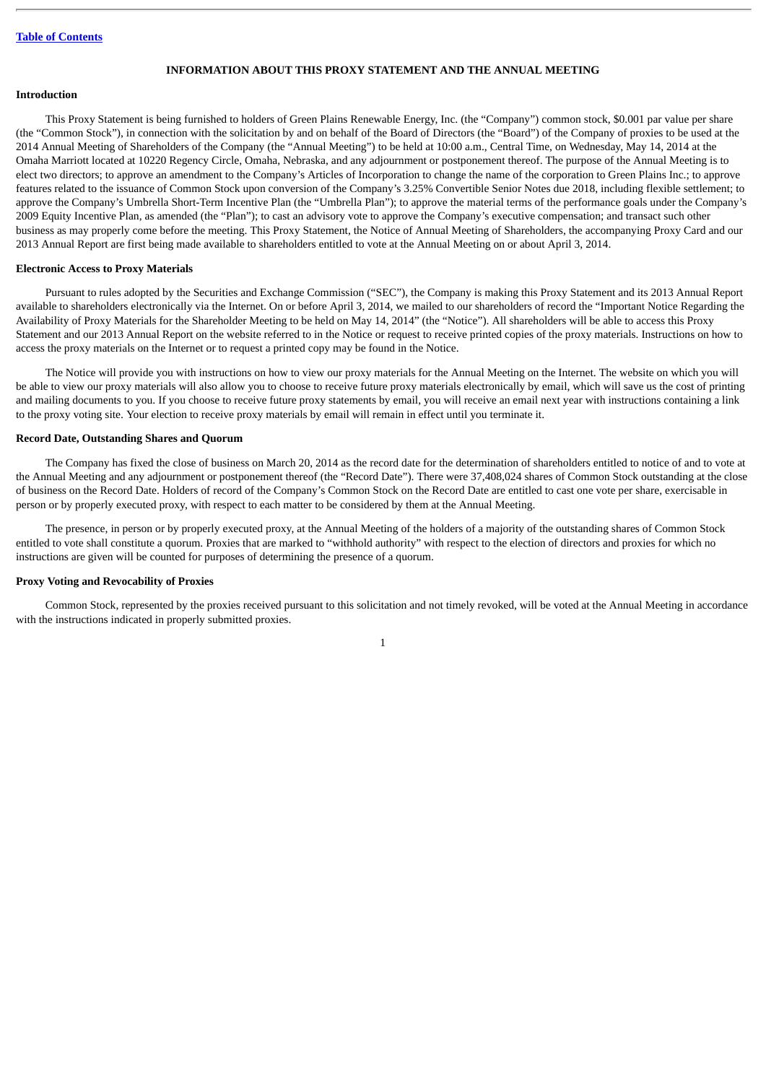## **INFORMATION ABOUT THIS PROXY STATEMENT AND THE ANNUAL MEETING**

# <span id="page-7-1"></span><span id="page-7-0"></span>**Introduction**

This Proxy Statement is being furnished to holders of Green Plains Renewable Energy, Inc. (the "Company") common stock, \$0.001 par value per share (the "Common Stock"), in connection with the solicitation by and on behalf of the Board of Directors (the "Board") of the Company of proxies to be used at the 2014 Annual Meeting of Shareholders of the Company (the "Annual Meeting") to be held at 10:00 a.m., Central Time, on Wednesday, May 14, 2014 at the Omaha Marriott located at 10220 Regency Circle, Omaha, Nebraska, and any adjournment or postponement thereof. The purpose of the Annual Meeting is to elect two directors; to approve an amendment to the Company's Articles of Incorporation to change the name of the corporation to Green Plains Inc.; to approve features related to the issuance of Common Stock upon conversion of the Company's 3.25% Convertible Senior Notes due 2018, including flexible settlement; to approve the Company's Umbrella Short-Term Incentive Plan (the "Umbrella Plan"); to approve the material terms of the performance goals under the Company's 2009 Equity Incentive Plan, as amended (the "Plan"); to cast an advisory vote to approve the Company's executive compensation; and transact such other business as may properly come before the meeting. This Proxy Statement, the Notice of Annual Meeting of Shareholders, the accompanying Proxy Card and our 2013 Annual Report are first being made available to shareholders entitled to vote at the Annual Meeting on or about April 3, 2014.

#### <span id="page-7-2"></span>**Electronic Access to Proxy Materials**

Pursuant to rules adopted by the Securities and Exchange Commission ("SEC"), the Company is making this Proxy Statement and its 2013 Annual Report available to shareholders electronically via the Internet. On or before April 3, 2014, we mailed to our shareholders of record the "Important Notice Regarding the Availability of Proxy Materials for the Shareholder Meeting to be held on May 14, 2014" (the "Notice"). All shareholders will be able to access this Proxy Statement and our 2013 Annual Report on the website referred to in the Notice or request to receive printed copies of the proxy materials. Instructions on how to access the proxy materials on the Internet or to request a printed copy may be found in the Notice.

The Notice will provide you with instructions on how to view our proxy materials for the Annual Meeting on the Internet. The website on which you will be able to view our proxy materials will also allow you to choose to receive future proxy materials electronically by email, which will save us the cost of printing and mailing documents to you. If you choose to receive future proxy statements by email, you will receive an email next year with instructions containing a link to the proxy voting site. Your election to receive proxy materials by email will remain in effect until you terminate it.

#### <span id="page-7-3"></span>**Record Date, Outstanding Shares and Quorum**

The Company has fixed the close of business on March 20, 2014 as the record date for the determination of shareholders entitled to notice of and to vote at the Annual Meeting and any adjournment or postponement thereof (the "Record Date"). There were 37,408,024 shares of Common Stock outstanding at the close of business on the Record Date. Holders of record of the Company's Common Stock on the Record Date are entitled to cast one vote per share, exercisable in person or by properly executed proxy, with respect to each matter to be considered by them at the Annual Meeting.

The presence, in person or by properly executed proxy, at the Annual Meeting of the holders of a majority of the outstanding shares of Common Stock entitled to vote shall constitute a quorum. Proxies that are marked to "withhold authority" with respect to the election of directors and proxies for which no instructions are given will be counted for purposes of determining the presence of a quorum.

#### <span id="page-7-4"></span>**Proxy Voting and Revocability of Proxies**

Common Stock, represented by the proxies received pursuant to this solicitation and not timely revoked, will be voted at the Annual Meeting in accordance with the instructions indicated in properly submitted proxies.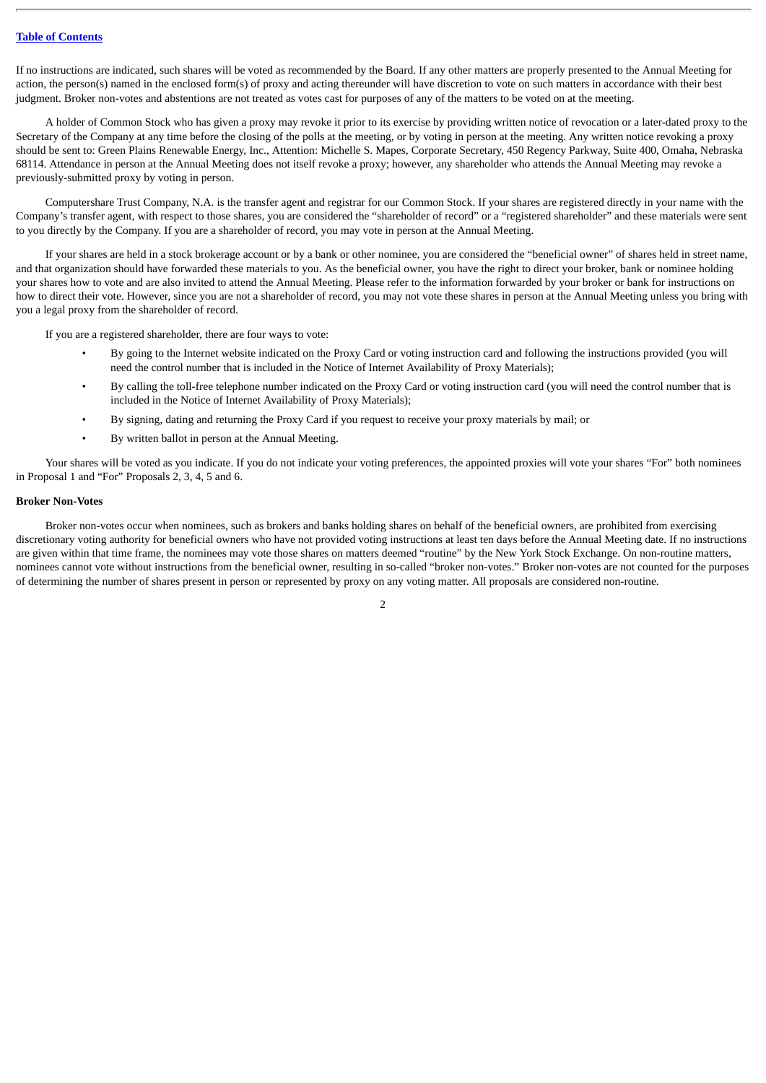If no instructions are indicated, such shares will be voted as recommended by the Board. If any other matters are properly presented to the Annual Meeting for action, the person(s) named in the enclosed form(s) of proxy and acting thereunder will have discretion to vote on such matters in accordance with their best judgment. Broker non-votes and abstentions are not treated as votes cast for purposes of any of the matters to be voted on at the meeting.

A holder of Common Stock who has given a proxy may revoke it prior to its exercise by providing written notice of revocation or a later-dated proxy to the Secretary of the Company at any time before the closing of the polls at the meeting, or by voting in person at the meeting. Any written notice revoking a proxy should be sent to: Green Plains Renewable Energy, Inc., Attention: Michelle S. Mapes, Corporate Secretary, 450 Regency Parkway, Suite 400, Omaha, Nebraska 68114. Attendance in person at the Annual Meeting does not itself revoke a proxy; however, any shareholder who attends the Annual Meeting may revoke a previously-submitted proxy by voting in person.

Computershare Trust Company, N.A. is the transfer agent and registrar for our Common Stock. If your shares are registered directly in your name with the Company's transfer agent, with respect to those shares, you are considered the "shareholder of record" or a "registered shareholder" and these materials were sent to you directly by the Company. If you are a shareholder of record, you may vote in person at the Annual Meeting.

If your shares are held in a stock brokerage account or by a bank or other nominee, you are considered the "beneficial owner" of shares held in street name, and that organization should have forwarded these materials to you. As the beneficial owner, you have the right to direct your broker, bank or nominee holding your shares how to vote and are also invited to attend the Annual Meeting. Please refer to the information forwarded by your broker or bank for instructions on how to direct their vote. However, since you are not a shareholder of record, you may not vote these shares in person at the Annual Meeting unless you bring with you a legal proxy from the shareholder of record.

If you are a registered shareholder, there are four ways to vote:

- By going to the Internet website indicated on the Proxy Card or voting instruction card and following the instructions provided (you will need the control number that is included in the Notice of Internet Availability of Proxy Materials);
- By calling the toll-free telephone number indicated on the Proxy Card or voting instruction card (you will need the control number that is included in the Notice of Internet Availability of Proxy Materials);
- By signing, dating and returning the Proxy Card if you request to receive your proxy materials by mail; or
- By written ballot in person at the Annual Meeting.

Your shares will be voted as you indicate. If you do not indicate your voting preferences, the appointed proxies will vote your shares "For" both nominees in Proposal 1 and "For" Proposals 2, 3, 4, 5 and 6.

### <span id="page-8-0"></span>**Broker Non-Votes**

Broker non-votes occur when nominees, such as brokers and banks holding shares on behalf of the beneficial owners, are prohibited from exercising discretionary voting authority for beneficial owners who have not provided voting instructions at least ten days before the Annual Meeting date. If no instructions are given within that time frame, the nominees may vote those shares on matters deemed "routine" by the New York Stock Exchange. On non-routine matters, nominees cannot vote without instructions from the beneficial owner, resulting in so-called "broker non-votes." Broker non-votes are not counted for the purposes of determining the number of shares present in person or represented by proxy on any voting matter. All proposals are considered non-routine.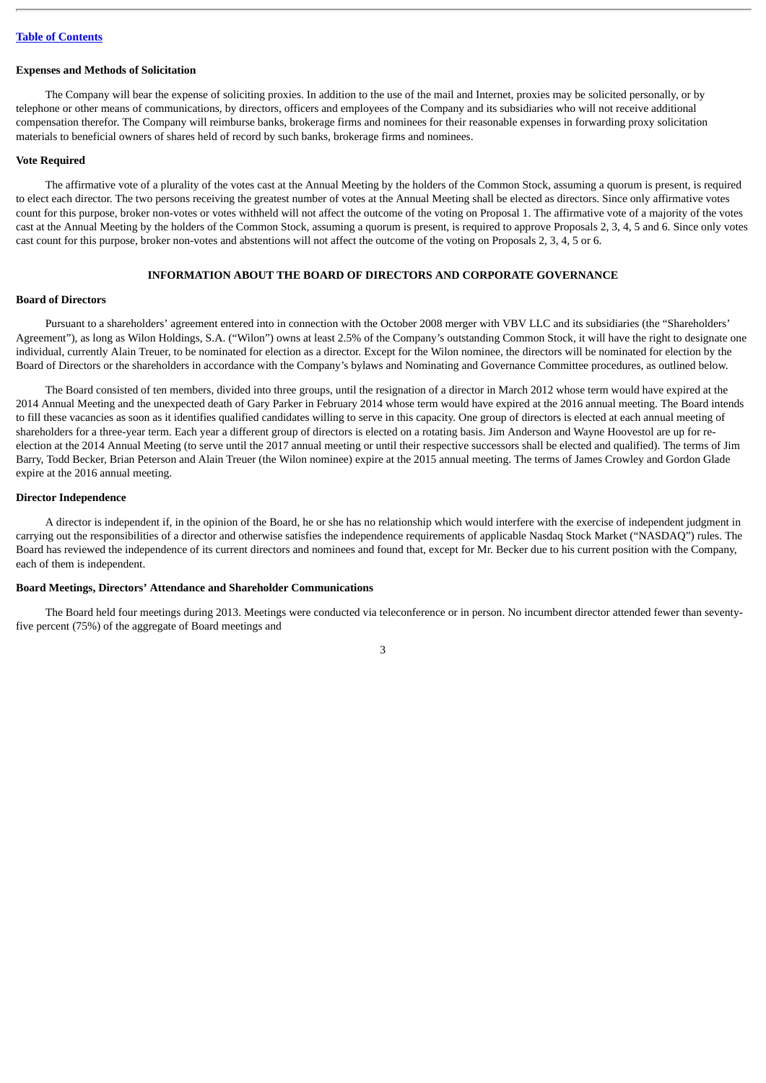#### <span id="page-9-0"></span>**Expenses and Methods of Solicitation**

The Company will bear the expense of soliciting proxies. In addition to the use of the mail and Internet, proxies may be solicited personally, or by telephone or other means of communications, by directors, officers and employees of the Company and its subsidiaries who will not receive additional compensation therefor. The Company will reimburse banks, brokerage firms and nominees for their reasonable expenses in forwarding proxy solicitation materials to beneficial owners of shares held of record by such banks, brokerage firms and nominees.

#### <span id="page-9-1"></span>**Vote Required**

The affirmative vote of a plurality of the votes cast at the Annual Meeting by the holders of the Common Stock, assuming a quorum is present, is required to elect each director. The two persons receiving the greatest number of votes at the Annual Meeting shall be elected as directors. Since only affirmative votes count for this purpose, broker non-votes or votes withheld will not affect the outcome of the voting on Proposal 1. The affirmative vote of a majority of the votes cast at the Annual Meeting by the holders of the Common Stock, assuming a quorum is present, is required to approve Proposals 2, 3, 4, 5 and 6. Since only votes cast count for this purpose, broker non-votes and abstentions will not affect the outcome of the voting on Proposals 2, 3, 4, 5 or 6.

# **INFORMATION ABOUT THE BOARD OF DIRECTORS AND CORPORATE GOVERNANCE**

# <span id="page-9-3"></span><span id="page-9-2"></span>**Board of Directors**

Pursuant to a shareholders' agreement entered into in connection with the October 2008 merger with VBV LLC and its subsidiaries (the "Shareholders' Agreement"), as long as Wilon Holdings, S.A. ("Wilon") owns at least 2.5% of the Company's outstanding Common Stock, it will have the right to designate one individual, currently Alain Treuer, to be nominated for election as a director. Except for the Wilon nominee, the directors will be nominated for election by the Board of Directors or the shareholders in accordance with the Company's bylaws and Nominating and Governance Committee procedures, as outlined below.

The Board consisted of ten members, divided into three groups, until the resignation of a director in March 2012 whose term would have expired at the 2014 Annual Meeting and the unexpected death of Gary Parker in February 2014 whose term would have expired at the 2016 annual meeting. The Board intends to fill these vacancies as soon as it identifies qualified candidates willing to serve in this capacity. One group of directors is elected at each annual meeting of shareholders for a three-year term. Each year a different group of directors is elected on a rotating basis. Jim Anderson and Wayne Hoovestol are up for reelection at the 2014 Annual Meeting (to serve until the 2017 annual meeting or until their respective successors shall be elected and qualified). The terms of Jim Barry, Todd Becker, Brian Peterson and Alain Treuer (the Wilon nominee) expire at the 2015 annual meeting. The terms of James Crowley and Gordon Glade expire at the 2016 annual meeting.

## <span id="page-9-4"></span>**Director Independence**

A director is independent if, in the opinion of the Board, he or she has no relationship which would interfere with the exercise of independent judgment in carrying out the responsibilities of a director and otherwise satisfies the independence requirements of applicable Nasdaq Stock Market ("NASDAQ") rules. The Board has reviewed the independence of its current directors and nominees and found that, except for Mr. Becker due to his current position with the Company, each of them is independent.

## <span id="page-9-5"></span>**Board Meetings, Directors' Attendance and Shareholder Communications**

The Board held four meetings during 2013. Meetings were conducted via teleconference or in person. No incumbent director attended fewer than seventyfive percent (75%) of the aggregate of Board meetings and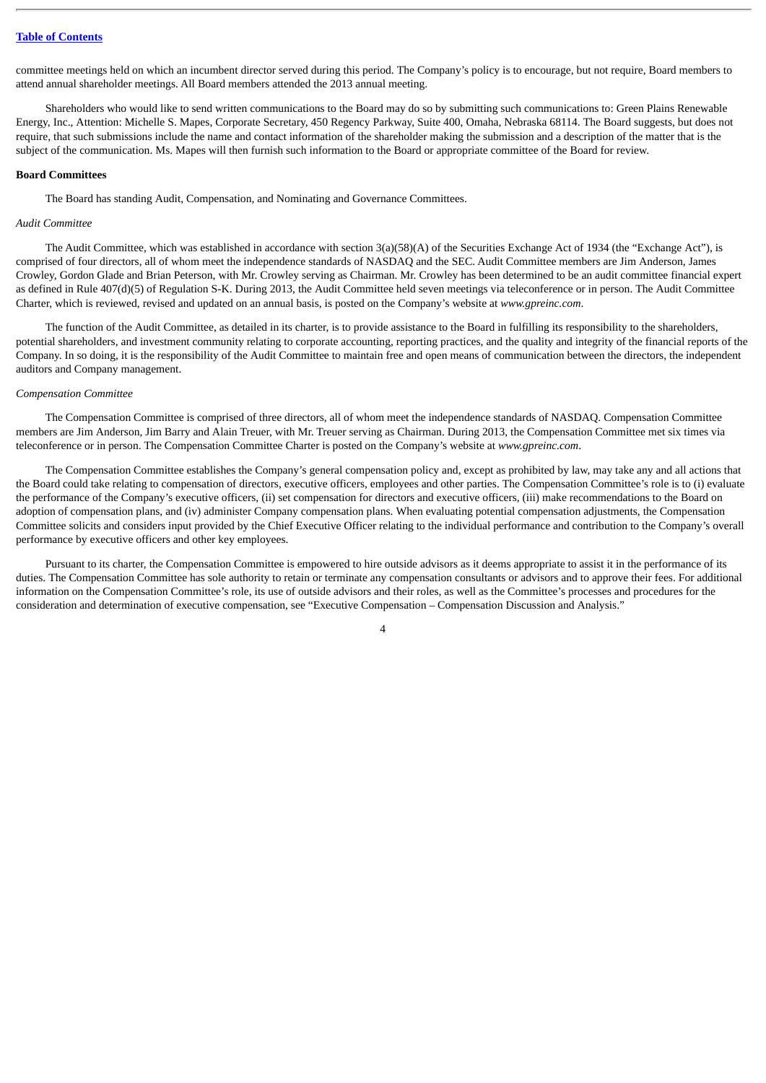committee meetings held on which an incumbent director served during this period. The Company's policy is to encourage, but not require, Board members to attend annual shareholder meetings. All Board members attended the 2013 annual meeting.

Shareholders who would like to send written communications to the Board may do so by submitting such communications to: Green Plains Renewable Energy, Inc., Attention: Michelle S. Mapes, Corporate Secretary, 450 Regency Parkway, Suite 400, Omaha, Nebraska 68114. The Board suggests, but does not require, that such submissions include the name and contact information of the shareholder making the submission and a description of the matter that is the subject of the communication. Ms. Mapes will then furnish such information to the Board or appropriate committee of the Board for review.

#### <span id="page-10-0"></span>**Board Committees**

The Board has standing Audit, Compensation, and Nominating and Governance Committees.

#### *Audit Committee*

The Audit Committee, which was established in accordance with section 3(a)(58)(A) of the Securities Exchange Act of 1934 (the "Exchange Act"), is comprised of four directors, all of whom meet the independence standards of NASDAQ and the SEC. Audit Committee members are Jim Anderson, James Crowley, Gordon Glade and Brian Peterson, with Mr. Crowley serving as Chairman. Mr. Crowley has been determined to be an audit committee financial expert as defined in Rule 407(d)(5) of Regulation S-K. During 2013, the Audit Committee held seven meetings via teleconference or in person. The Audit Committee Charter, which is reviewed, revised and updated on an annual basis, is posted on the Company's website at *www.gpreinc.com*.

The function of the Audit Committee, as detailed in its charter, is to provide assistance to the Board in fulfilling its responsibility to the shareholders, potential shareholders, and investment community relating to corporate accounting, reporting practices, and the quality and integrity of the financial reports of the Company. In so doing, it is the responsibility of the Audit Committee to maintain free and open means of communication between the directors, the independent auditors and Company management.

#### *Compensation Committee*

The Compensation Committee is comprised of three directors, all of whom meet the independence standards of NASDAQ. Compensation Committee members are Jim Anderson, Jim Barry and Alain Treuer, with Mr. Treuer serving as Chairman. During 2013, the Compensation Committee met six times via teleconference or in person. The Compensation Committee Charter is posted on the Company's website at *www.gpreinc.com*.

The Compensation Committee establishes the Company's general compensation policy and, except as prohibited by law, may take any and all actions that the Board could take relating to compensation of directors, executive officers, employees and other parties. The Compensation Committee's role is to (i) evaluate the performance of the Company's executive officers, (ii) set compensation for directors and executive officers, (iii) make recommendations to the Board on adoption of compensation plans, and (iv) administer Company compensation plans. When evaluating potential compensation adjustments, the Compensation Committee solicits and considers input provided by the Chief Executive Officer relating to the individual performance and contribution to the Company's overall performance by executive officers and other key employees.

Pursuant to its charter, the Compensation Committee is empowered to hire outside advisors as it deems appropriate to assist it in the performance of its duties. The Compensation Committee has sole authority to retain or terminate any compensation consultants or advisors and to approve their fees. For additional information on the Compensation Committee's role, its use of outside advisors and their roles, as well as the Committee's processes and procedures for the consideration and determination of executive compensation, see "Executive Compensation – Compensation Discussion and Analysis."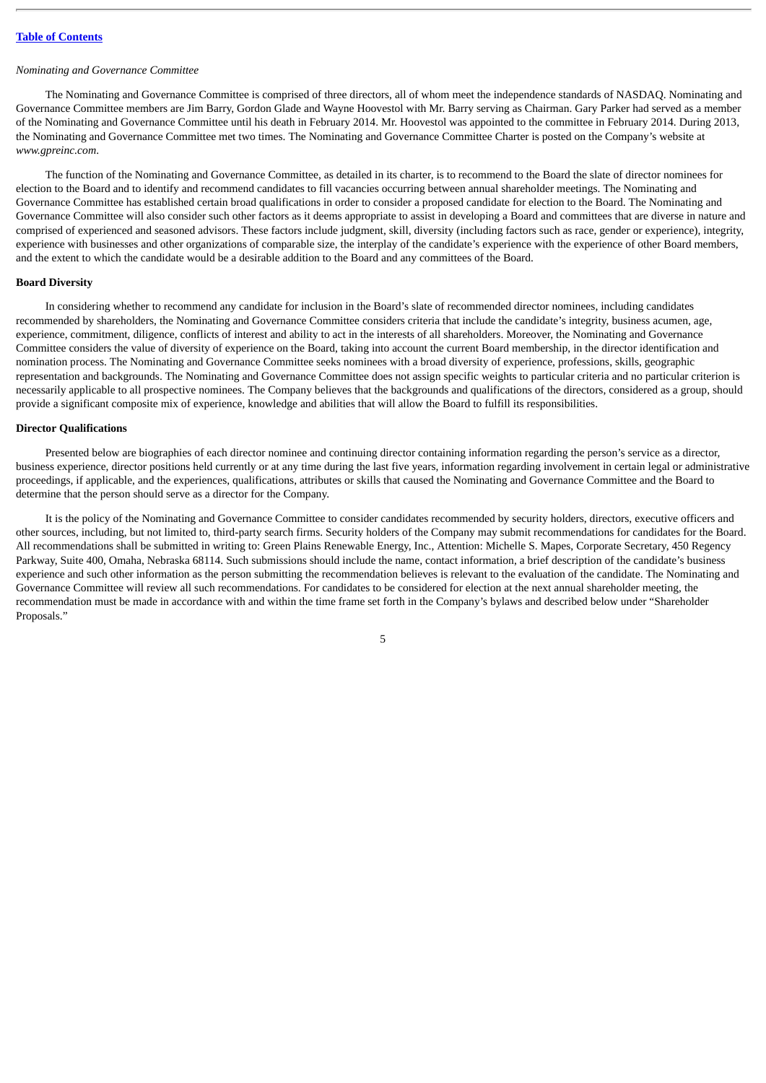#### *Nominating and Governance Committee*

The Nominating and Governance Committee is comprised of three directors, all of whom meet the independence standards of NASDAQ. Nominating and Governance Committee members are Jim Barry, Gordon Glade and Wayne Hoovestol with Mr. Barry serving as Chairman. Gary Parker had served as a member of the Nominating and Governance Committee until his death in February 2014. Mr. Hoovestol was appointed to the committee in February 2014. During 2013, the Nominating and Governance Committee met two times. The Nominating and Governance Committee Charter is posted on the Company's website at *www.gpreinc.com*.

The function of the Nominating and Governance Committee, as detailed in its charter, is to recommend to the Board the slate of director nominees for election to the Board and to identify and recommend candidates to fill vacancies occurring between annual shareholder meetings. The Nominating and Governance Committee has established certain broad qualifications in order to consider a proposed candidate for election to the Board. The Nominating and Governance Committee will also consider such other factors as it deems appropriate to assist in developing a Board and committees that are diverse in nature and comprised of experienced and seasoned advisors. These factors include judgment, skill, diversity (including factors such as race, gender or experience), integrity, experience with businesses and other organizations of comparable size, the interplay of the candidate's experience with the experience of other Board members, and the extent to which the candidate would be a desirable addition to the Board and any committees of the Board.

#### <span id="page-11-0"></span>**Board Diversity**

In considering whether to recommend any candidate for inclusion in the Board's slate of recommended director nominees, including candidates recommended by shareholders, the Nominating and Governance Committee considers criteria that include the candidate's integrity, business acumen, age, experience, commitment, diligence, conflicts of interest and ability to act in the interests of all shareholders. Moreover, the Nominating and Governance Committee considers the value of diversity of experience on the Board, taking into account the current Board membership, in the director identification and nomination process. The Nominating and Governance Committee seeks nominees with a broad diversity of experience, professions, skills, geographic representation and backgrounds. The Nominating and Governance Committee does not assign specific weights to particular criteria and no particular criterion is necessarily applicable to all prospective nominees. The Company believes that the backgrounds and qualifications of the directors, considered as a group, should provide a significant composite mix of experience, knowledge and abilities that will allow the Board to fulfill its responsibilities.

#### <span id="page-11-1"></span>**Director Qualifications**

Presented below are biographies of each director nominee and continuing director containing information regarding the person's service as a director, business experience, director positions held currently or at any time during the last five years, information regarding involvement in certain legal or administrative proceedings, if applicable, and the experiences, qualifications, attributes or skills that caused the Nominating and Governance Committee and the Board to determine that the person should serve as a director for the Company.

It is the policy of the Nominating and Governance Committee to consider candidates recommended by security holders, directors, executive officers and other sources, including, but not limited to, third-party search firms. Security holders of the Company may submit recommendations for candidates for the Board. All recommendations shall be submitted in writing to: Green Plains Renewable Energy, Inc., Attention: Michelle S. Mapes, Corporate Secretary, 450 Regency Parkway, Suite 400, Omaha, Nebraska 68114. Such submissions should include the name, contact information, a brief description of the candidate's business experience and such other information as the person submitting the recommendation believes is relevant to the evaluation of the candidate. The Nominating and Governance Committee will review all such recommendations. For candidates to be considered for election at the next annual shareholder meeting, the recommendation must be made in accordance with and within the time frame set forth in the Company's bylaws and described below under "Shareholder Proposals."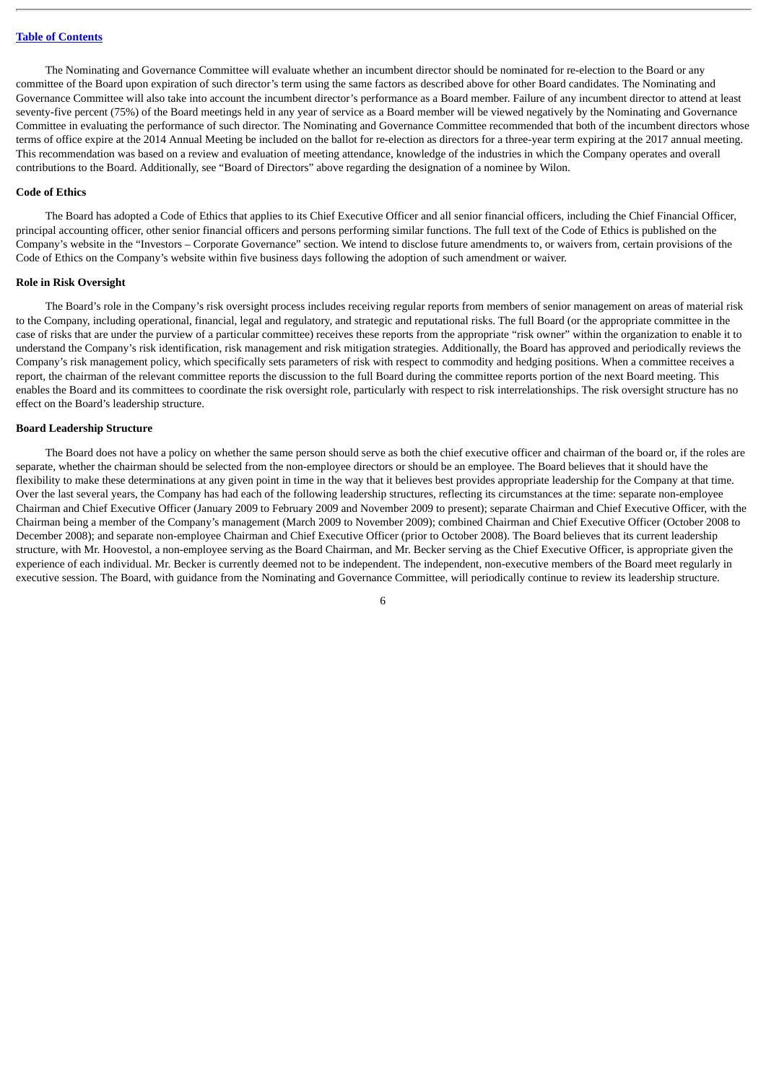The Nominating and Governance Committee will evaluate whether an incumbent director should be nominated for re-election to the Board or any committee of the Board upon expiration of such director's term using the same factors as described above for other Board candidates. The Nominating and Governance Committee will also take into account the incumbent director's performance as a Board member. Failure of any incumbent director to attend at least seventy-five percent (75%) of the Board meetings held in any year of service as a Board member will be viewed negatively by the Nominating and Governance Committee in evaluating the performance of such director. The Nominating and Governance Committee recommended that both of the incumbent directors whose terms of office expire at the 2014 Annual Meeting be included on the ballot for re-election as directors for a three-year term expiring at the 2017 annual meeting. This recommendation was based on a review and evaluation of meeting attendance, knowledge of the industries in which the Company operates and overall contributions to the Board. Additionally, see "Board of Directors" above regarding the designation of a nominee by Wilon.

#### <span id="page-12-0"></span>**Code of Ethics**

The Board has adopted a Code of Ethics that applies to its Chief Executive Officer and all senior financial officers, including the Chief Financial Officer, principal accounting officer, other senior financial officers and persons performing similar functions. The full text of the Code of Ethics is published on the Company's website in the "Investors – Corporate Governance" section. We intend to disclose future amendments to, or waivers from, certain provisions of the Code of Ethics on the Company's website within five business days following the adoption of such amendment or waiver.

#### <span id="page-12-1"></span>**Role in Risk Oversight**

The Board's role in the Company's risk oversight process includes receiving regular reports from members of senior management on areas of material risk to the Company, including operational, financial, legal and regulatory, and strategic and reputational risks. The full Board (or the appropriate committee in the case of risks that are under the purview of a particular committee) receives these reports from the appropriate "risk owner" within the organization to enable it to understand the Company's risk identification, risk management and risk mitigation strategies. Additionally, the Board has approved and periodically reviews the Company's risk management policy, which specifically sets parameters of risk with respect to commodity and hedging positions. When a committee receives a report, the chairman of the relevant committee reports the discussion to the full Board during the committee reports portion of the next Board meeting. This enables the Board and its committees to coordinate the risk oversight role, particularly with respect to risk interrelationships. The risk oversight structure has no effect on the Board's leadership structure.

#### <span id="page-12-2"></span>**Board Leadership Structure**

The Board does not have a policy on whether the same person should serve as both the chief executive officer and chairman of the board or, if the roles are separate, whether the chairman should be selected from the non-employee directors or should be an employee. The Board believes that it should have the flexibility to make these determinations at any given point in time in the way that it believes best provides appropriate leadership for the Company at that time. Over the last several years, the Company has had each of the following leadership structures, reflecting its circumstances at the time: separate non-employee Chairman and Chief Executive Officer (January 2009 to February 2009 and November 2009 to present); separate Chairman and Chief Executive Officer, with the Chairman being a member of the Company's management (March 2009 to November 2009); combined Chairman and Chief Executive Officer (October 2008 to December 2008); and separate non-employee Chairman and Chief Executive Officer (prior to October 2008). The Board believes that its current leadership structure, with Mr. Hoovestol, a non-employee serving as the Board Chairman, and Mr. Becker serving as the Chief Executive Officer, is appropriate given the experience of each individual. Mr. Becker is currently deemed not to be independent. The independent, non-executive members of the Board meet regularly in executive session. The Board, with guidance from the Nominating and Governance Committee, will periodically continue to review its leadership structure.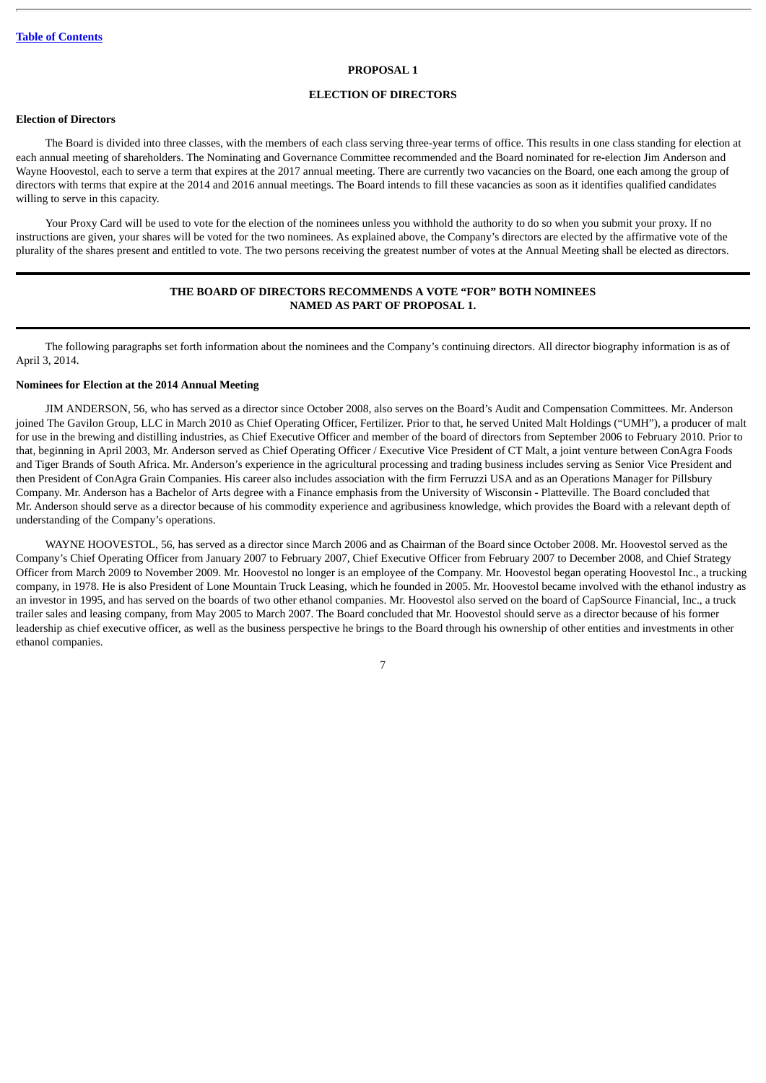#### **PROPOSAL 1**

# **ELECTION OF DIRECTORS**

## <span id="page-13-1"></span><span id="page-13-0"></span>**Election of Directors**

The Board is divided into three classes, with the members of each class serving three-year terms of office. This results in one class standing for election at each annual meeting of shareholders. The Nominating and Governance Committee recommended and the Board nominated for re-election Jim Anderson and Wayne Hoovestol, each to serve a term that expires at the 2017 annual meeting. There are currently two vacancies on the Board, one each among the group of directors with terms that expire at the 2014 and 2016 annual meetings. The Board intends to fill these vacancies as soon as it identifies qualified candidates willing to serve in this capacity.

Your Proxy Card will be used to vote for the election of the nominees unless you withhold the authority to do so when you submit your proxy. If no instructions are given, your shares will be voted for the two nominees. As explained above, the Company's directors are elected by the affirmative vote of the plurality of the shares present and entitled to vote. The two persons receiving the greatest number of votes at the Annual Meeting shall be elected as directors.

# **THE BOARD OF DIRECTORS RECOMMENDS A VOTE "FOR" BOTH NOMINEES NAMED AS PART OF PROPOSAL 1.**

The following paragraphs set forth information about the nominees and the Company's continuing directors. All director biography information is as of April 3, 2014.

## <span id="page-13-2"></span>**Nominees for Election at the 2014 Annual Meeting**

JIM ANDERSON, 56, who has served as a director since October 2008, also serves on the Board's Audit and Compensation Committees. Mr. Anderson joined The Gavilon Group, LLC in March 2010 as Chief Operating Officer, Fertilizer. Prior to that, he served United Malt Holdings ("UMH"), a producer of malt for use in the brewing and distilling industries, as Chief Executive Officer and member of the board of directors from September 2006 to February 2010. Prior to that, beginning in April 2003, Mr. Anderson served as Chief Operating Officer / Executive Vice President of CT Malt, a joint venture between ConAgra Foods and Tiger Brands of South Africa. Mr. Anderson's experience in the agricultural processing and trading business includes serving as Senior Vice President and then President of ConAgra Grain Companies. His career also includes association with the firm Ferruzzi USA and as an Operations Manager for Pillsbury Company. Mr. Anderson has a Bachelor of Arts degree with a Finance emphasis from the University of Wisconsin - Platteville. The Board concluded that Mr. Anderson should serve as a director because of his commodity experience and agribusiness knowledge, which provides the Board with a relevant depth of understanding of the Company's operations.

WAYNE HOOVESTOL, 56, has served as a director since March 2006 and as Chairman of the Board since October 2008. Mr. Hoovestol served as the Company's Chief Operating Officer from January 2007 to February 2007, Chief Executive Officer from February 2007 to December 2008, and Chief Strategy Officer from March 2009 to November 2009. Mr. Hoovestol no longer is an employee of the Company. Mr. Hoovestol began operating Hoovestol Inc., a trucking company, in 1978. He is also President of Lone Mountain Truck Leasing, which he founded in 2005. Mr. Hoovestol became involved with the ethanol industry as an investor in 1995, and has served on the boards of two other ethanol companies. Mr. Hoovestol also served on the board of CapSource Financial, Inc., a truck trailer sales and leasing company, from May 2005 to March 2007. The Board concluded that Mr. Hoovestol should serve as a director because of his former leadership as chief executive officer, as well as the business perspective he brings to the Board through his ownership of other entities and investments in other ethanol companies.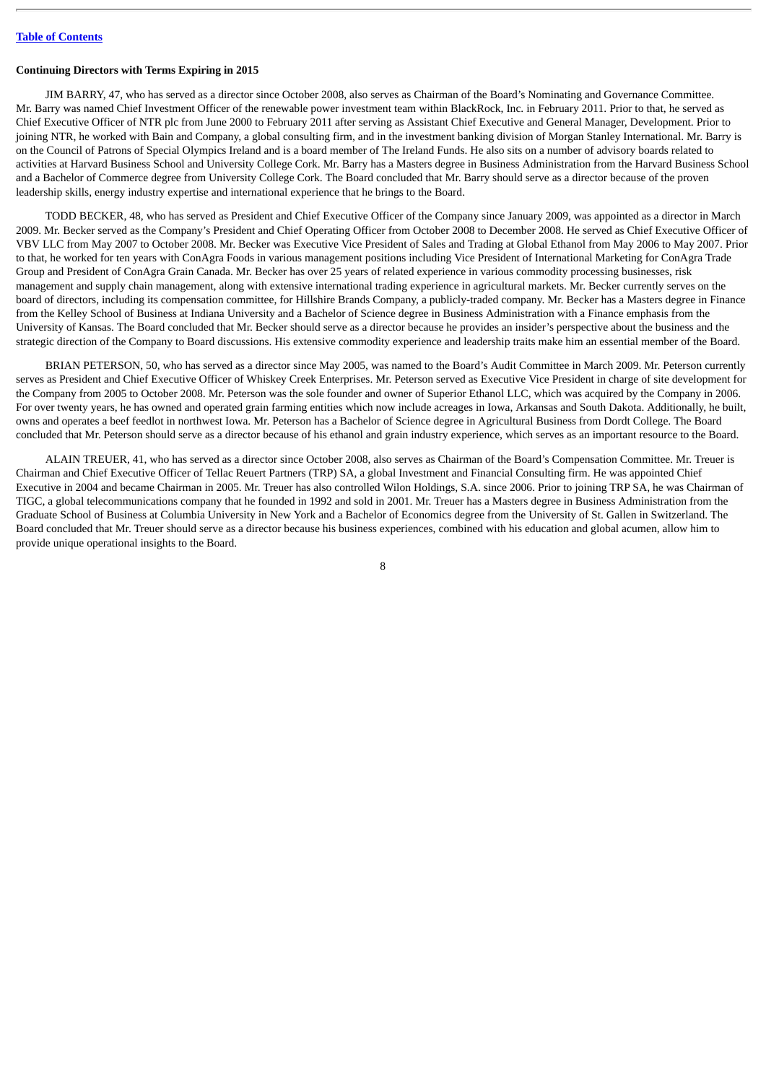#### <span id="page-14-0"></span>**Continuing Directors with Terms Expiring in 2015**

JIM BARRY, 47, who has served as a director since October 2008, also serves as Chairman of the Board's Nominating and Governance Committee. Mr. Barry was named Chief Investment Officer of the renewable power investment team within BlackRock, Inc. in February 2011. Prior to that, he served as Chief Executive Officer of NTR plc from June 2000 to February 2011 after serving as Assistant Chief Executive and General Manager, Development. Prior to joining NTR, he worked with Bain and Company, a global consulting firm, and in the investment banking division of Morgan Stanley International. Mr. Barry is on the Council of Patrons of Special Olympics Ireland and is a board member of The Ireland Funds. He also sits on a number of advisory boards related to activities at Harvard Business School and University College Cork. Mr. Barry has a Masters degree in Business Administration from the Harvard Business School and a Bachelor of Commerce degree from University College Cork. The Board concluded that Mr. Barry should serve as a director because of the proven leadership skills, energy industry expertise and international experience that he brings to the Board.

TODD BECKER, 48, who has served as President and Chief Executive Officer of the Company since January 2009, was appointed as a director in March 2009. Mr. Becker served as the Company's President and Chief Operating Officer from October 2008 to December 2008. He served as Chief Executive Officer of VBV LLC from May 2007 to October 2008. Mr. Becker was Executive Vice President of Sales and Trading at Global Ethanol from May 2006 to May 2007. Prior to that, he worked for ten years with ConAgra Foods in various management positions including Vice President of International Marketing for ConAgra Trade Group and President of ConAgra Grain Canada. Mr. Becker has over 25 years of related experience in various commodity processing businesses, risk management and supply chain management, along with extensive international trading experience in agricultural markets. Mr. Becker currently serves on the board of directors, including its compensation committee, for Hillshire Brands Company, a publicly-traded company. Mr. Becker has a Masters degree in Finance from the Kelley School of Business at Indiana University and a Bachelor of Science degree in Business Administration with a Finance emphasis from the University of Kansas. The Board concluded that Mr. Becker should serve as a director because he provides an insider's perspective about the business and the strategic direction of the Company to Board discussions. His extensive commodity experience and leadership traits make him an essential member of the Board.

BRIAN PETERSON, 50, who has served as a director since May 2005, was named to the Board's Audit Committee in March 2009. Mr. Peterson currently serves as President and Chief Executive Officer of Whiskey Creek Enterprises. Mr. Peterson served as Executive Vice President in charge of site development for the Company from 2005 to October 2008. Mr. Peterson was the sole founder and owner of Superior Ethanol LLC, which was acquired by the Company in 2006. For over twenty years, he has owned and operated grain farming entities which now include acreages in Iowa, Arkansas and South Dakota. Additionally, he built, owns and operates a beef feedlot in northwest Iowa. Mr. Peterson has a Bachelor of Science degree in Agricultural Business from Dordt College. The Board concluded that Mr. Peterson should serve as a director because of his ethanol and grain industry experience, which serves as an important resource to the Board.

ALAIN TREUER, 41, who has served as a director since October 2008, also serves as Chairman of the Board's Compensation Committee. Mr. Treuer is Chairman and Chief Executive Officer of Tellac Reuert Partners (TRP) SA, a global Investment and Financial Consulting firm. He was appointed Chief Executive in 2004 and became Chairman in 2005. Mr. Treuer has also controlled Wilon Holdings, S.A. since 2006. Prior to joining TRP SA, he was Chairman of TIGC, a global telecommunications company that he founded in 1992 and sold in 2001. Mr. Treuer has a Masters degree in Business Administration from the Graduate School of Business at Columbia University in New York and a Bachelor of Economics degree from the University of St. Gallen in Switzerland. The Board concluded that Mr. Treuer should serve as a director because his business experiences, combined with his education and global acumen, allow him to provide unique operational insights to the Board.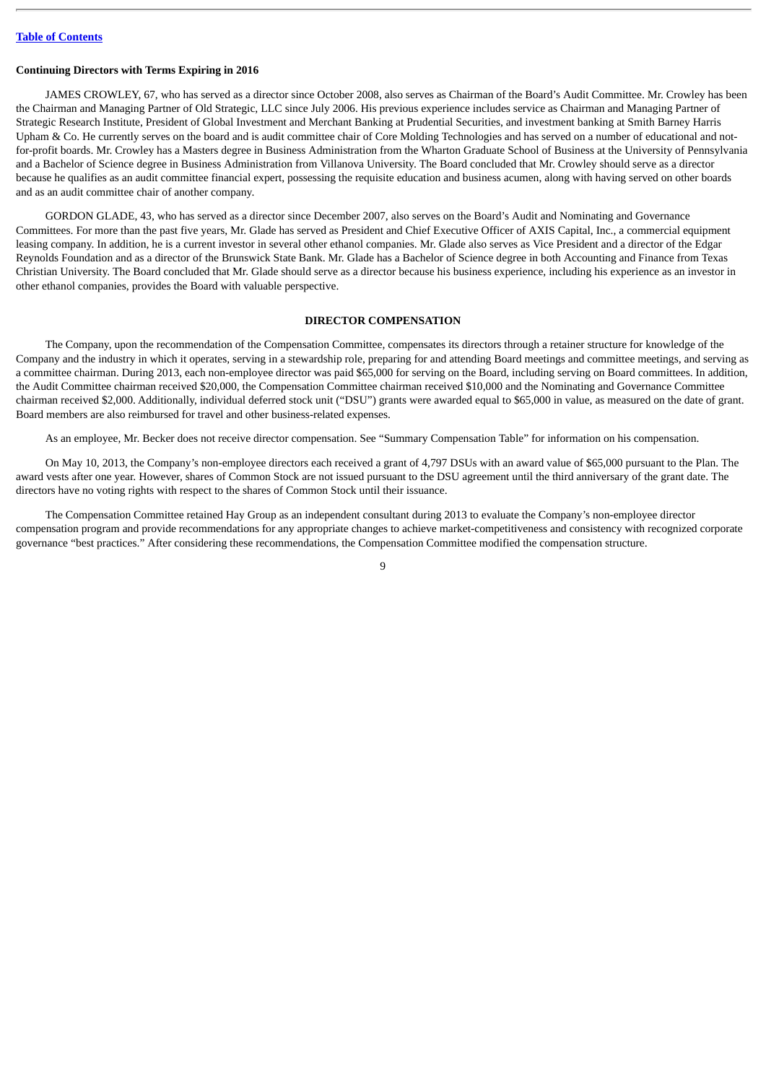#### <span id="page-15-0"></span>**Continuing Directors with Terms Expiring in 2016**

JAMES CROWLEY, 67, who has served as a director since October 2008, also serves as Chairman of the Board's Audit Committee. Mr. Crowley has been the Chairman and Managing Partner of Old Strategic, LLC since July 2006. His previous experience includes service as Chairman and Managing Partner of Strategic Research Institute, President of Global Investment and Merchant Banking at Prudential Securities, and investment banking at Smith Barney Harris Upham & Co. He currently serves on the board and is audit committee chair of Core Molding Technologies and has served on a number of educational and notfor-profit boards. Mr. Crowley has a Masters degree in Business Administration from the Wharton Graduate School of Business at the University of Pennsylvania and a Bachelor of Science degree in Business Administration from Villanova University. The Board concluded that Mr. Crowley should serve as a director because he qualifies as an audit committee financial expert, possessing the requisite education and business acumen, along with having served on other boards and as an audit committee chair of another company.

GORDON GLADE, 43, who has served as a director since December 2007, also serves on the Board's Audit and Nominating and Governance Committees. For more than the past five years, Mr. Glade has served as President and Chief Executive Officer of AXIS Capital, Inc., a commercial equipment leasing company. In addition, he is a current investor in several other ethanol companies. Mr. Glade also serves as Vice President and a director of the Edgar Reynolds Foundation and as a director of the Brunswick State Bank. Mr. Glade has a Bachelor of Science degree in both Accounting and Finance from Texas Christian University. The Board concluded that Mr. Glade should serve as a director because his business experience, including his experience as an investor in other ethanol companies, provides the Board with valuable perspective.

#### **DIRECTOR COMPENSATION**

<span id="page-15-1"></span>The Company, upon the recommendation of the Compensation Committee, compensates its directors through a retainer structure for knowledge of the Company and the industry in which it operates, serving in a stewardship role, preparing for and attending Board meetings and committee meetings, and serving as a committee chairman. During 2013, each non-employee director was paid \$65,000 for serving on the Board, including serving on Board committees. In addition, the Audit Committee chairman received \$20,000, the Compensation Committee chairman received \$10,000 and the Nominating and Governance Committee chairman received \$2,000. Additionally, individual deferred stock unit ("DSU") grants were awarded equal to \$65,000 in value, as measured on the date of grant. Board members are also reimbursed for travel and other business-related expenses.

As an employee, Mr. Becker does not receive director compensation. See "Summary Compensation Table" for information on his compensation.

On May 10, 2013, the Company's non-employee directors each received a grant of 4,797 DSUs with an award value of \$65,000 pursuant to the Plan. The award vests after one year. However, shares of Common Stock are not issued pursuant to the DSU agreement until the third anniversary of the grant date. The directors have no voting rights with respect to the shares of Common Stock until their issuance.

The Compensation Committee retained Hay Group as an independent consultant during 2013 to evaluate the Company's non-employee director compensation program and provide recommendations for any appropriate changes to achieve market-competitiveness and consistency with recognized corporate governance "best practices." After considering these recommendations, the Compensation Committee modified the compensation structure.

 $\overline{Q}$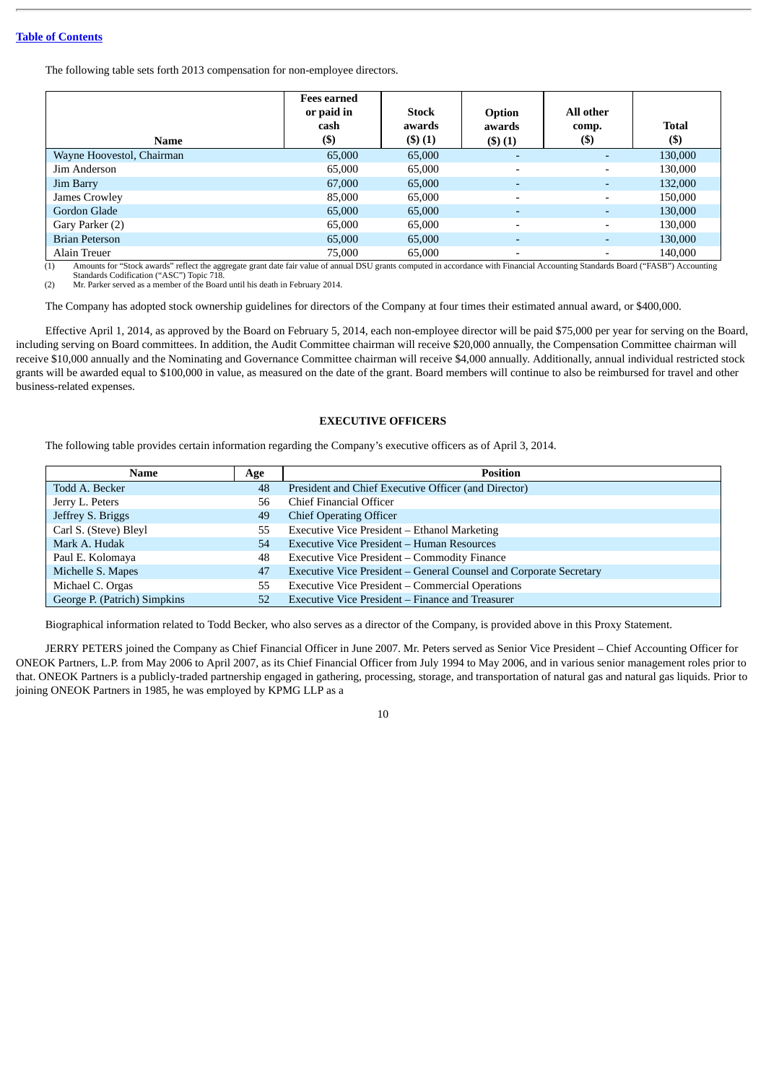The following table sets forth 2013 compensation for non-employee directors.

| Name                                           | Fees earned<br>or paid in<br>cash<br>$($ \$)           | Stock<br>awards<br>(3)(1) | <b>Option</b><br>awards<br>$($ \$ $)(1)$                         | All other<br>comp.<br>(\$) | <b>Total</b><br>$($ \$) |
|------------------------------------------------|--------------------------------------------------------|---------------------------|------------------------------------------------------------------|----------------------------|-------------------------|
| Wayne Hoovestol, Chairman                      | 65,000                                                 | 65,000                    | $\overline{\phantom{a}}$                                         |                            | 130,000                 |
| Jim Anderson                                   | 65,000                                                 | 65,000                    | $\overline{\phantom{a}}$                                         | $\overline{\phantom{0}}$   | 130,000                 |
| Jim Barry                                      | 67,000                                                 | 65,000                    | ٠                                                                |                            | 132,000                 |
| James Crowley                                  | 85,000                                                 | 65,000                    | $\overline{\phantom{a}}$                                         | $\overline{\phantom{0}}$   | 150,000                 |
| Gordon Glade                                   | 65,000                                                 | 65,000                    | ٠                                                                |                            | 130,000                 |
| Gary Parker (2)                                | 65.000                                                 | 65,000                    | $\overline{\phantom{0}}$                                         | $\overline{\phantom{a}}$   | 130,000                 |
| <b>Brian Peterson</b>                          | 65,000                                                 | 65,000                    | $\overline{a}$                                                   | $\overline{\phantom{0}}$   | 130,000                 |
| Alain Treuer<br>$\sim$ $\sim$ $\sim$<br>$\sim$ | 75,000<br>$\sim$ $\sim$ $\sim$ $\sim$<br>$\sim$ $   -$ | 65,000                    | $\overline{\phantom{a}}$<br>$\cdot$ $\cdot$ $\cdot$ $\cdot$<br>. |                            | 140,000<br>.            |

(1) Amounts for "Stock awards" reflect the aggregate grant date fair value of annual DSU grants computed in accordance with Financial Accounting Standards Board ("FASB") Accounting<br>Standards Codification ("ASC") Topic 718.

The Company has adopted stock ownership guidelines for directors of the Company at four times their estimated annual award, or \$400,000.

Effective April 1, 2014, as approved by the Board on February 5, 2014, each non-employee director will be paid \$75,000 per year for serving on the Board, including serving on Board committees. In addition, the Audit Committee chairman will receive \$20,000 annually, the Compensation Committee chairman will receive \$10,000 annually and the Nominating and Governance Committee chairman will receive \$4,000 annually. Additionally, annual individual restricted stock grants will be awarded equal to \$100,000 in value, as measured on the date of the grant. Board members will continue to also be reimbursed for travel and other business-related expenses.

#### **EXECUTIVE OFFICERS**

<span id="page-16-0"></span>The following table provides certain information regarding the Company's executive officers as of April 3, 2014.

| Name                         | Age | <b>Position</b>                                                    |
|------------------------------|-----|--------------------------------------------------------------------|
| Todd A. Becker               | 48  | President and Chief Executive Officer (and Director)               |
| Jerry L. Peters              | 56  | Chief Financial Officer                                            |
| Jeffrey S. Briggs            | 49  | <b>Chief Operating Officer</b>                                     |
| Carl S. (Steve) Bleyl        | 55  | Executive Vice President - Ethanol Marketing                       |
| Mark A. Hudak                | 54  | Executive Vice President - Human Resources                         |
| Paul E. Kolomaya             | 48  | Executive Vice President – Commodity Finance                       |
| Michelle S. Mapes            | 47  | Executive Vice President - General Counsel and Corporate Secretary |
| Michael C. Orgas             | 55  | Executive Vice President – Commercial Operations                   |
| George P. (Patrich) Simpkins | 52  | Executive Vice President - Finance and Treasurer                   |

Biographical information related to Todd Becker, who also serves as a director of the Company, is provided above in this Proxy Statement.

JERRY PETERS joined the Company as Chief Financial Officer in June 2007. Mr. Peters served as Senior Vice President – Chief Accounting Officer for ONEOK Partners, L.P. from May 2006 to April 2007, as its Chief Financial Officer from July 1994 to May 2006, and in various senior management roles prior to that. ONEOK Partners is a publicly-traded partnership engaged in gathering, processing, storage, and transportation of natural gas and natural gas liquids. Prior to joining ONEOK Partners in 1985, he was employed by KPMG LLP as a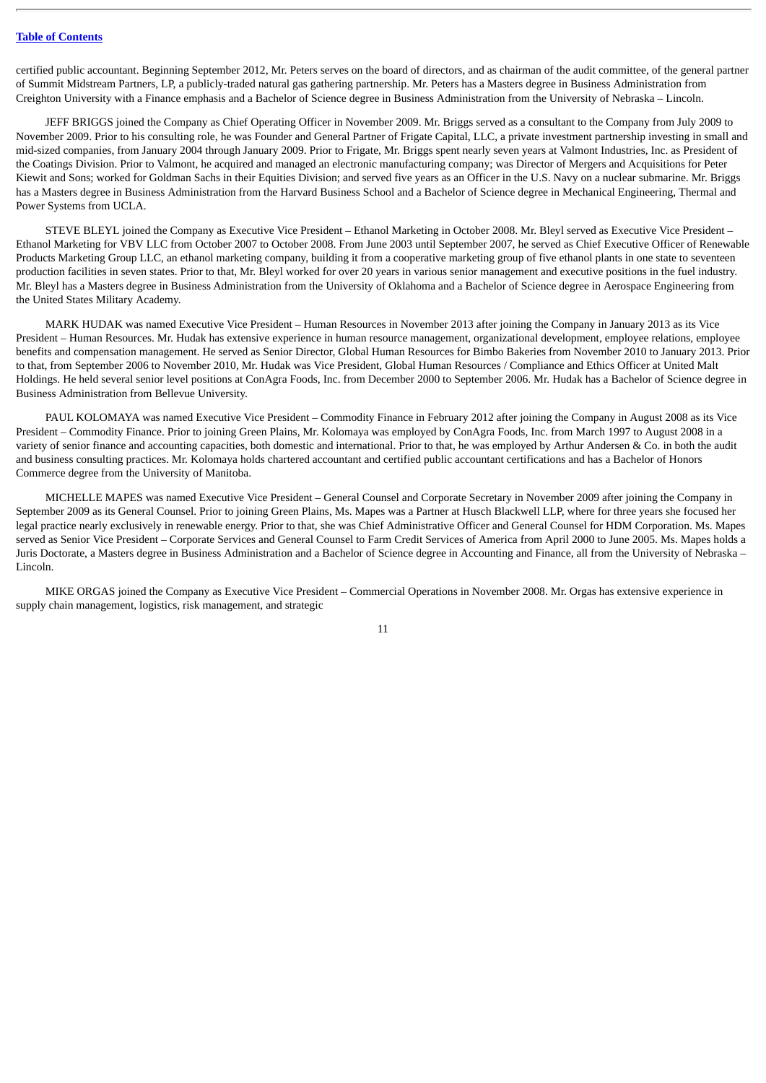certified public accountant. Beginning September 2012, Mr. Peters serves on the board of directors, and as chairman of the audit committee, of the general partner of Summit Midstream Partners, LP, a publicly-traded natural gas gathering partnership. Mr. Peters has a Masters degree in Business Administration from Creighton University with a Finance emphasis and a Bachelor of Science degree in Business Administration from the University of Nebraska – Lincoln.

JEFF BRIGGS joined the Company as Chief Operating Officer in November 2009. Mr. Briggs served as a consultant to the Company from July 2009 to November 2009. Prior to his consulting role, he was Founder and General Partner of Frigate Capital, LLC, a private investment partnership investing in small and mid-sized companies, from January 2004 through January 2009. Prior to Frigate, Mr. Briggs spent nearly seven years at Valmont Industries, Inc. as President of the Coatings Division. Prior to Valmont, he acquired and managed an electronic manufacturing company; was Director of Mergers and Acquisitions for Peter Kiewit and Sons; worked for Goldman Sachs in their Equities Division; and served five years as an Officer in the U.S. Navy on a nuclear submarine. Mr. Briggs has a Masters degree in Business Administration from the Harvard Business School and a Bachelor of Science degree in Mechanical Engineering, Thermal and Power Systems from UCLA.

STEVE BLEYL joined the Company as Executive Vice President – Ethanol Marketing in October 2008. Mr. Bleyl served as Executive Vice President – Ethanol Marketing for VBV LLC from October 2007 to October 2008. From June 2003 until September 2007, he served as Chief Executive Officer of Renewable Products Marketing Group LLC, an ethanol marketing company, building it from a cooperative marketing group of five ethanol plants in one state to seventeen production facilities in seven states. Prior to that, Mr. Bleyl worked for over 20 years in various senior management and executive positions in the fuel industry. Mr. Bleyl has a Masters degree in Business Administration from the University of Oklahoma and a Bachelor of Science degree in Aerospace Engineering from the United States Military Academy.

MARK HUDAK was named Executive Vice President – Human Resources in November 2013 after joining the Company in January 2013 as its Vice President – Human Resources. Mr. Hudak has extensive experience in human resource management, organizational development, employee relations, employee benefits and compensation management. He served as Senior Director, Global Human Resources for Bimbo Bakeries from November 2010 to January 2013. Prior to that, from September 2006 to November 2010, Mr. Hudak was Vice President, Global Human Resources / Compliance and Ethics Officer at United Malt Holdings. He held several senior level positions at ConAgra Foods, Inc. from December 2000 to September 2006. Mr. Hudak has a Bachelor of Science degree in Business Administration from Bellevue University.

PAUL KOLOMAYA was named Executive Vice President – Commodity Finance in February 2012 after joining the Company in August 2008 as its Vice President – Commodity Finance. Prior to joining Green Plains, Mr. Kolomaya was employed by ConAgra Foods, Inc. from March 1997 to August 2008 in a variety of senior finance and accounting capacities, both domestic and international. Prior to that, he was employed by Arthur Andersen & Co. in both the audit and business consulting practices. Mr. Kolomaya holds chartered accountant and certified public accountant certifications and has a Bachelor of Honors Commerce degree from the University of Manitoba.

MICHELLE MAPES was named Executive Vice President – General Counsel and Corporate Secretary in November 2009 after joining the Company in September 2009 as its General Counsel. Prior to joining Green Plains, Ms. Mapes was a Partner at Husch Blackwell LLP, where for three years she focused her legal practice nearly exclusively in renewable energy. Prior to that, she was Chief Administrative Officer and General Counsel for HDM Corporation. Ms. Mapes served as Senior Vice President – Corporate Services and General Counsel to Farm Credit Services of America from April 2000 to June 2005. Ms. Mapes holds a Juris Doctorate, a Masters degree in Business Administration and a Bachelor of Science degree in Accounting and Finance, all from the University of Nebraska -Lincoln.

MIKE ORGAS joined the Company as Executive Vice President – Commercial Operations in November 2008. Mr. Orgas has extensive experience in supply chain management, logistics, risk management, and strategic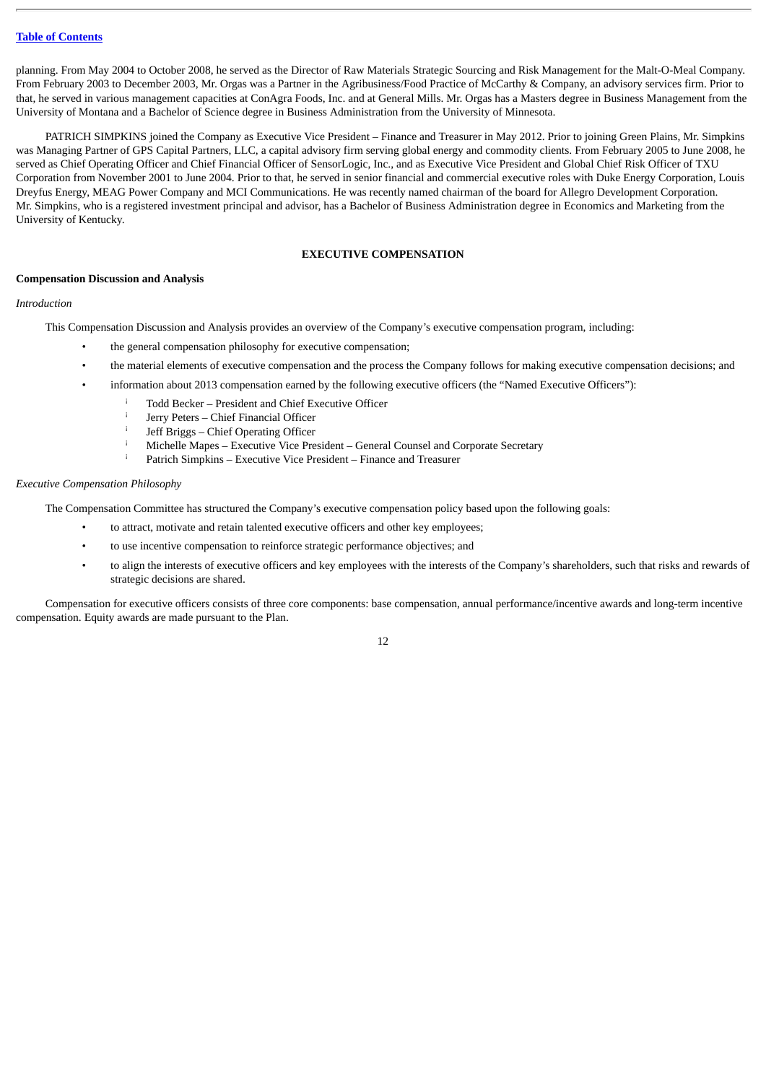planning. From May 2004 to October 2008, he served as the Director of Raw Materials Strategic Sourcing and Risk Management for the Malt-O-Meal Company. From February 2003 to December 2003, Mr. Orgas was a Partner in the Agribusiness/Food Practice of McCarthy & Company, an advisory services firm. Prior to that, he served in various management capacities at ConAgra Foods, Inc. and at General Mills. Mr. Orgas has a Masters degree in Business Management from the University of Montana and a Bachelor of Science degree in Business Administration from the University of Minnesota.

PATRICH SIMPKINS joined the Company as Executive Vice President – Finance and Treasurer in May 2012. Prior to joining Green Plains, Mr. Simpkins was Managing Partner of GPS Capital Partners, LLC, a capital advisory firm serving global energy and commodity clients. From February 2005 to June 2008, he served as Chief Operating Officer and Chief Financial Officer of SensorLogic, Inc., and as Executive Vice President and Global Chief Risk Officer of TXU Corporation from November 2001 to June 2004. Prior to that, he served in senior financial and commercial executive roles with Duke Energy Corporation, Louis Dreyfus Energy, MEAG Power Company and MCI Communications. He was recently named chairman of the board for Allegro Development Corporation. Mr. Simpkins, who is a registered investment principal and advisor, has a Bachelor of Business Administration degree in Economics and Marketing from the University of Kentucky.

#### **EXECUTIVE COMPENSATION**

#### <span id="page-18-1"></span><span id="page-18-0"></span>**Compensation Discussion and Analysis**

## *Introduction*

This Compensation Discussion and Analysis provides an overview of the Company's executive compensation program, including:

- the general compensation philosophy for executive compensation;
- the material elements of executive compensation and the process the Company follows for making executive compensation decisions; and
- information about 2013 compensation earned by the following executive officers (the "Named Executive Officers"):
	- Todd Becker President and Chief Executive Officer ¡
	- Jerry Peters Chief Financial Officer ¡
	- Jeff Briggs Chief Operating Officer ¡
	- Michelle Mapes Executive Vice President General Counsel and Corporate Secretary ¡
	- Patrich Simpkins Executive Vice President Finance and Treasurer ¡

## *Executive Compensation Philosophy*

The Compensation Committee has structured the Company's executive compensation policy based upon the following goals:

- to attract, motivate and retain talented executive officers and other key employees;
- to use incentive compensation to reinforce strategic performance objectives; and
- to align the interests of executive officers and key employees with the interests of the Company's shareholders, such that risks and rewards of strategic decisions are shared.

Compensation for executive officers consists of three core components: base compensation, annual performance/incentive awards and long-term incentive compensation. Equity awards are made pursuant to the Plan.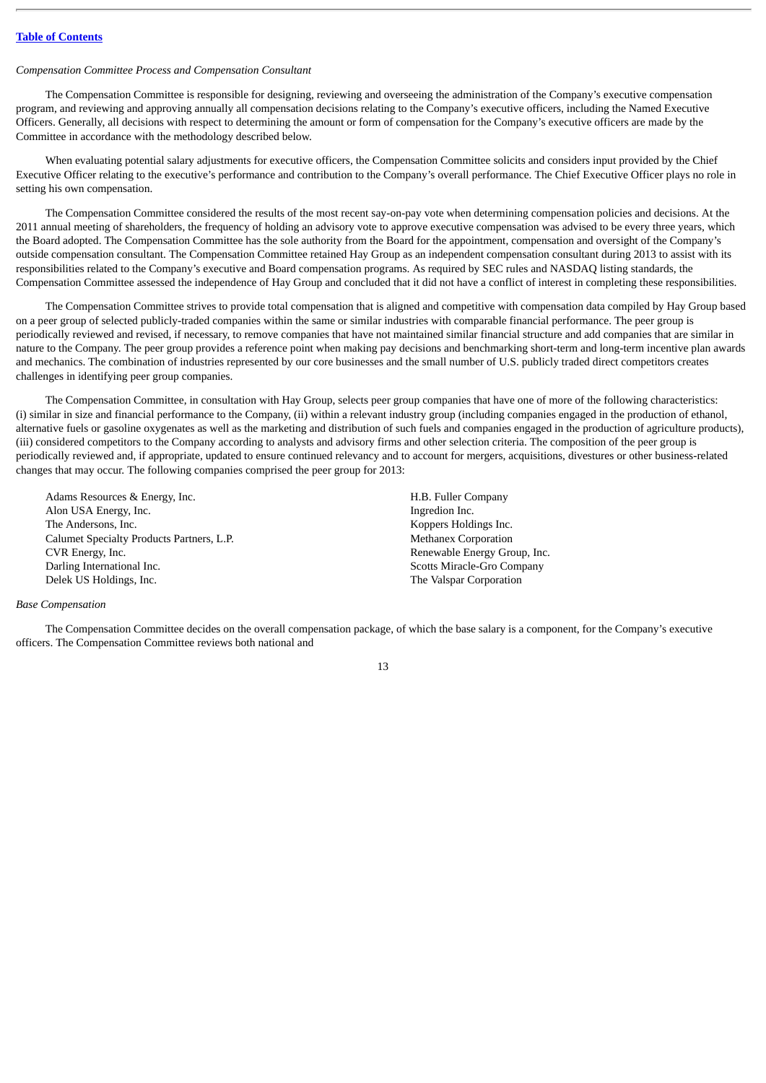# *Compensation Committee Process and Compensation Consultant*

The Compensation Committee is responsible for designing, reviewing and overseeing the administration of the Company's executive compensation program, and reviewing and approving annually all compensation decisions relating to the Company's executive officers, including the Named Executive Officers. Generally, all decisions with respect to determining the amount or form of compensation for the Company's executive officers are made by the Committee in accordance with the methodology described below.

When evaluating potential salary adjustments for executive officers, the Compensation Committee solicits and considers input provided by the Chief Executive Officer relating to the executive's performance and contribution to the Company's overall performance. The Chief Executive Officer plays no role in setting his own compensation.

The Compensation Committee considered the results of the most recent say-on-pay vote when determining compensation policies and decisions. At the 2011 annual meeting of shareholders, the frequency of holding an advisory vote to approve executive compensation was advised to be every three years, which the Board adopted. The Compensation Committee has the sole authority from the Board for the appointment, compensation and oversight of the Company's outside compensation consultant. The Compensation Committee retained Hay Group as an independent compensation consultant during 2013 to assist with its responsibilities related to the Company's executive and Board compensation programs. As required by SEC rules and NASDAQ listing standards, the Compensation Committee assessed the independence of Hay Group and concluded that it did not have a conflict of interest in completing these responsibilities.

The Compensation Committee strives to provide total compensation that is aligned and competitive with compensation data compiled by Hay Group based on a peer group of selected publicly-traded companies within the same or similar industries with comparable financial performance. The peer group is periodically reviewed and revised, if necessary, to remove companies that have not maintained similar financial structure and add companies that are similar in nature to the Company. The peer group provides a reference point when making pay decisions and benchmarking short-term and long-term incentive plan awards and mechanics. The combination of industries represented by our core businesses and the small number of U.S. publicly traded direct competitors creates challenges in identifying peer group companies.

The Compensation Committee, in consultation with Hay Group, selects peer group companies that have one of more of the following characteristics: (i) similar in size and financial performance to the Company, (ii) within a relevant industry group (including companies engaged in the production of ethanol, alternative fuels or gasoline oxygenates as well as the marketing and distribution of such fuels and companies engaged in the production of agriculture products), (iii) considered competitors to the Company according to analysts and advisory firms and other selection criteria. The composition of the peer group is periodically reviewed and, if appropriate, updated to ensure continued relevancy and to account for mergers, acquisitions, divestures or other business-related changes that may occur. The following companies comprised the peer group for 2013:

Adams Resources & Energy, Inc. The extent of the extent of the H.B. Fuller Company Alon USA Energy, Inc. The state of the state of the state of the state of the state of the state of the state of the state of the state of the state of the state of the state of the state of the state of the state of the s The Andersons, Inc. **Example 2018** 2018 12:30 Koppers Holdings Inc. Calumet Specialty Products Partners, L.P. Methanex Corporation CVR Energy, Inc. **Example Energy Group, Inc.** Renewable Energy Group, Inc. Darling International Inc. Scotts Miracle-Gro Company Delek US Holdings, Inc. The Valspar Corporation

#### *Base Compensation*

The Compensation Committee decides on the overall compensation package, of which the base salary is a component, for the Company's executive officers. The Compensation Committee reviews both national and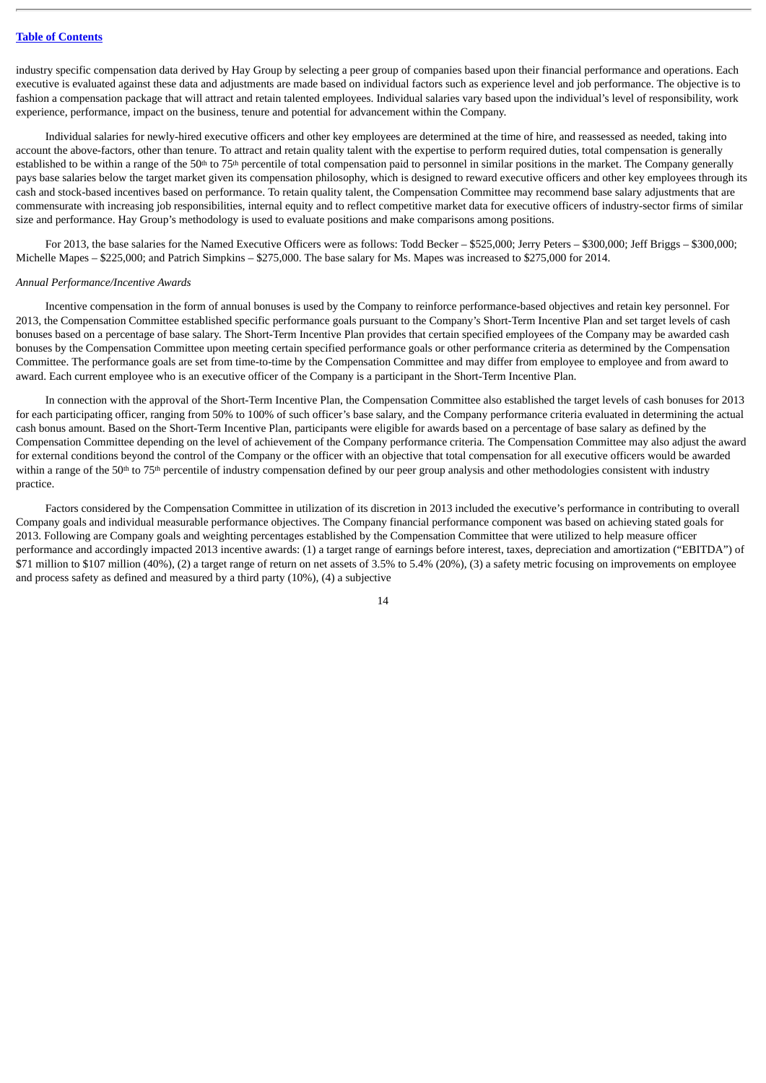industry specific compensation data derived by Hay Group by selecting a peer group of companies based upon their financial performance and operations. Each executive is evaluated against these data and adjustments are made based on individual factors such as experience level and job performance. The objective is to fashion a compensation package that will attract and retain talented employees. Individual salaries vary based upon the individual's level of responsibility, work experience, performance, impact on the business, tenure and potential for advancement within the Company.

Individual salaries for newly-hired executive officers and other key employees are determined at the time of hire, and reassessed as needed, taking into account the above-factors, other than tenure. To attract and retain quality talent with the expertise to perform required duties, total compensation is generally established to be within a range of the 50<sup>th</sup> to 75<sup>th</sup> percentile of total compensation paid to personnel in similar positions in the market. The Company generally pays base salaries below the target market given its compensation philosophy, which is designed to reward executive officers and other key employees through its cash and stock-based incentives based on performance. To retain quality talent, the Compensation Committee may recommend base salary adjustments that are commensurate with increasing job responsibilities, internal equity and to reflect competitive market data for executive officers of industry-sector firms of similar size and performance. Hay Group's methodology is used to evaluate positions and make comparisons among positions.

For 2013, the base salaries for the Named Executive Officers were as follows: Todd Becker – \$525,000; Jerry Peters – \$300,000; Jeff Briggs – \$300,000; Michelle Mapes – \$225,000; and Patrich Simpkins – \$275,000. The base salary for Ms. Mapes was increased to \$275,000 for 2014.

#### *Annual Performance/Incentive Awards*

Incentive compensation in the form of annual bonuses is used by the Company to reinforce performance-based objectives and retain key personnel. For 2013, the Compensation Committee established specific performance goals pursuant to the Company's Short-Term Incentive Plan and set target levels of cash bonuses based on a percentage of base salary. The Short-Term Incentive Plan provides that certain specified employees of the Company may be awarded cash bonuses by the Compensation Committee upon meeting certain specified performance goals or other performance criteria as determined by the Compensation Committee. The performance goals are set from time-to-time by the Compensation Committee and may differ from employee to employee and from award to award. Each current employee who is an executive officer of the Company is a participant in the Short-Term Incentive Plan.

In connection with the approval of the Short-Term Incentive Plan, the Compensation Committee also established the target levels of cash bonuses for 2013 for each participating officer, ranging from 50% to 100% of such officer's base salary, and the Company performance criteria evaluated in determining the actual cash bonus amount. Based on the Short-Term Incentive Plan, participants were eligible for awards based on a percentage of base salary as defined by the Compensation Committee depending on the level of achievement of the Company performance criteria. The Compensation Committee may also adjust the award for external conditions beyond the control of the Company or the officer with an objective that total compensation for all executive officers would be awarded within a range of the 50<sup>th</sup> to 75<sup>th</sup> percentile of industry compensation defined by our peer group analysis and other methodologies consistent with industry practice.

Factors considered by the Compensation Committee in utilization of its discretion in 2013 included the executive's performance in contributing to overall Company goals and individual measurable performance objectives. The Company financial performance component was based on achieving stated goals for 2013. Following are Company goals and weighting percentages established by the Compensation Committee that were utilized to help measure officer performance and accordingly impacted 2013 incentive awards: (1) a target range of earnings before interest, taxes, depreciation and amortization ("EBITDA") of \$71 million to \$107 million (40%), (2) a target range of return on net assets of 3.5% to 5.4% (20%), (3) a safety metric focusing on improvements on employee and process safety as defined and measured by a third party (10%), (4) a subjective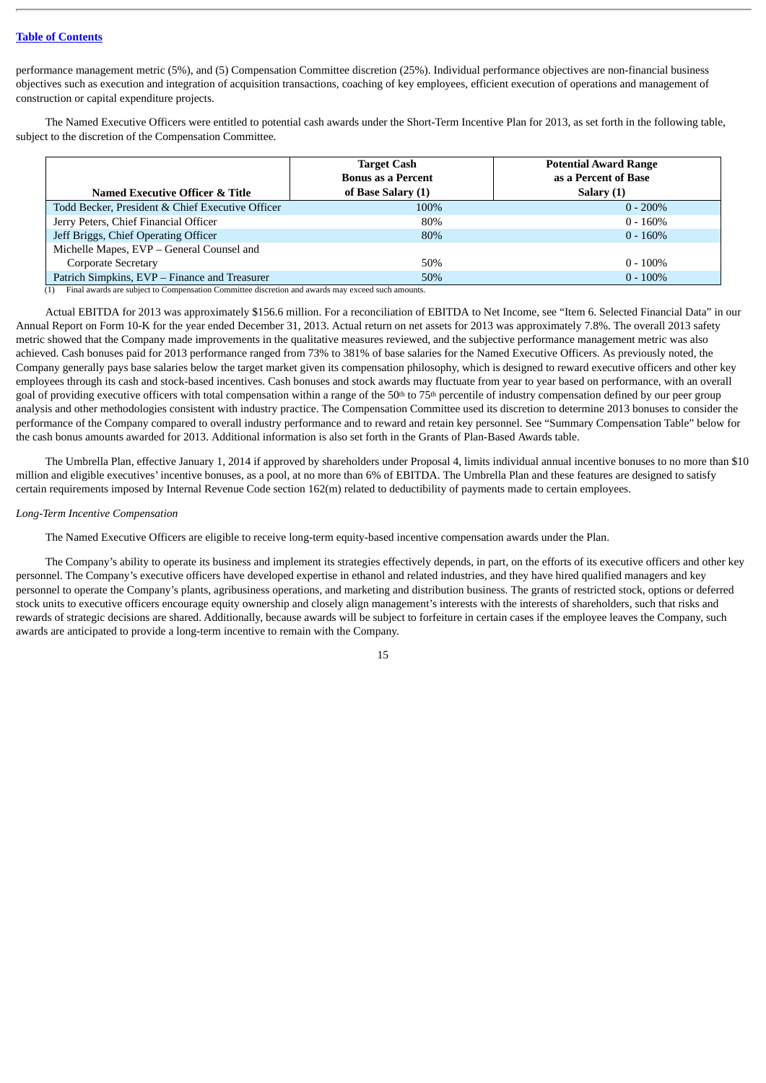performance management metric (5%), and (5) Compensation Committee discretion (25%). Individual performance objectives are non-financial business objectives such as execution and integration of acquisition transactions, coaching of key employees, efficient execution of operations and management of construction or capital expenditure projects.

The Named Executive Officers were entitled to potential cash awards under the Short-Term Incentive Plan for 2013, as set forth in the following table, subject to the discretion of the Compensation Committee.

| <b>Named Executive Officer &amp; Title</b>       | <b>Target Cash</b><br><b>Bonus as a Percent</b><br>of Base Salary (1) | <b>Potential Award Range</b><br>as a Percent of Base<br>Salary (1) |
|--------------------------------------------------|-----------------------------------------------------------------------|--------------------------------------------------------------------|
| Todd Becker, President & Chief Executive Officer | 100%                                                                  | $0 - 200\%$                                                        |
| Jerry Peters, Chief Financial Officer            | 80%                                                                   | $0 - 160%$                                                         |
| Jeff Briggs, Chief Operating Officer             | 80%                                                                   | $0 - 160\%$                                                        |
| Michelle Mapes, EVP - General Counsel and        |                                                                       |                                                                    |
| Corporate Secretary                              | 50%                                                                   | $0 - 100\%$                                                        |
| Patrich Simpkins, EVP – Finance and Treasurer    | 50%                                                                   | $0 - 100\%$                                                        |

(1) Final awards are subject to Compensation Committee discretion and awards may exceed such amounts.

Actual EBITDA for 2013 was approximately \$156.6 million. For a reconciliation of EBITDA to Net Income, see "Item 6. Selected Financial Data" in our Annual Report on Form 10-K for the year ended December 31, 2013. Actual return on net assets for 2013 was approximately 7.8%. The overall 2013 safety metric showed that the Company made improvements in the qualitative measures reviewed, and the subjective performance management metric was also achieved. Cash bonuses paid for 2013 performance ranged from 73% to 381% of base salaries for the Named Executive Officers. As previously noted, the Company generally pays base salaries below the target market given its compensation philosophy, which is designed to reward executive officers and other key employees through its cash and stock-based incentives. Cash bonuses and stock awards may fluctuate from year to year based on performance, with an overall goal of providing executive officers with total compensation within a range of the  $50<sup>th</sup>$  to  $75<sup>th</sup>$  percentile of industry compensation defined by our peer group analysis and other methodologies consistent with industry practice. The Compensation Committee used its discretion to determine 2013 bonuses to consider the performance of the Company compared to overall industry performance and to reward and retain key personnel. See "Summary Compensation Table" below for the cash bonus amounts awarded for 2013. Additional information is also set forth in the Grants of Plan-Based Awards table.

The Umbrella Plan, effective January 1, 2014 if approved by shareholders under Proposal 4, limits individual annual incentive bonuses to no more than \$10 million and eligible executives' incentive bonuses, as a pool, at no more than 6% of EBITDA. The Umbrella Plan and these features are designed to satisfy certain requirements imposed by Internal Revenue Code section 162(m) related to deductibility of payments made to certain employees.

## *Long-Term Incentive Compensation*

The Named Executive Officers are eligible to receive long-term equity-based incentive compensation awards under the Plan.

The Company's ability to operate its business and implement its strategies effectively depends, in part, on the efforts of its executive officers and other key personnel. The Company's executive officers have developed expertise in ethanol and related industries, and they have hired qualified managers and key personnel to operate the Company's plants, agribusiness operations, and marketing and distribution business. The grants of restricted stock, options or deferred stock units to executive officers encourage equity ownership and closely align management's interests with the interests of shareholders, such that risks and rewards of strategic decisions are shared. Additionally, because awards will be subject to forfeiture in certain cases if the employee leaves the Company, such awards are anticipated to provide a long-term incentive to remain with the Company.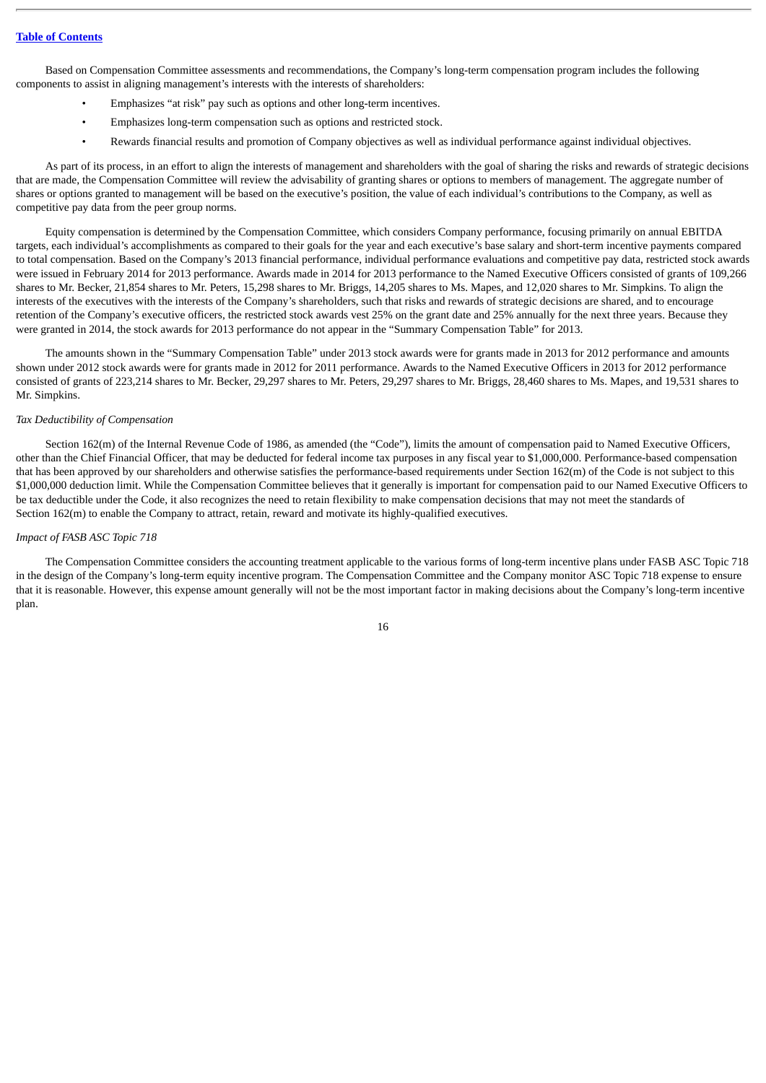Based on Compensation Committee assessments and recommendations, the Company's long-term compensation program includes the following components to assist in aligning management's interests with the interests of shareholders:

- Emphasizes "at risk" pay such as options and other long-term incentives.
- Emphasizes long-term compensation such as options and restricted stock.
- Rewards financial results and promotion of Company objectives as well as individual performance against individual objectives.

As part of its process, in an effort to align the interests of management and shareholders with the goal of sharing the risks and rewards of strategic decisions that are made, the Compensation Committee will review the advisability of granting shares or options to members of management. The aggregate number of shares or options granted to management will be based on the executive's position, the value of each individual's contributions to the Company, as well as competitive pay data from the peer group norms.

Equity compensation is determined by the Compensation Committee, which considers Company performance, focusing primarily on annual EBITDA targets, each individual's accomplishments as compared to their goals for the year and each executive's base salary and short-term incentive payments compared to total compensation. Based on the Company's 2013 financial performance, individual performance evaluations and competitive pay data, restricted stock awards were issued in February 2014 for 2013 performance. Awards made in 2014 for 2013 performance to the Named Executive Officers consisted of grants of 109,266 shares to Mr. Becker, 21,854 shares to Mr. Peters, 15,298 shares to Mr. Briggs, 14,205 shares to Ms. Mapes, and 12,020 shares to Mr. Simpkins. To align the interests of the executives with the interests of the Company's shareholders, such that risks and rewards of strategic decisions are shared, and to encourage retention of the Company's executive officers, the restricted stock awards vest 25% on the grant date and 25% annually for the next three years. Because they were granted in 2014, the stock awards for 2013 performance do not appear in the "Summary Compensation Table" for 2013.

The amounts shown in the "Summary Compensation Table" under 2013 stock awards were for grants made in 2013 for 2012 performance and amounts shown under 2012 stock awards were for grants made in 2012 for 2011 performance. Awards to the Named Executive Officers in 2013 for 2012 performance consisted of grants of 223,214 shares to Mr. Becker, 29,297 shares to Mr. Peters, 29,297 shares to Mr. Briggs, 28,460 shares to Ms. Mapes, and 19,531 shares to Mr. Simpkins.

### *Tax Deductibility of Compensation*

Section 162(m) of the Internal Revenue Code of 1986, as amended (the "Code"), limits the amount of compensation paid to Named Executive Officers, other than the Chief Financial Officer, that may be deducted for federal income tax purposes in any fiscal year to \$1,000,000. Performance-based compensation that has been approved by our shareholders and otherwise satisfies the performance-based requirements under Section 162(m) of the Code is not subject to this \$1,000,000 deduction limit. While the Compensation Committee believes that it generally is important for compensation paid to our Named Executive Officers to be tax deductible under the Code, it also recognizes the need to retain flexibility to make compensation decisions that may not meet the standards of Section 162(m) to enable the Company to attract, retain, reward and motivate its highly-qualified executives.

#### *Impact of FASB ASC Topic 718*

The Compensation Committee considers the accounting treatment applicable to the various forms of long-term incentive plans under FASB ASC Topic 718 in the design of the Company's long-term equity incentive program. The Compensation Committee and the Company monitor ASC Topic 718 expense to ensure that it is reasonable. However, this expense amount generally will not be the most important factor in making decisions about the Company's long-term incentive plan.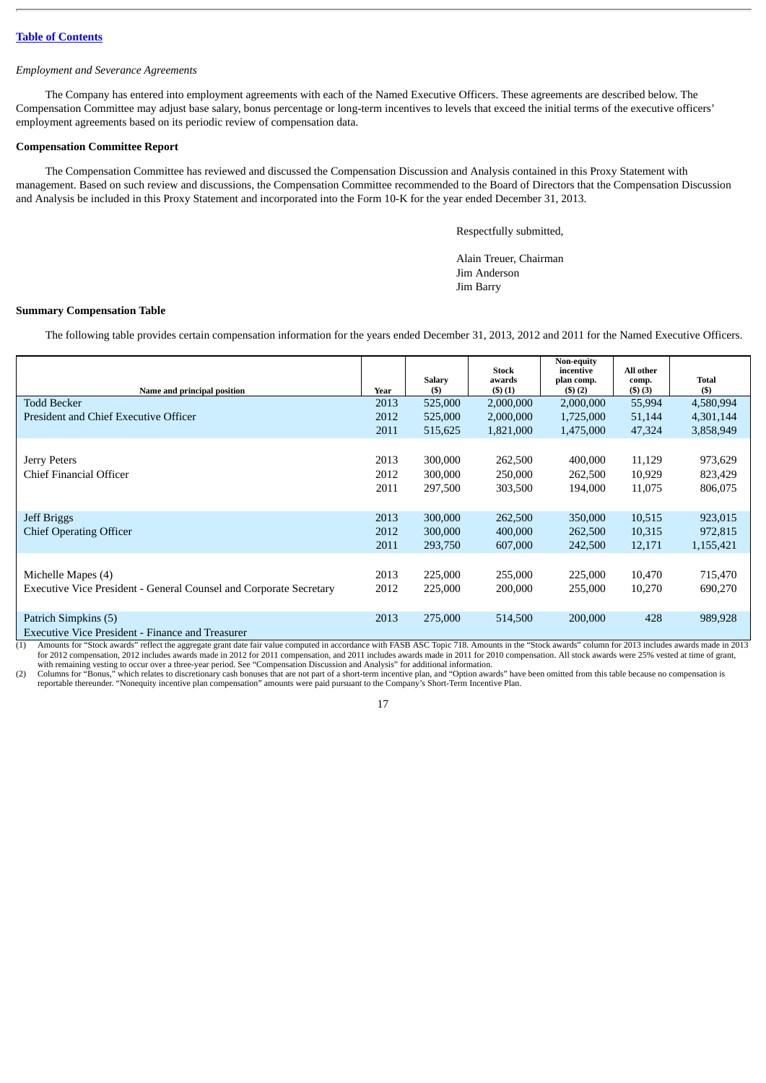## *Employment and Severance Agreements*

The Company has entered into employment agreements with each of the Named Executive Officers. These agreements are described below. The Compensation Committee may adjust base salary, bonus percentage or long-term incentives to levels that exceed the initial terms of the executive officers' employment agreements based on its periodic review of compensation data.

# <span id="page-23-0"></span>**Compensation Committee Report**

The Compensation Committee has reviewed and discussed the Compensation Discussion and Analysis contained in this Proxy Statement with management. Based on such review and discussions, the Compensation Committee recommended to the Board of Directors that the Compensation Discussion and Analysis be included in this Proxy Statement and incorporated into the Form 10-K for the year ended December 31, 2013.

Respectfully submitted,

Alain Treuer, Chairman Jim Anderson Jim Barry

# <span id="page-23-1"></span>**Summary Compensation Table**

The following table provides certain compensation information for the years ended December 31, 2013, 2012 and 2011 for the Named Executive Officers.

| Name and principal position                                               | Year | <b>Salary</b><br>$($ \$ | <b>Stock</b><br>awards<br>(3)(1) | Non-equity<br>incentive<br>plan comp.<br>(3)(2) | All other<br>comp.<br>(3)(3) | Total<br>$($)$ |
|---------------------------------------------------------------------------|------|-------------------------|----------------------------------|-------------------------------------------------|------------------------------|----------------|
| <b>Todd Becker</b>                                                        | 2013 | 525,000                 | 2,000,000                        | 2,000,000                                       | 55,994                       | 4,580,994      |
| President and Chief Executive Officer                                     | 2012 | 525,000                 | 2,000,000                        | 1,725,000                                       | 51,144                       | 4,301,144      |
|                                                                           | 2011 | 515,625                 | 1,821,000                        | 1,475,000                                       | 47,324                       | 3,858,949      |
|                                                                           |      |                         |                                  |                                                 |                              |                |
| Jerry Peters                                                              | 2013 | 300,000                 | 262,500                          | 400,000                                         | 11,129                       | 973,629        |
| Chief Financial Officer                                                   | 2012 | 300,000                 | 250,000                          | 262,500                                         | 10,929                       | 823,429        |
|                                                                           | 2011 | 297,500                 | 303,500                          | 194,000                                         | 11,075                       | 806,075        |
|                                                                           |      |                         |                                  |                                                 |                              |                |
| <b>Jeff Briggs</b>                                                        | 2013 | 300,000                 | 262,500                          | 350,000                                         | 10,515                       | 923,015        |
| <b>Chief Operating Officer</b>                                            | 2012 | 300,000                 | 400,000                          | 262,500                                         | 10,315                       | 972,815        |
|                                                                           | 2011 | 293,750                 | 607,000                          | 242,500                                         | 12,171                       | 1,155,421      |
|                                                                           |      |                         |                                  |                                                 |                              |                |
| Michelle Mapes (4)                                                        | 2013 | 225,000                 | 255,000                          | 225,000                                         | 10,470                       | 715,470        |
| <b>Executive Vice President - General Counsel and Corporate Secretary</b> | 2012 | 225,000                 | 200,000                          | 255,000                                         | 10,270                       | 690,270        |
|                                                                           |      |                         |                                  |                                                 |                              |                |
| Patrich Simpkins (5)                                                      | 2013 | 275,000                 | 514,500                          | 200,000                                         | 428                          | 989,928        |
| Executive Vice President - Finance and Treasurer                          |      |                         |                                  |                                                 |                              |                |

Executive Vice President - Finance and Treasurer

13013 (1) Amounts for "Stock awards" reflect the aggregate grant date fair value computed in accordance with FASB ASC Topic 718. Amounts in the "Stock awards" column for 2013 includes awards made in 2013<br>for 2012 compensat with remaining vesting to occur over a three-year period. See "Compensation Discussion and Analysis" for additional information.

(2) Columns for "Bonus," which relates to discretionary cash bonuses that are not part of a short-term incentive plan, and "Option awards" have been omitted from this table because no compensation is reportable thereunder.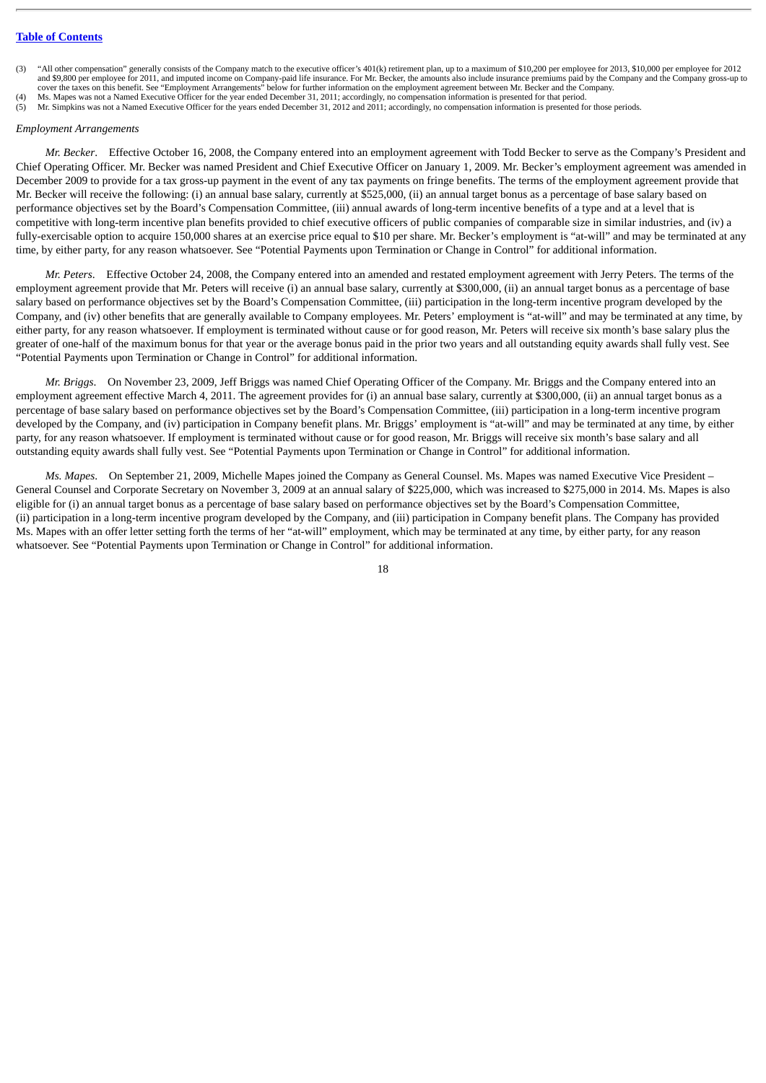- "All other compensation" generally consists of the Company match to the executive officer's 401(k) retirement plan, up to a maximum of \$10,200 per employee for 2013, \$10,000 per employee for 2012 and \$9,800 per employee for 2011, and imputed income on Company-paid life insurance. For Mr. Becker, the amounts also include insurance premiums paid by the Company and the Company gross-up to cover the taxes on this benefit. See "Employment Arrangements" below for further information on the employment agreement between Mr. Becker and the Company.
- 
- Ms. Mapes was not a Named Executive Officer for the year ended December 31, 2011; accordingly, no compensation information is presented for that period.<br>
(5) Mr. Simpkins was not a Named Executive Officer for the years end (5) Mr. Simpkins was not a Named Executive Officer for the years ended December 31, 2012 and 2011; accordingly, no compensation information is presented for those periods.

#### *Employment Arrangements*

*Mr. Becker*. Effective October 16, 2008, the Company entered into an employment agreement with Todd Becker to serve as the Company's President and Chief Operating Officer. Mr. Becker was named President and Chief Executive Officer on January 1, 2009. Mr. Becker's employment agreement was amended in December 2009 to provide for a tax gross-up payment in the event of any tax payments on fringe benefits. The terms of the employment agreement provide that Mr. Becker will receive the following: (i) an annual base salary, currently at \$525,000, (ii) an annual target bonus as a percentage of base salary based on performance objectives set by the Board's Compensation Committee, (iii) annual awards of long-term incentive benefits of a type and at a level that is competitive with long-term incentive plan benefits provided to chief executive officers of public companies of comparable size in similar industries, and (iv) a fully-exercisable option to acquire 150,000 shares at an exercise price equal to \$10 per share. Mr. Becker's employment is "at-will" and may be terminated at any time, by either party, for any reason whatsoever. See "Potential Payments upon Termination or Change in Control" for additional information.

*Mr. Peters*. Effective October 24, 2008, the Company entered into an amended and restated employment agreement with Jerry Peters. The terms of the employment agreement provide that Mr. Peters will receive (i) an annual base salary, currently at \$300,000, (ii) an annual target bonus as a percentage of base salary based on performance objectives set by the Board's Compensation Committee, (iii) participation in the long-term incentive program developed by the Company, and (iv) other benefits that are generally available to Company employees. Mr. Peters' employment is "at-will" and may be terminated at any time, by either party, for any reason whatsoever. If employment is terminated without cause or for good reason, Mr. Peters will receive six month's base salary plus the greater of one-half of the maximum bonus for that year or the average bonus paid in the prior two years and all outstanding equity awards shall fully vest. See "Potential Payments upon Termination or Change in Control" for additional information.

*Mr. Briggs*. On November 23, 2009, Jeff Briggs was named Chief Operating Officer of the Company. Mr. Briggs and the Company entered into an employment agreement effective March 4, 2011. The agreement provides for (i) an annual base salary, currently at \$300,000, (ii) an annual target bonus as a percentage of base salary based on performance objectives set by the Board's Compensation Committee, (iii) participation in a long-term incentive program developed by the Company, and (iv) participation in Company benefit plans. Mr. Briggs' employment is "at-will" and may be terminated at any time, by either party, for any reason whatsoever. If employment is terminated without cause or for good reason, Mr. Briggs will receive six month's base salary and all outstanding equity awards shall fully vest. See "Potential Payments upon Termination or Change in Control" for additional information.

*Ms. Mapes*. On September 21, 2009, Michelle Mapes joined the Company as General Counsel. Ms. Mapes was named Executive Vice President – General Counsel and Corporate Secretary on November 3, 2009 at an annual salary of \$225,000, which was increased to \$275,000 in 2014. Ms. Mapes is also eligible for (i) an annual target bonus as a percentage of base salary based on performance objectives set by the Board's Compensation Committee, (ii) participation in a long-term incentive program developed by the Company, and (iii) participation in Company benefit plans. The Company has provided Ms. Mapes with an offer letter setting forth the terms of her "at-will" employment, which may be terminated at any time, by either party, for any reason whatsoever. See "Potential Payments upon Termination or Change in Control" for additional information.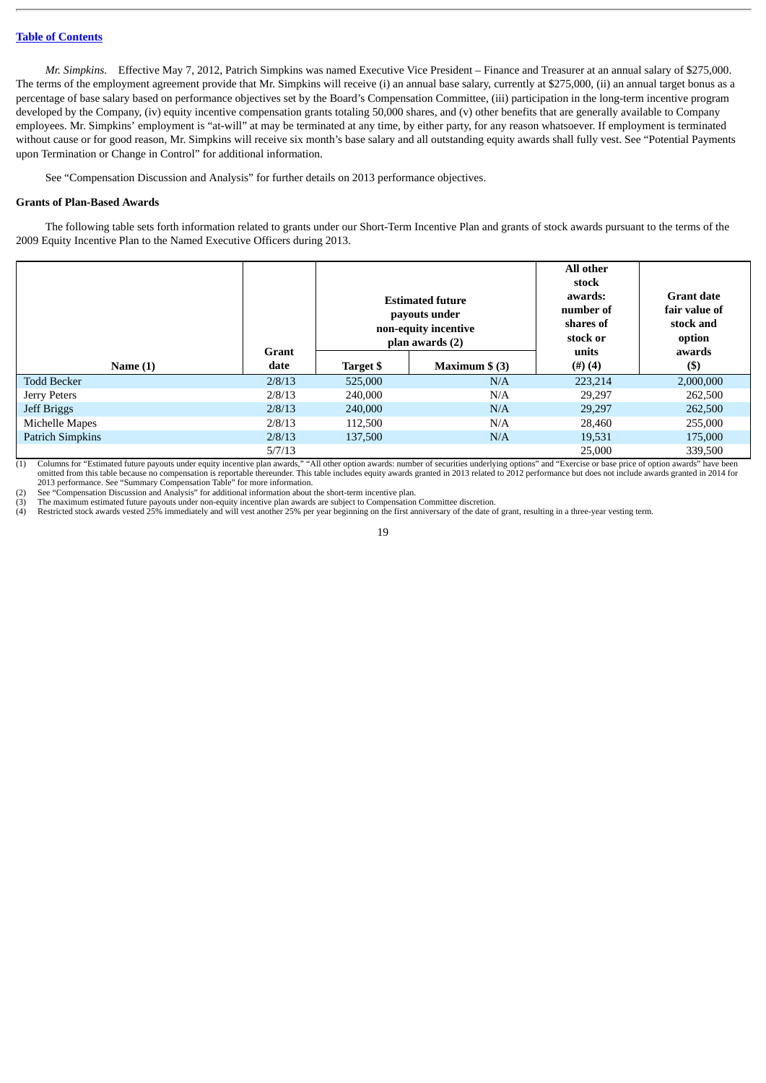*Mr. Simpkins*. Effective May 7, 2012, Patrich Simpkins was named Executive Vice President – Finance and Treasurer at an annual salary of \$275,000. The terms of the employment agreement provide that Mr. Simpkins will receive (i) an annual base salary, currently at \$275,000, (ii) an annual target bonus as a percentage of base salary based on performance objectives set by the Board's Compensation Committee, (iii) participation in the long-term incentive program developed by the Company, (iv) equity incentive compensation grants totaling 50,000 shares, and (v) other benefits that are generally available to Company employees. Mr. Simpkins' employment is "at-will" at may be terminated at any time, by either party, for any reason whatsoever. If employment is terminated without cause or for good reason, Mr. Simpkins will receive six month's base salary and all outstanding equity awards shall fully vest. See "Potential Payments upon Termination or Change in Control" for additional information.

See "Compensation Discussion and Analysis" for further details on 2013 performance objectives.

## <span id="page-25-0"></span>**Grants of Plan-Based Awards**

The following table sets forth information related to grants under our Short-Term Incentive Plan and grants of stock awards pursuant to the terms of the 2009 Equity Incentive Plan to the Named Executive Officers during 2013.

|                         |               | <b>Estimated future</b><br>payouts under<br>non-equity incentive<br>plan awards (2) |                 | All other<br>stock<br>awards:<br>number of<br>shares of<br>stock or | <b>Grant date</b><br>fair value of<br>stock and<br>option |
|-------------------------|---------------|-------------------------------------------------------------------------------------|-----------------|---------------------------------------------------------------------|-----------------------------------------------------------|
| Name $(1)$              | Grant<br>date | Target \$                                                                           | Maximum $$$ (3) | units<br>(4)(4)                                                     | awards<br>$($ \$                                          |
| <b>Todd Becker</b>      | 2/8/13        | 525,000                                                                             | N/A             | 223.214                                                             | 2,000,000                                                 |
| Jerry Peters            | 2/8/13        | 240,000                                                                             | N/A             | 29,297                                                              | 262,500                                                   |
| Jeff Briggs             | 2/8/13        | 240,000                                                                             | N/A             | 29,297                                                              | 262,500                                                   |
| Michelle Mapes          | 2/8/13        | 112,500                                                                             | N/A             | 28,460                                                              | 255,000                                                   |
| <b>Patrich Simpkins</b> | 2/8/13        | 137,500                                                                             | N/A             | 19,531                                                              | 175,000                                                   |
|                         | 5/7/13        |                                                                                     |                 | 25,000                                                              | 339,500                                                   |

(1) Columns for "Estimated future payouts under equity incentive plan awards," "All other option awards: number of securities underlying options" and "Exercise or base price of option awards" have been omitted from this table because no compensation is reportable thereunder. This table includes equity awards granted in 2013 related to 2012 performance but does not include awards granted in 2014 for 2013 performance. See "Summary Compensation Table" for more information.

(2) See "Compensation Discussion and Analysis" for additional information about the short-term incentive plan. (3) The maximum estimated future payouts under non-equity incentive plan awards are subject to Compensation Committee discretion.<br>(4) Restricted stock awards vested 25% immediately and will vest another 25% per year beginn

Restricted stock awards vested 25% immediately and will vest another 25% per year beginning on the first anniversary of the date of grant, resulting in a three-year vesting term.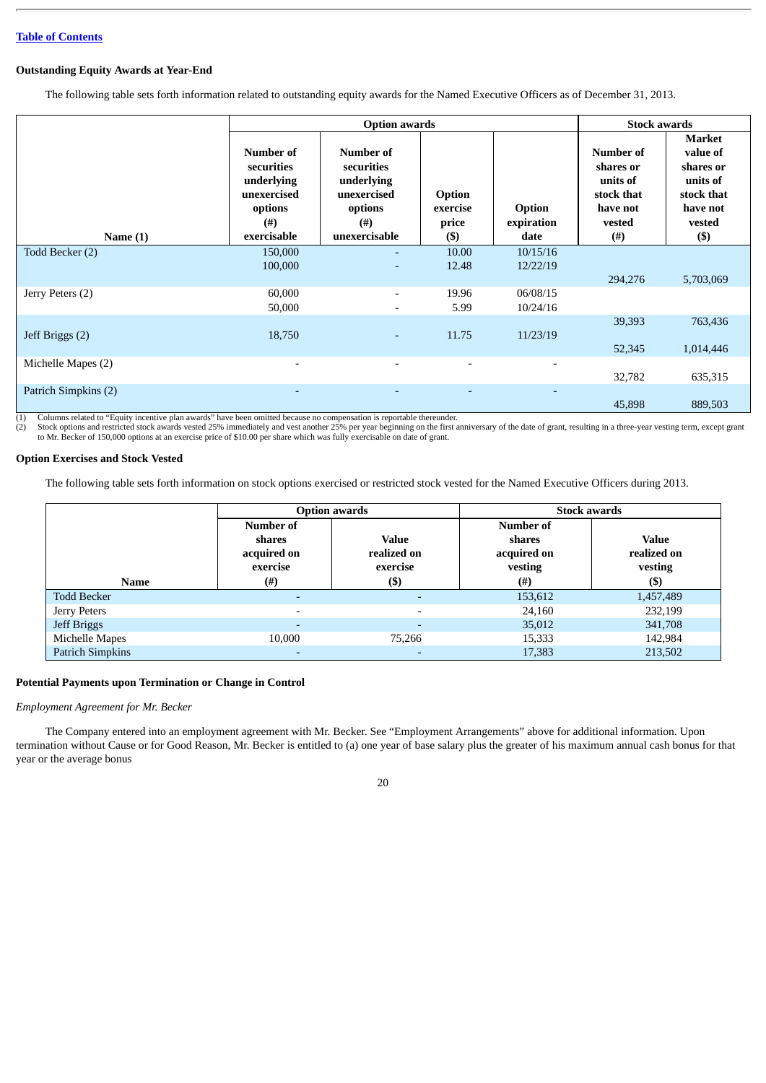## <span id="page-26-0"></span>**Outstanding Equity Awards at Year-End**

The following table sets forth information related to outstanding equity awards for the Named Executive Officers as of December 31, 2013.

|                      |                                                                                        | <b>Option awards</b>                                                                     |                                      |                              | <b>Stock awards</b>                                                                |                                                                                           |
|----------------------|----------------------------------------------------------------------------------------|------------------------------------------------------------------------------------------|--------------------------------------|------------------------------|------------------------------------------------------------------------------------|-------------------------------------------------------------------------------------------|
| Name $(1)$           | Number of<br>securities<br>underlying<br>unexercised<br>options<br>(# )<br>exercisable | Number of<br>securities<br>underlying<br>unexercised<br>options<br>(# )<br>unexercisable | Option<br>exercise<br>price<br>$($)$ | Option<br>expiration<br>date | Number of<br>shares or<br>units of<br>stock that<br>have not<br>vested<br>$^{(#)}$ | Market<br>value of<br>shares or<br>units of<br>stock that<br>have not<br>vested<br>$(\$)$ |
| Todd Becker (2)      | 150,000                                                                                | ٠                                                                                        | 10.00                                | 10/15/16                     |                                                                                    |                                                                                           |
|                      | 100,000                                                                                | ٠                                                                                        | 12.48                                | 12/22/19                     | 294,276                                                                            | 5,703,069                                                                                 |
| Jerry Peters (2)     | 60,000<br>50,000                                                                       | $\overline{\phantom{a}}$                                                                 | 19.96<br>5.99                        | 06/08/15<br>10/24/16         |                                                                                    |                                                                                           |
| Jeff Briggs (2)      | 18,750                                                                                 | ٠                                                                                        | 11.75                                | 11/23/19                     | 39,393                                                                             | 763,436                                                                                   |
|                      |                                                                                        |                                                                                          |                                      |                              | 52,345                                                                             | 1,014,446                                                                                 |
| Michelle Mapes (2)   | $\overline{\phantom{0}}$                                                               | $\overline{\phantom{0}}$                                                                 | $\overline{\phantom{0}}$             |                              | 32,782                                                                             | 635,315                                                                                   |
| Patrich Simpkins (2) |                                                                                        |                                                                                          |                                      |                              | 45,898                                                                             | 889,503                                                                                   |

(1) Columns related to "Equity incentive plan awards" have been omitted because no compensation is reportable thereunder.

(2) Stock options and restricted stock awards vested 25% immediately and vest another 25% per year beginning on the first anniversary of the date of grant, resulting in a three-year vesting term, except grant to Mr. Becker

## <span id="page-26-1"></span>**Option Exercises and Stock Vested**

The following table sets forth information on stock options exercised or restricted stock vested for the Named Executive Officers during 2013.

|                         |                                                | <b>Option awards</b>                    |                                               | <b>Stock awards</b>                    |
|-------------------------|------------------------------------------------|-----------------------------------------|-----------------------------------------------|----------------------------------------|
|                         | Number of<br>shares<br>acquired on<br>exercise | <b>Value</b><br>realized on<br>exercise | Number of<br>shares<br>acquired on<br>vesting | <b>Value</b><br>realized on<br>vesting |
| Name                    | (#)                                            | $($ \$)                                 | $^{(\#)}$                                     | $($ \$)                                |
| <b>Todd Becker</b>      |                                                |                                         | 153,612                                       | 1,457,489                              |
| Jerry Peters            | $\overline{\phantom{a}}$                       | $\overline{\phantom{0}}$                | 24,160                                        | 232,199                                |
| Jeff Briggs             | $\overline{\phantom{0}}$                       | $\overline{a}$                          | 35,012                                        | 341,708                                |
| Michelle Mapes          | 10,000                                         | 75,266                                  | 15,333                                        | 142,984                                |
| <b>Patrich Simpkins</b> | $\overline{\phantom{0}}$                       | -                                       | 17,383                                        | 213,502                                |

## <span id="page-26-2"></span>**Potential Payments upon Termination or Change in Control**

*Employment Agreement for Mr. Becker*

The Company entered into an employment agreement with Mr. Becker. See "Employment Arrangements" above for additional information. Upon termination without Cause or for Good Reason, Mr. Becker is entitled to (a) one year of base salary plus the greater of his maximum annual cash bonus for that year or the average bonus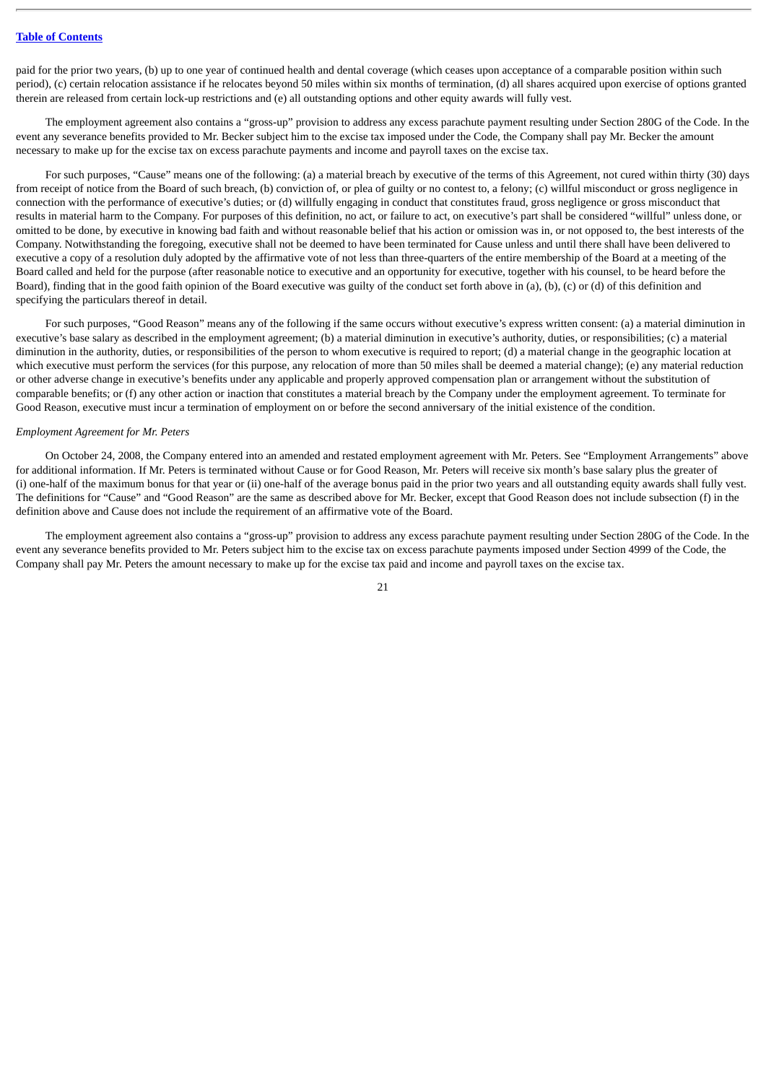paid for the prior two years, (b) up to one year of continued health and dental coverage (which ceases upon acceptance of a comparable position within such period), (c) certain relocation assistance if he relocates beyond 50 miles within six months of termination, (d) all shares acquired upon exercise of options granted therein are released from certain lock-up restrictions and (e) all outstanding options and other equity awards will fully vest.

The employment agreement also contains a "gross-up" provision to address any excess parachute payment resulting under Section 280G of the Code. In the event any severance benefits provided to Mr. Becker subject him to the excise tax imposed under the Code, the Company shall pay Mr. Becker the amount necessary to make up for the excise tax on excess parachute payments and income and payroll taxes on the excise tax.

For such purposes, "Cause" means one of the following: (a) a material breach by executive of the terms of this Agreement, not cured within thirty (30) days from receipt of notice from the Board of such breach, (b) conviction of, or plea of guilty or no contest to, a felony; (c) willful misconduct or gross negligence in connection with the performance of executive's duties; or (d) willfully engaging in conduct that constitutes fraud, gross negligence or gross misconduct that results in material harm to the Company. For purposes of this definition, no act, or failure to act, on executive's part shall be considered "willful" unless done, or omitted to be done, by executive in knowing bad faith and without reasonable belief that his action or omission was in, or not opposed to, the best interests of the Company. Notwithstanding the foregoing, executive shall not be deemed to have been terminated for Cause unless and until there shall have been delivered to executive a copy of a resolution duly adopted by the affirmative vote of not less than three-quarters of the entire membership of the Board at a meeting of the Board called and held for the purpose (after reasonable notice to executive and an opportunity for executive, together with his counsel, to be heard before the Board), finding that in the good faith opinion of the Board executive was guilty of the conduct set forth above in (a), (b), (c) or (d) of this definition and specifying the particulars thereof in detail.

For such purposes, "Good Reason" means any of the following if the same occurs without executive's express written consent: (a) a material diminution in executive's base salary as described in the employment agreement; (b) a material diminution in executive's authority, duties, or responsibilities; (c) a material diminution in the authority, duties, or responsibilities of the person to whom executive is required to report; (d) a material change in the geographic location at which executive must perform the services (for this purpose, any relocation of more than 50 miles shall be deemed a material change); (e) any material reduction or other adverse change in executive's benefits under any applicable and properly approved compensation plan or arrangement without the substitution of comparable benefits; or (f) any other action or inaction that constitutes a material breach by the Company under the employment agreement. To terminate for Good Reason, executive must incur a termination of employment on or before the second anniversary of the initial existence of the condition.

#### *Employment Agreement for Mr. Peters*

On October 24, 2008, the Company entered into an amended and restated employment agreement with Mr. Peters. See "Employment Arrangements" above for additional information. If Mr. Peters is terminated without Cause or for Good Reason, Mr. Peters will receive six month's base salary plus the greater of (i) one-half of the maximum bonus for that year or (ii) one-half of the average bonus paid in the prior two years and all outstanding equity awards shall fully vest. The definitions for "Cause" and "Good Reason" are the same as described above for Mr. Becker, except that Good Reason does not include subsection (f) in the definition above and Cause does not include the requirement of an affirmative vote of the Board.

The employment agreement also contains a "gross-up" provision to address any excess parachute payment resulting under Section 280G of the Code. In the event any severance benefits provided to Mr. Peters subject him to the excise tax on excess parachute payments imposed under Section 4999 of the Code, the Company shall pay Mr. Peters the amount necessary to make up for the excise tax paid and income and payroll taxes on the excise tax.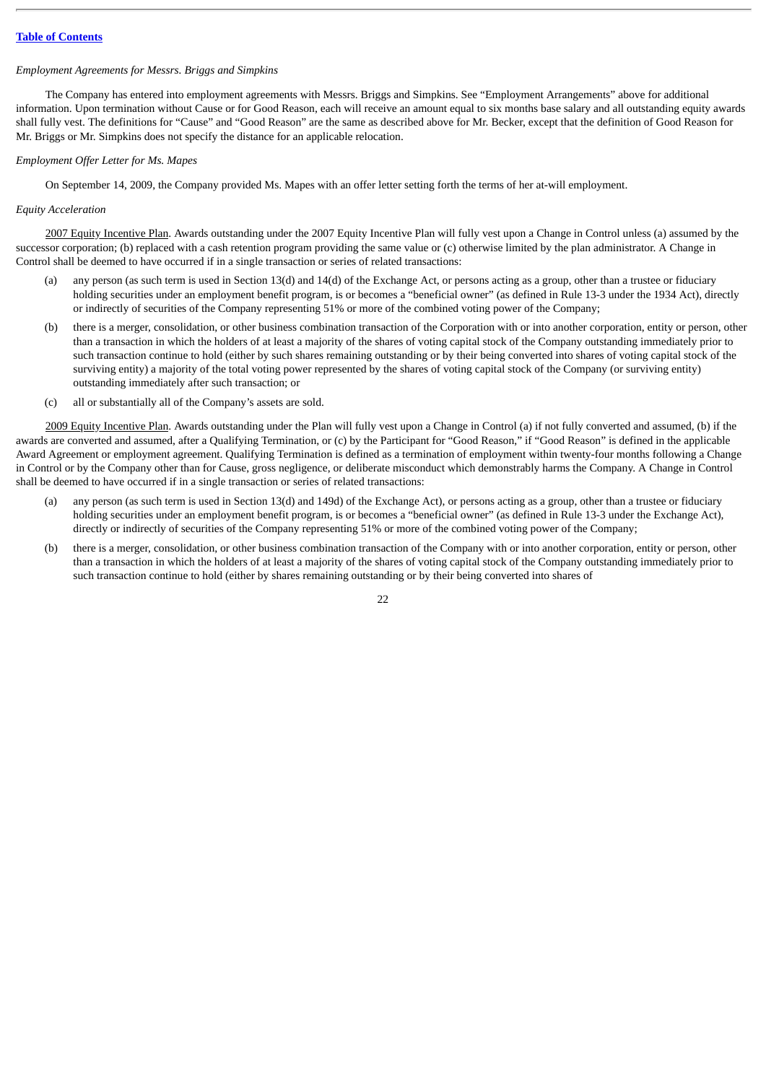# *Employment Agreements for Messrs. Briggs and Simpkins*

The Company has entered into employment agreements with Messrs. Briggs and Simpkins. See "Employment Arrangements" above for additional information. Upon termination without Cause or for Good Reason, each will receive an amount equal to six months base salary and all outstanding equity awards shall fully vest. The definitions for "Cause" and "Good Reason" are the same as described above for Mr. Becker, except that the definition of Good Reason for Mr. Briggs or Mr. Simpkins does not specify the distance for an applicable relocation.

# *Employment Offer Letter for Ms. Mapes*

On September 14, 2009, the Company provided Ms. Mapes with an offer letter setting forth the terms of her at-will employment.

# *Equity Acceleration*

2007 Equity Incentive Plan. Awards outstanding under the 2007 Equity Incentive Plan will fully vest upon a Change in Control unless (a) assumed by the successor corporation; (b) replaced with a cash retention program providing the same value or (c) otherwise limited by the plan administrator. A Change in Control shall be deemed to have occurred if in a single transaction or series of related transactions:

- any person (as such term is used in Section 13(d) and 14(d) of the Exchange Act, or persons acting as a group, other than a trustee or fiduciary holding securities under an employment benefit program, is or becomes a "beneficial owner" (as defined in Rule 13-3 under the 1934 Act), directly or indirectly of securities of the Company representing 51% or more of the combined voting power of the Company;
- (b) there is a merger, consolidation, or other business combination transaction of the Corporation with or into another corporation, entity or person, other than a transaction in which the holders of at least a majority of the shares of voting capital stock of the Company outstanding immediately prior to such transaction continue to hold (either by such shares remaining outstanding or by their being converted into shares of voting capital stock of the surviving entity) a majority of the total voting power represented by the shares of voting capital stock of the Company (or surviving entity) outstanding immediately after such transaction; or
- (c) all or substantially all of the Company's assets are sold.

2009 Equity Incentive Plan. Awards outstanding under the Plan will fully vest upon a Change in Control (a) if not fully converted and assumed, (b) if the awards are converted and assumed, after a Qualifying Termination, or (c) by the Participant for "Good Reason," if "Good Reason" is defined in the applicable Award Agreement or employment agreement. Qualifying Termination is defined as a termination of employment within twenty-four months following a Change in Control or by the Company other than for Cause, gross negligence, or deliberate misconduct which demonstrably harms the Company. A Change in Control shall be deemed to have occurred if in a single transaction or series of related transactions:

- any person (as such term is used in Section 13(d) and 149d) of the Exchange Act), or persons acting as a group, other than a trustee or fiduciary holding securities under an employment benefit program, is or becomes a "beneficial owner" (as defined in Rule 13-3 under the Exchange Act), directly or indirectly of securities of the Company representing 51% or more of the combined voting power of the Company;
- (b) there is a merger, consolidation, or other business combination transaction of the Company with or into another corporation, entity or person, other than a transaction in which the holders of at least a majority of the shares of voting capital stock of the Company outstanding immediately prior to such transaction continue to hold (either by shares remaining outstanding or by their being converted into shares of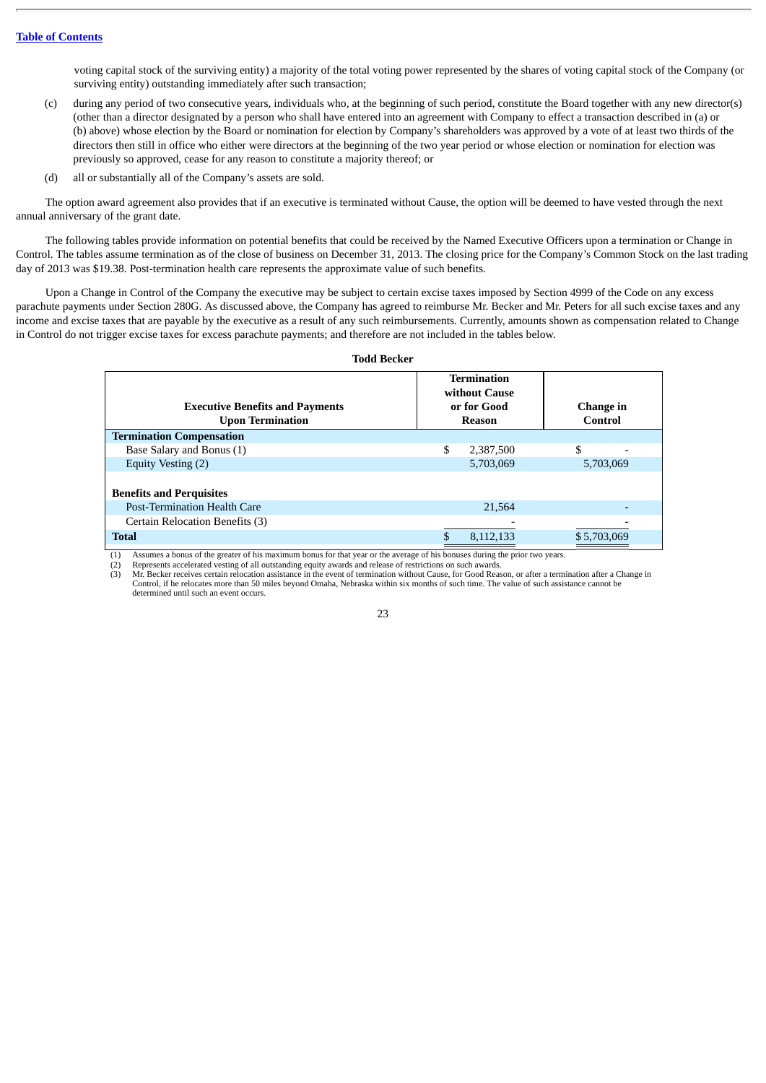voting capital stock of the surviving entity) a majority of the total voting power represented by the shares of voting capital stock of the Company (or surviving entity) outstanding immediately after such transaction;

- (c) during any period of two consecutive years, individuals who, at the beginning of such period, constitute the Board together with any new director(s) (other than a director designated by a person who shall have entered into an agreement with Company to effect a transaction described in (a) or (b) above) whose election by the Board or nomination for election by Company's shareholders was approved by a vote of at least two thirds of the directors then still in office who either were directors at the beginning of the two year period or whose election or nomination for election was previously so approved, cease for any reason to constitute a majority thereof; or
- (d) all or substantially all of the Company's assets are sold.

The option award agreement also provides that if an executive is terminated without Cause, the option will be deemed to have vested through the next annual anniversary of the grant date.

The following tables provide information on potential benefits that could be received by the Named Executive Officers upon a termination or Change in Control. The tables assume termination as of the close of business on December 31, 2013. The closing price for the Company's Common Stock on the last trading day of 2013 was \$19.38. Post-termination health care represents the approximate value of such benefits.

Upon a Change in Control of the Company the executive may be subject to certain excise taxes imposed by Section 4999 of the Code on any excess parachute payments under Section 280G. As discussed above, the Company has agreed to reimburse Mr. Becker and Mr. Peters for all such excise taxes and any income and excise taxes that are payable by the executive as a result of any such reimbursements. Currently, amounts shown as compensation related to Change in Control do not trigger excise taxes for excess parachute payments; and therefore are not included in the tables below.

#### **Todd Becker Executive Benefits and Payments Upon Termination Termination without Cause or for Good Reason Change in Control Termination Compensation** Base Salary and Bonus (1) <br>
Equity Vesting (2) <br>
Equity Vesting (2) <br>
Base Salary and Bonus (1) <br>
Base Salary and Bonus (1) <br>
Base Salary and Bonus (1) <br>
Base Salary and Bonus (1) <br>
Base Salary and Bonus (2) <br>
Base Salary Equity Vesting (2) **Benefits and Perquisites** Post-Termination Health Care 21,564 Certain Relocation Benefits (3) **Total 5.12,133 \$5,703,069 \$6,112,133 \$5,703,069**

(1) Assumes a bonus of the greater of his maximum bonus for that year or the average of his bonuses during the prior two years.

(2) Represents accelerated vesting of all outstanding equity awards and release of restrictions on such awards.<br>(3) Mr. Becker receives certain relocation assistance in the event of termination without Cause, for Good Rea

(3) Mr. Becker receives certain relocation assistance in the event of termination without Cause, for Good Reason, or after a termination after a Change in Control, if he relocates more than 50 miles beyond Omaha, Nebraska within six months of such time. The value of such assistance cannot be determined until such an event occurs.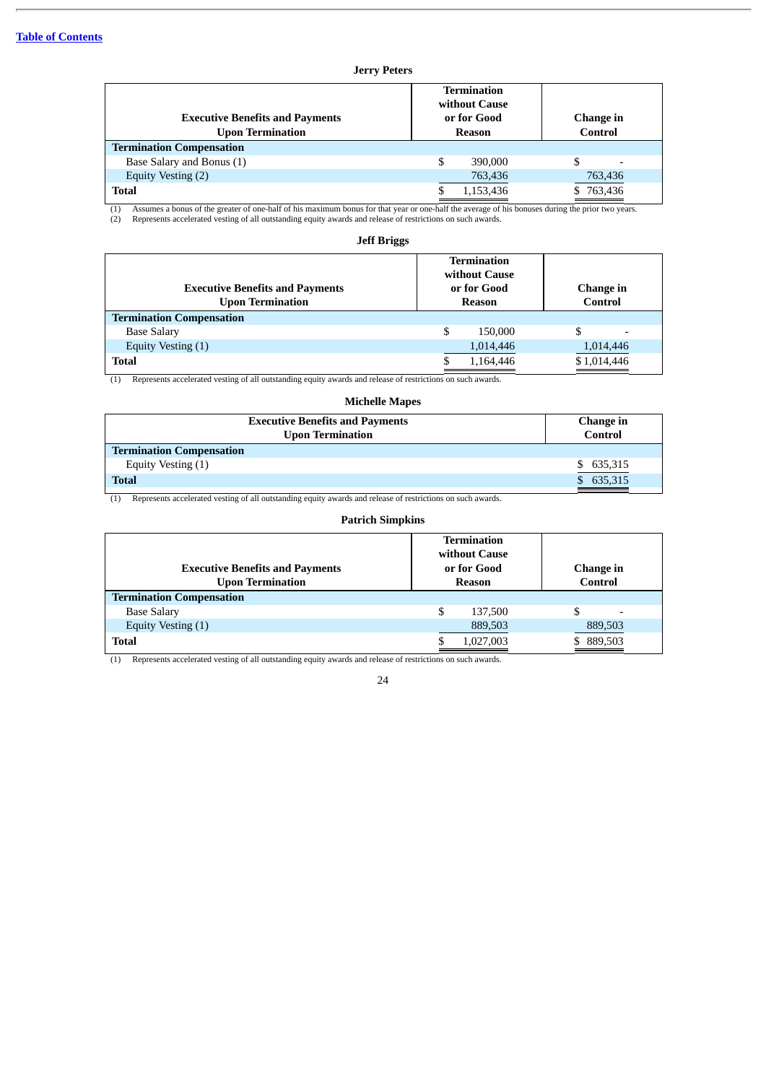# **Jerry Peters**

| <b>Executive Benefits and Payments</b><br><b>Upon Termination</b> | <b>Termination</b><br>without Cause<br>or for Good<br><b>Reason</b> |           | Change in<br>Control |
|-------------------------------------------------------------------|---------------------------------------------------------------------|-----------|----------------------|
| <b>Termination Compensation</b>                                   |                                                                     |           |                      |
| Base Salary and Bonus (1)                                         |                                                                     | 390,000   | \$                   |
| Equity Vesting (2)                                                |                                                                     | 763,436   | 763,436              |
| <b>Total</b>                                                      |                                                                     | 1,153,436 | 763,436              |

(1) Assumes a bonus of the greater of one-half of his maximum bonus for that year or one-half the average of his bonuses during the prior two years.<br>(2) Represents accelerated vesting of all outstanding equity awards and r

## **Jeff Briggs**

| <b>Executive Benefits and Payments</b><br><b>Upon Termination</b> | Termination<br>without Cause<br>or for Good<br>Reason | Change in<br>Control |
|-------------------------------------------------------------------|-------------------------------------------------------|----------------------|
| <b>Termination Compensation</b>                                   |                                                       |                      |
| <b>Base Salary</b>                                                | \$<br>150,000                                         |                      |
| Equity Vesting (1)                                                | 1,014,446                                             | 1,014,446            |
| <b>Total</b>                                                      | 1,164,446                                             | \$1,014,446          |

(1) Represents accelerated vesting of all outstanding equity awards and release of restrictions on such awards.

# **Michelle Mapes**

| <b>Executive Benefits and Payments</b><br><b>Upon Termination</b> | Change in<br>Control |
|-------------------------------------------------------------------|----------------------|
| <b>Termination Compensation</b>                                   |                      |
| Equity Vesting (1)                                                | \$ 635,315           |
| <b>Total</b>                                                      | \$635,315            |

(1) Represents accelerated vesting of all outstanding equity awards and release of restrictions on such awards.

## **Patrich Simpkins**

| <b>Executive Benefits and Payments</b><br><b>Upon Termination</b> | Termination<br>without Cause<br>or for Good<br><b>Reason</b> |           | Change in<br><b>Control</b>    |
|-------------------------------------------------------------------|--------------------------------------------------------------|-----------|--------------------------------|
| <b>Termination Compensation</b>                                   |                                                              |           |                                |
| <b>Base Salary</b>                                                | \$                                                           | 137,500   | \$<br>$\overline{\phantom{0}}$ |
| Equity Vesting (1)                                                |                                                              | 889,503   | 889,503                        |
| <b>Total</b>                                                      |                                                              | 1,027,003 | 889,503                        |

(1) Represents accelerated vesting of all outstanding equity awards and release of restrictions on such awards.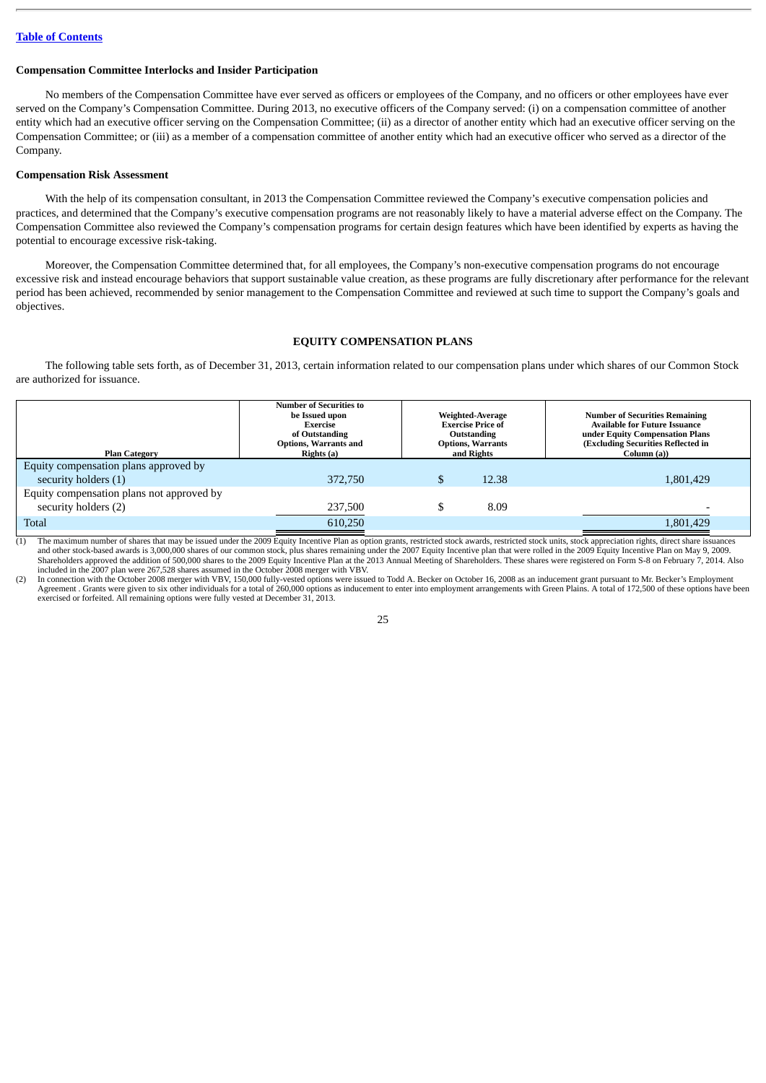# <span id="page-31-0"></span>**Compensation Committee Interlocks and Insider Participation**

No members of the Compensation Committee have ever served as officers or employees of the Company, and no officers or other employees have ever served on the Company's Compensation Committee. During 2013, no executive officers of the Company served: (i) on a compensation committee of another entity which had an executive officer serving on the Compensation Committee; (ii) as a director of another entity which had an executive officer serving on the Compensation Committee; or (iii) as a member of a compensation committee of another entity which had an executive officer who served as a director of the Company.

# <span id="page-31-1"></span>**Compensation Risk Assessment**

With the help of its compensation consultant, in 2013 the Compensation Committee reviewed the Company's executive compensation policies and practices, and determined that the Company's executive compensation programs are not reasonably likely to have a material adverse effect on the Company. The Compensation Committee also reviewed the Company's compensation programs for certain design features which have been identified by experts as having the potential to encourage excessive risk-taking.

Moreover, the Compensation Committee determined that, for all employees, the Company's non-executive compensation programs do not encourage excessive risk and instead encourage behaviors that support sustainable value creation, as these programs are fully discretionary after performance for the relevant period has been achieved, recommended by senior management to the Compensation Committee and reviewed at such time to support the Company's goals and objectives.

# **EQUITY COMPENSATION PLANS**

<span id="page-31-2"></span>The following table sets forth, as of December 31, 2013, certain information related to our compensation plans under which shares of our Common Stock are authorized for issuance.

| <b>Plan Category</b>                      | <b>Number of Securities to</b><br>be Issued upon<br>Exercise<br>of Outstanding<br><b>Options, Warrants and</b><br>Rights (a) | <b>Weighted-Average</b><br><b>Exercise Price of</b><br>Outstanding<br><b>Options, Warrants</b><br>and Rights |       | <b>Number of Securities Remaining</b><br><b>Available for Future Issuance</b><br>under Equity Compensation Plans<br>(Excluding Securities Reflected in<br>Column (a)) |
|-------------------------------------------|------------------------------------------------------------------------------------------------------------------------------|--------------------------------------------------------------------------------------------------------------|-------|-----------------------------------------------------------------------------------------------------------------------------------------------------------------------|
| Equity compensation plans approved by     |                                                                                                                              |                                                                                                              |       |                                                                                                                                                                       |
| security holders (1)                      | 372,750                                                                                                                      |                                                                                                              | 12.38 | 1,801,429                                                                                                                                                             |
| Equity compensation plans not approved by |                                                                                                                              |                                                                                                              |       |                                                                                                                                                                       |
| security holders (2)                      | 237,500                                                                                                                      |                                                                                                              | 8.09  |                                                                                                                                                                       |
| <b>Total</b>                              | 610,250                                                                                                                      |                                                                                                              |       | 1,801,429                                                                                                                                                             |

(1) The maximum number of shares that may be issued under the 2009 Equity Incentive Plan as option grants, restricted stock awards, restricted stock units, stock appreciation rights, direct share issuances and other stock-based awards is 3,000,000 shares of our common stock, plus shares remaining under the 2007 Equity Incentive plan that were rolled in the 2009 Equity Incentive Plan on May 9, 2009.<br>Shareholders approved the included in the 2007 plan were 267,528 shares assumed in the October 2008 merger with VBV.

(2) In connection with the October 2008 merger with VBV, 150,000 fully-vested options were issued to Todd A. Becker on October 16, 2008 as an inducement grant pursuant to Mr. Becker's Employment<br>Agreement . Grants were giv exercised or forfeited. All remaining options were fully vested at December 31, 2013.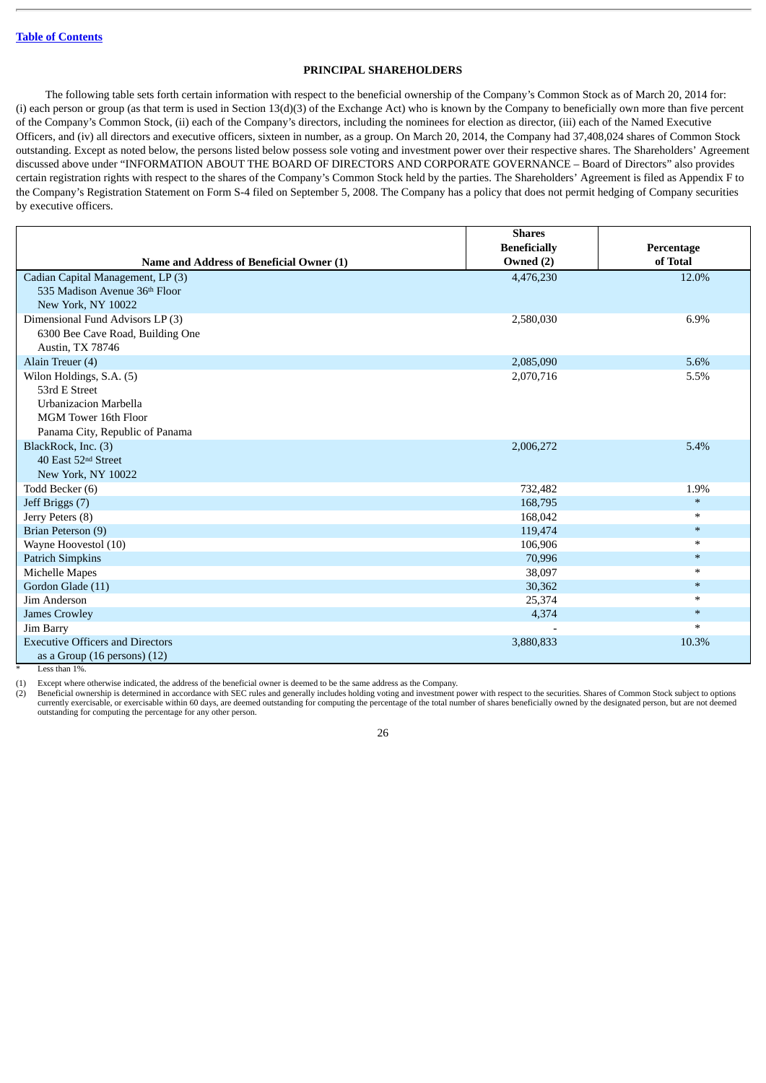## **PRINCIPAL SHAREHOLDERS**

<span id="page-32-0"></span>The following table sets forth certain information with respect to the beneficial ownership of the Company's Common Stock as of March 20, 2014 for: (i) each person or group (as that term is used in Section 13(d)(3) of the Exchange Act) who is known by the Company to beneficially own more than five percent of the Company's Common Stock, (ii) each of the Company's directors, including the nominees for election as director, (iii) each of the Named Executive Officers, and (iv) all directors and executive officers, sixteen in number, as a group. On March 20, 2014, the Company had 37,408,024 shares of Common Stock outstanding. Except as noted below, the persons listed below possess sole voting and investment power over their respective shares. The Shareholders' Agreement discussed above under "INFORMATION ABOUT THE BOARD OF DIRECTORS AND CORPORATE GOVERNANCE – Board of Directors" also provides certain registration rights with respect to the shares of the Company's Common Stock held by the parties. The Shareholders' Agreement is filed as Appendix F to the Company's Registration Statement on Form S-4 filed on September 5, 2008. The Company has a policy that does not permit hedging of Company securities by executive officers.

|                                          | <b>Shares</b>       |            |
|------------------------------------------|---------------------|------------|
|                                          | <b>Beneficially</b> | Percentage |
| Name and Address of Beneficial Owner (1) | Owned (2)           | of Total   |
| Cadian Capital Management, LP (3)        | 4,476,230           | 12.0%      |
| 535 Madison Avenue 36th Floor            |                     |            |
| New York, NY 10022                       |                     |            |
| Dimensional Fund Advisors LP (3)         | 2,580,030           | 6.9%       |
| 6300 Bee Cave Road, Building One         |                     |            |
| Austin, TX 78746                         |                     |            |
| Alain Treuer (4)                         | 2,085,090           | 5.6%       |
| Wilon Holdings, S.A. (5)                 | 2,070,716           | 5.5%       |
| 53rd E Street                            |                     |            |
| <b>Urbanizacion Marbella</b>             |                     |            |
| MGM Tower 16th Floor                     |                     |            |
| Panama City, Republic of Panama          |                     |            |
| BlackRock, Inc. (3)                      | 2,006,272           | 5.4%       |
| 40 East 52 <sup>nd</sup> Street          |                     |            |
| New York, NY 10022                       |                     |            |
| Todd Becker (6)                          | 732,482             | 1.9%       |
| Jeff Briggs (7)                          | 168,795             | $\ast$     |
| Jerry Peters (8)                         | 168,042             | $\ast$     |
| Brian Peterson (9)                       | 119,474             | $\ast$     |
| Wayne Hoovestol (10)                     | 106,906             | $\ast$     |
| <b>Patrich Simpkins</b>                  | 70,996              | $\ast$     |
| Michelle Mapes                           | 38,097              | $\ast$     |
| Gordon Glade (11)                        | 30,362              | $\ast$     |
| Jim Anderson                             | 25,374              | $\ast$     |
| <b>James Crowley</b>                     | 4,374               | $\ast$     |
| Jim Barry                                |                     | $\ast$     |
| <b>Executive Officers and Directors</b>  | 3,880,833           | 10.3%      |
| as a Group $(16$ persons $)(12)$         |                     |            |

Less than 1%.

(1) Except where otherwise indicated, the address of the beneficial owner is deemed to be the same address as the Company.

(2) Beneficial ownership is determined in accordance with SEC rules and generally includes holding voting and investment power with respect to the securities. Shares of Common Stock subject to options currently exercisable, or exercisable within 60 days, are deemed outstanding for computing the percentage of the total number of shares beneficially owned by the designated person, but are not deemed outstanding for computing the percentage for any other person.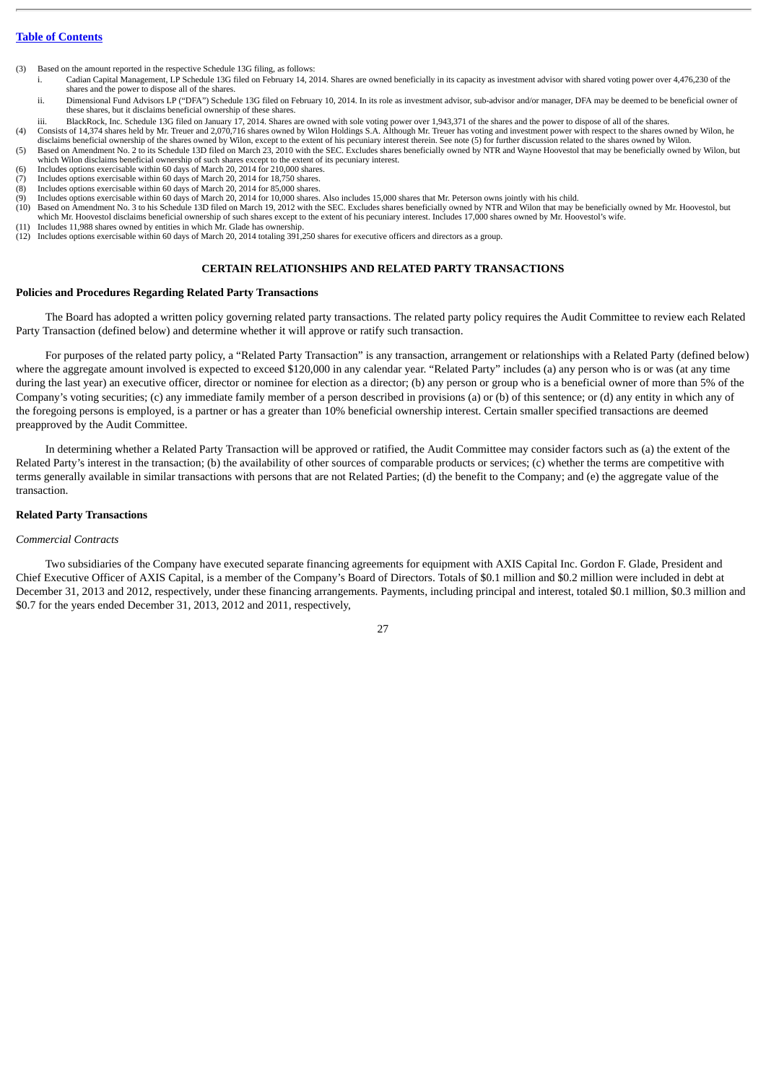(3) Based on the amount reported in the respective Schedule 13G filing, as follows:

- i. Cadian Capital Management, LP Schedule 13G filed on February 14, 2014. Shares are owned beneficially in its capacity as investment advisor with shared voting power over 4,476,230 of the shares and the power to dispose all of the shares.
- ii. Dimensional Fund Advisors LP ("DFA") Schedule 13G filed on February 10, 2014. In its role as investment advisor, sub-advisor and/or manager, DFA may be deemed to be beneficial owner of these shares, but it disclaims beneficial ownership of these shares.
- iii. BlackRock, Inc. Schedule 13G filed on January 17, 2014. Shares are owned with sole voting power over 1,943,371 of the shares and the power to dispose of all of the shares.
- (4) Consists of 14,374 shares held by Mr. Treuer and 2,070,716 shares owned by Wilon Holdings S.A. Although Mr. Treuer has voting and investment power with respect to the shares owned by Wilon, he disclaims beneficial owne
- (5) Based on Amendment No. 2 to its Schedule 13D filed on March 23, 2010 with the SEC. Excludes shares beneficially owned by NTR and Wayne Hoovestol that may be beneficially owned by Wilon, but which Wilon disclaims beneficial ownership of such shares except to the extent of its pecuniary interest.
- (6) Includes options exercisable within 60 days of March 20, 2014 for 210,000 shares.
- (7) Includes options exercisable within 60 days of March 20, 2014 for 18,750 shares. (8) Includes options exercisable within 60 days of March 20, 2014 for 85,000 shares.
- Includes options exercisable within 60 days of March 20, 2014 for 10,000 shares. Also includes 15,000 shares that Mr. Peterson owns jointly with his child.
- (10) Based on Amendment No. 3 to his Schedule 13D filed on March 19, 2012 with the SEC. Excludes shares beneficially owned by NTR and Wilon that may be beneficially owned by Mr. Hoovestol, but which Mr. Hoovestol disclaims beneficial ownership of such shares except to the extent of his pecuniary interest. Includes 17,000 shares owned by Mr. Hoovestol's wife.
- (11) Includes 11,988 shares owned by entities in which Mr. Glade has ownership.
- (12) Includes options exercisable within 60 days of March 20, 2014 totaling 391,250 shares for executive officers and directors as a group.

# **CERTAIN RELATIONSHIPS AND RELATED PARTY TRANSACTIONS**

## <span id="page-33-1"></span><span id="page-33-0"></span>**Policies and Procedures Regarding Related Party Transactions**

The Board has adopted a written policy governing related party transactions. The related party policy requires the Audit Committee to review each Related Party Transaction (defined below) and determine whether it will approve or ratify such transaction.

For purposes of the related party policy, a "Related Party Transaction" is any transaction, arrangement or relationships with a Related Party (defined below) where the aggregate amount involved is expected to exceed \$120,000 in any calendar year. "Related Party" includes (a) any person who is or was (at any time during the last year) an executive officer, director or nominee for election as a director; (b) any person or group who is a beneficial owner of more than 5% of the Company's voting securities; (c) any immediate family member of a person described in provisions (a) or (b) of this sentence; or (d) any entity in which any of the foregoing persons is employed, is a partner or has a greater than 10% beneficial ownership interest. Certain smaller specified transactions are deemed preapproved by the Audit Committee.

In determining whether a Related Party Transaction will be approved or ratified, the Audit Committee may consider factors such as (a) the extent of the Related Party's interest in the transaction; (b) the availability of other sources of comparable products or services; (c) whether the terms are competitive with terms generally available in similar transactions with persons that are not Related Parties; (d) the benefit to the Company; and (e) the aggregate value of the transaction.

#### <span id="page-33-2"></span>**Related Party Transactions**

#### *Commercial Contracts*

Two subsidiaries of the Company have executed separate financing agreements for equipment with AXIS Capital Inc. Gordon F. Glade, President and Chief Executive Officer of AXIS Capital, is a member of the Company's Board of Directors. Totals of \$0.1 million and \$0.2 million were included in debt at December 31, 2013 and 2012, respectively, under these financing arrangements. Payments, including principal and interest, totaled \$0.1 million, \$0.3 million and \$0.7 for the years ended December 31, 2013, 2012 and 2011, respectively,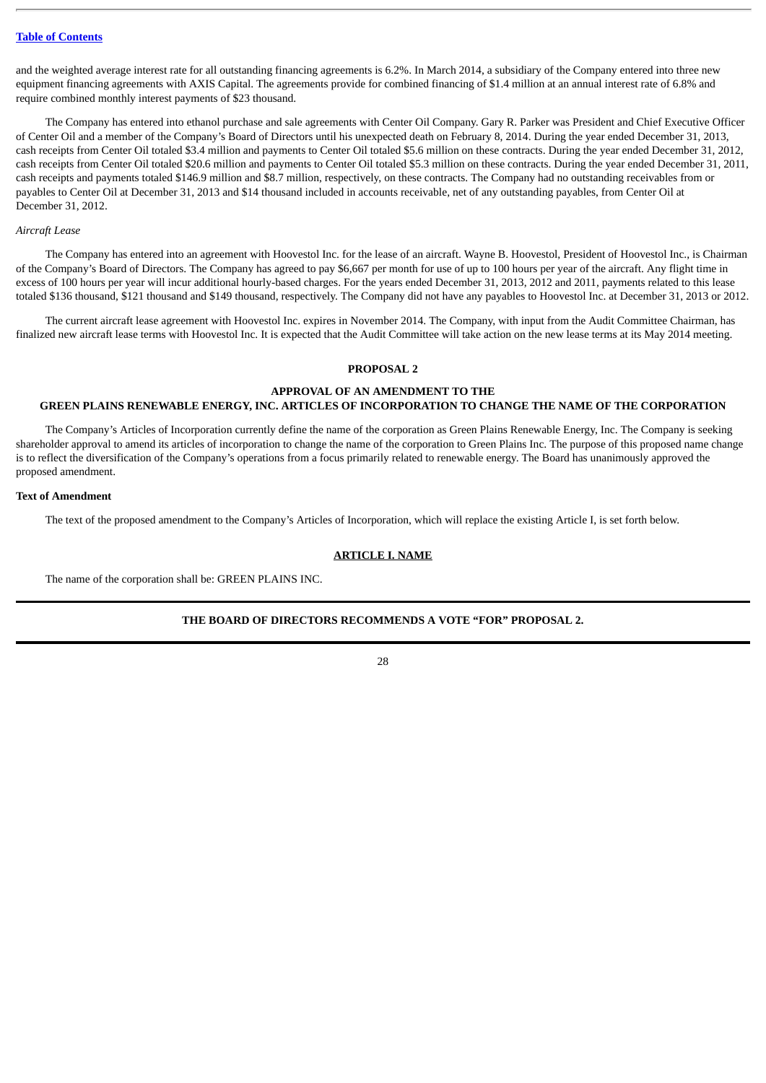and the weighted average interest rate for all outstanding financing agreements is 6.2%. In March 2014, a subsidiary of the Company entered into three new equipment financing agreements with AXIS Capital. The agreements provide for combined financing of \$1.4 million at an annual interest rate of 6.8% and require combined monthly interest payments of \$23 thousand.

The Company has entered into ethanol purchase and sale agreements with Center Oil Company. Gary R. Parker was President and Chief Executive Officer of Center Oil and a member of the Company's Board of Directors until his unexpected death on February 8, 2014. During the year ended December 31, 2013, cash receipts from Center Oil totaled \$3.4 million and payments to Center Oil totaled \$5.6 million on these contracts. During the year ended December 31, 2012, cash receipts from Center Oil totaled \$20.6 million and payments to Center Oil totaled \$5.3 million on these contracts. During the year ended December 31, 2011, cash receipts and payments totaled \$146.9 million and \$8.7 million, respectively, on these contracts. The Company had no outstanding receivables from or payables to Center Oil at December 31, 2013 and \$14 thousand included in accounts receivable, net of any outstanding payables, from Center Oil at December 31, 2012.

#### *Aircraft Lease*

The Company has entered into an agreement with Hoovestol Inc. for the lease of an aircraft. Wayne B. Hoovestol, President of Hoovestol Inc., is Chairman of the Company's Board of Directors. The Company has agreed to pay \$6,667 per month for use of up to 100 hours per year of the aircraft. Any flight time in excess of 100 hours per year will incur additional hourly-based charges. For the years ended December 31, 2013, 2012 and 2011, payments related to this lease totaled \$136 thousand, \$121 thousand and \$149 thousand, respectively. The Company did not have any payables to Hoovestol Inc. at December 31, 2013 or 2012.

The current aircraft lease agreement with Hoovestol Inc. expires in November 2014. The Company, with input from the Audit Committee Chairman, has finalized new aircraft lease terms with Hoovestol Inc. It is expected that the Audit Committee will take action on the new lease terms at its May 2014 meeting.

## **PROPOSAL 2**

# <span id="page-34-0"></span>**APPROVAL OF AN AMENDMENT TO THE GREEN PLAINS RENEWABLE ENERGY, INC. ARTICLES OF INCORPORATION TO CHANGE THE NAME OF THE CORPORATION**

The Company's Articles of Incorporation currently define the name of the corporation as Green Plains Renewable Energy, Inc. The Company is seeking shareholder approval to amend its articles of incorporation to change the name of the corporation to Green Plains Inc. The purpose of this proposed name change is to reflect the diversification of the Company's operations from a focus primarily related to renewable energy. The Board has unanimously approved the proposed amendment.

#### <span id="page-34-1"></span>**Text of Amendment**

The text of the proposed amendment to the Company's Articles of Incorporation, which will replace the existing Article I, is set forth below.

#### **ARTICLE I. NAME**

The name of the corporation shall be: GREEN PLAINS INC.

## **THE BOARD OF DIRECTORS RECOMMENDS A VOTE "FOR" PROPOSAL 2.**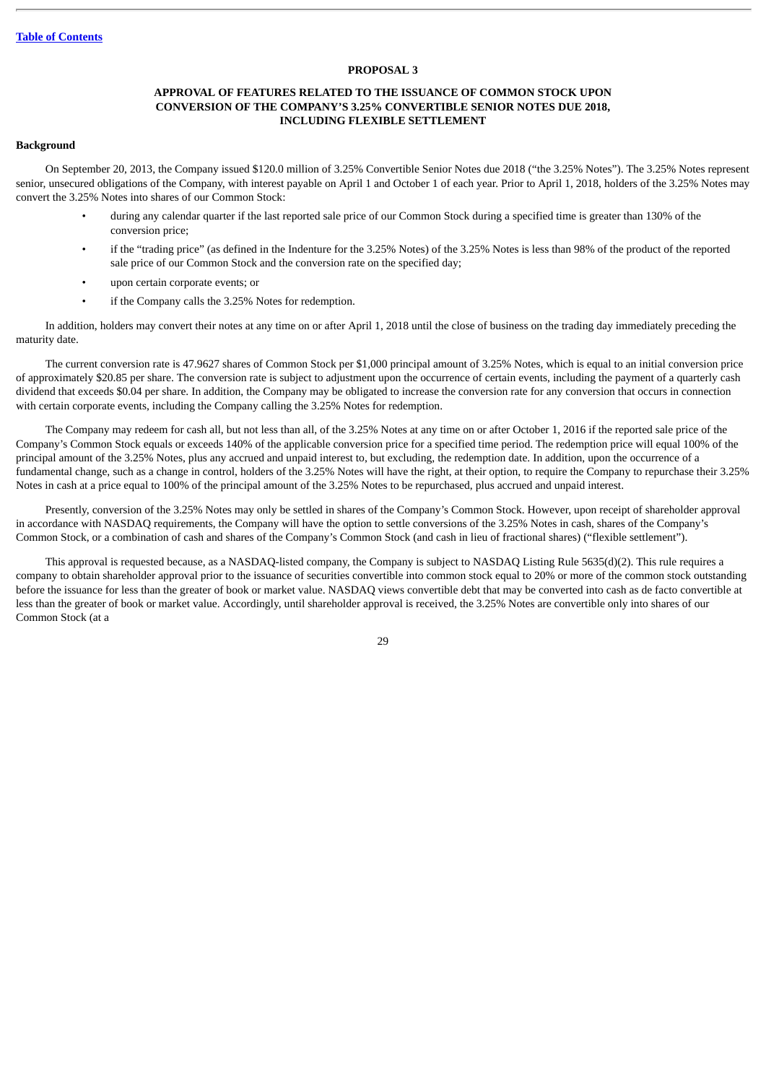## **PROPOSAL 3**

## **APPROVAL OF FEATURES RELATED TO THE ISSUANCE OF COMMON STOCK UPON CONVERSION OF THE COMPANY'S 3.25% CONVERTIBLE SENIOR NOTES DUE 2018, INCLUDING FLEXIBLE SETTLEMENT**

#### <span id="page-35-1"></span><span id="page-35-0"></span>**Background**

On September 20, 2013, the Company issued \$120.0 million of 3.25% Convertible Senior Notes due 2018 ("the 3.25% Notes"). The 3.25% Notes represent senior, unsecured obligations of the Company, with interest payable on April 1 and October 1 of each year. Prior to April 1, 2018, holders of the 3.25% Notes may convert the 3.25% Notes into shares of our Common Stock:

- during any calendar quarter if the last reported sale price of our Common Stock during a specified time is greater than 130% of the conversion price;
- if the "trading price" (as defined in the Indenture for the 3.25% Notes) of the 3.25% Notes is less than 98% of the product of the reported sale price of our Common Stock and the conversion rate on the specified day;
- upon certain corporate events; or
- if the Company calls the 3.25% Notes for redemption.

In addition, holders may convert their notes at any time on or after April 1, 2018 until the close of business on the trading day immediately preceding the maturity date.

The current conversion rate is 47.9627 shares of Common Stock per \$1,000 principal amount of 3.25% Notes, which is equal to an initial conversion price of approximately \$20.85 per share. The conversion rate is subject to adjustment upon the occurrence of certain events, including the payment of a quarterly cash dividend that exceeds \$0.04 per share. In addition, the Company may be obligated to increase the conversion rate for any conversion that occurs in connection with certain corporate events, including the Company calling the 3.25% Notes for redemption.

The Company may redeem for cash all, but not less than all, of the 3.25% Notes at any time on or after October 1, 2016 if the reported sale price of the Company's Common Stock equals or exceeds 140% of the applicable conversion price for a specified time period. The redemption price will equal 100% of the principal amount of the 3.25% Notes, plus any accrued and unpaid interest to, but excluding, the redemption date. In addition, upon the occurrence of a fundamental change, such as a change in control, holders of the 3.25% Notes will have the right, at their option, to require the Company to repurchase their 3.25% Notes in cash at a price equal to 100% of the principal amount of the 3.25% Notes to be repurchased, plus accrued and unpaid interest.

Presently, conversion of the 3.25% Notes may only be settled in shares of the Company's Common Stock. However, upon receipt of shareholder approval in accordance with NASDAQ requirements, the Company will have the option to settle conversions of the 3.25% Notes in cash, shares of the Company's Common Stock, or a combination of cash and shares of the Company's Common Stock (and cash in lieu of fractional shares) ("flexible settlement").

This approval is requested because, as a NASDAQ-listed company, the Company is subject to NASDAQ Listing Rule 5635(d)(2). This rule requires a company to obtain shareholder approval prior to the issuance of securities convertible into common stock equal to 20% or more of the common stock outstanding before the issuance for less than the greater of book or market value. NASDAQ views convertible debt that may be converted into cash as de facto convertible at less than the greater of book or market value. Accordingly, until shareholder approval is received, the 3.25% Notes are convertible only into shares of our Common Stock (at a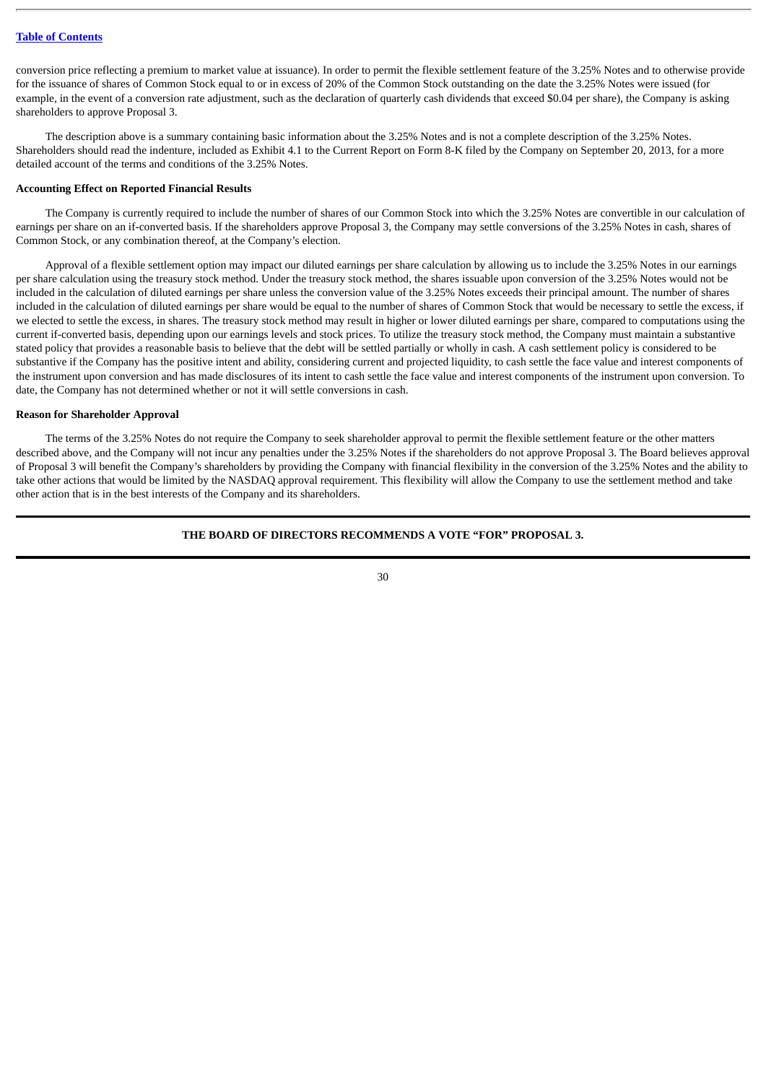conversion price reflecting a premium to market value at issuance). In order to permit the flexible settlement feature of the 3.25% Notes and to otherwise provide for the issuance of shares of Common Stock equal to or in excess of 20% of the Common Stock outstanding on the date the 3.25% Notes were issued (for example, in the event of a conversion rate adjustment, such as the declaration of quarterly cash dividends that exceed \$0.04 per share), the Company is asking shareholders to approve Proposal 3.

The description above is a summary containing basic information about the 3.25% Notes and is not a complete description of the 3.25% Notes. Shareholders should read the indenture, included as Exhibit 4.1 to the Current Report on Form 8-K filed by the Company on September 20, 2013, for a more detailed account of the terms and conditions of the 3.25% Notes.

# **Accounting Effect on Reported Financial Results**

The Company is currently required to include the number of shares of our Common Stock into which the 3.25% Notes are convertible in our calculation of earnings per share on an if-converted basis. If the shareholders approve Proposal 3, the Company may settle conversions of the 3.25% Notes in cash, shares of Common Stock, or any combination thereof, at the Company's election.

Approval of a flexible settlement option may impact our diluted earnings per share calculation by allowing us to include the 3.25% Notes in our earnings per share calculation using the treasury stock method. Under the treasury stock method, the shares issuable upon conversion of the 3.25% Notes would not be included in the calculation of diluted earnings per share unless the conversion value of the 3.25% Notes exceeds their principal amount. The number of shares included in the calculation of diluted earnings per share would be equal to the number of shares of Common Stock that would be necessary to settle the excess, if we elected to settle the excess, in shares. The treasury stock method may result in higher or lower diluted earnings per share, compared to computations using the current if-converted basis, depending upon our earnings levels and stock prices. To utilize the treasury stock method, the Company must maintain a substantive stated policy that provides a reasonable basis to believe that the debt will be settled partially or wholly in cash. A cash settlement policy is considered to be substantive if the Company has the positive intent and ability, considering current and projected liquidity, to cash settle the face value and interest components of the instrument upon conversion and has made disclosures of its intent to cash settle the face value and interest components of the instrument upon conversion. To date, the Company has not determined whether or not it will settle conversions in cash.

# **Reason for Shareholder Approval**

The terms of the 3.25% Notes do not require the Company to seek shareholder approval to permit the flexible settlement feature or the other matters described above, and the Company will not incur any penalties under the 3.25% Notes if the shareholders do not approve Proposal 3. The Board believes approval of Proposal 3 will benefit the Company's shareholders by providing the Company with financial flexibility in the conversion of the 3.25% Notes and the ability to take other actions that would be limited by the NASDAQ approval requirement. This flexibility will allow the Company to use the settlement method and take other action that is in the best interests of the Company and its shareholders.

# **THE BOARD OF DIRECTORS RECOMMENDS A VOTE "FOR" PROPOSAL 3.**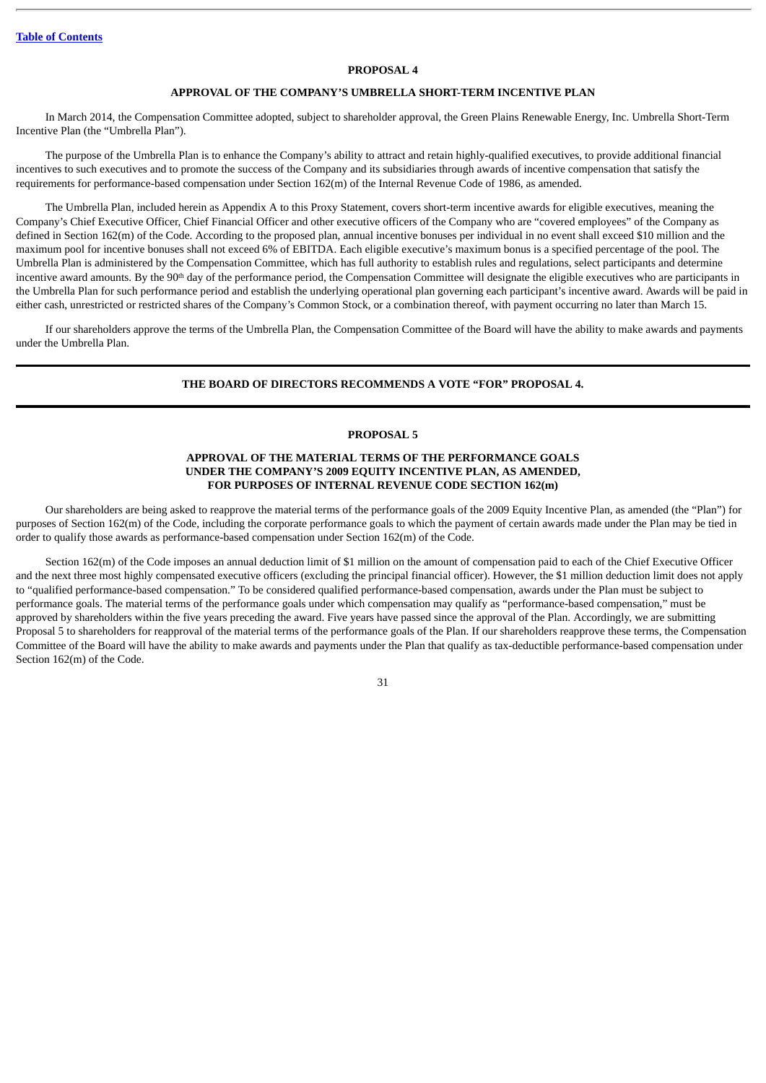#### **PROPOSAL 4**

# **APPROVAL OF THE COMPANY'S UMBRELLA SHORT-TERM INCENTIVE PLAN**

In March 2014, the Compensation Committee adopted, subject to shareholder approval, the Green Plains Renewable Energy, Inc. Umbrella Short-Term Incentive Plan (the "Umbrella Plan").

The purpose of the Umbrella Plan is to enhance the Company's ability to attract and retain highly-qualified executives, to provide additional financial incentives to such executives and to promote the success of the Company and its subsidiaries through awards of incentive compensation that satisfy the requirements for performance-based compensation under Section 162(m) of the Internal Revenue Code of 1986, as amended.

The Umbrella Plan, included herein as Appendix A to this Proxy Statement, covers short-term incentive awards for eligible executives, meaning the Company's Chief Executive Officer, Chief Financial Officer and other executive officers of the Company who are "covered employees" of the Company as defined in Section 162(m) of the Code. According to the proposed plan, annual incentive bonuses per individual in no event shall exceed \$10 million and the maximum pool for incentive bonuses shall not exceed 6% of EBITDA. Each eligible executive's maximum bonus is a specified percentage of the pool. The Umbrella Plan is administered by the Compensation Committee, which has full authority to establish rules and regulations, select participants and determine incentive award amounts. By the 90<sup>th</sup> day of the performance period, the Compensation Committee will designate the eligible executives who are participants in the Umbrella Plan for such performance period and establish the underlying operational plan governing each participant's incentive award. Awards will be paid in either cash, unrestricted or restricted shares of the Company's Common Stock, or a combination thereof, with payment occurring no later than March 15.

If our shareholders approve the terms of the Umbrella Plan, the Compensation Committee of the Board will have the ability to make awards and payments under the Umbrella Plan.

#### **THE BOARD OF DIRECTORS RECOMMENDS A VOTE "FOR" PROPOSAL 4.**

#### **PROPOSAL 5**

# **APPROVAL OF THE MATERIAL TERMS OF THE PERFORMANCE GOALS UNDER THE COMPANY'S 2009 EQUITY INCENTIVE PLAN, AS AMENDED, FOR PURPOSES OF INTERNAL REVENUE CODE SECTION 162(m)**

Our shareholders are being asked to reapprove the material terms of the performance goals of the 2009 Equity Incentive Plan, as amended (the "Plan") for purposes of Section 162(m) of the Code, including the corporate performance goals to which the payment of certain awards made under the Plan may be tied in order to qualify those awards as performance-based compensation under Section 162(m) of the Code.

Section 162(m) of the Code imposes an annual deduction limit of \$1 million on the amount of compensation paid to each of the Chief Executive Officer and the next three most highly compensated executive officers (excluding the principal financial officer). However, the \$1 million deduction limit does not apply to "qualified performance-based compensation." To be considered qualified performance-based compensation, awards under the Plan must be subject to performance goals. The material terms of the performance goals under which compensation may qualify as "performance-based compensation," must be approved by shareholders within the five years preceding the award. Five years have passed since the approval of the Plan. Accordingly, we are submitting Proposal 5 to shareholders for reapproval of the material terms of the performance goals of the Plan. If our shareholders reapprove these terms, the Compensation Committee of the Board will have the ability to make awards and payments under the Plan that qualify as tax-deductible performance-based compensation under Section 162(m) of the Code.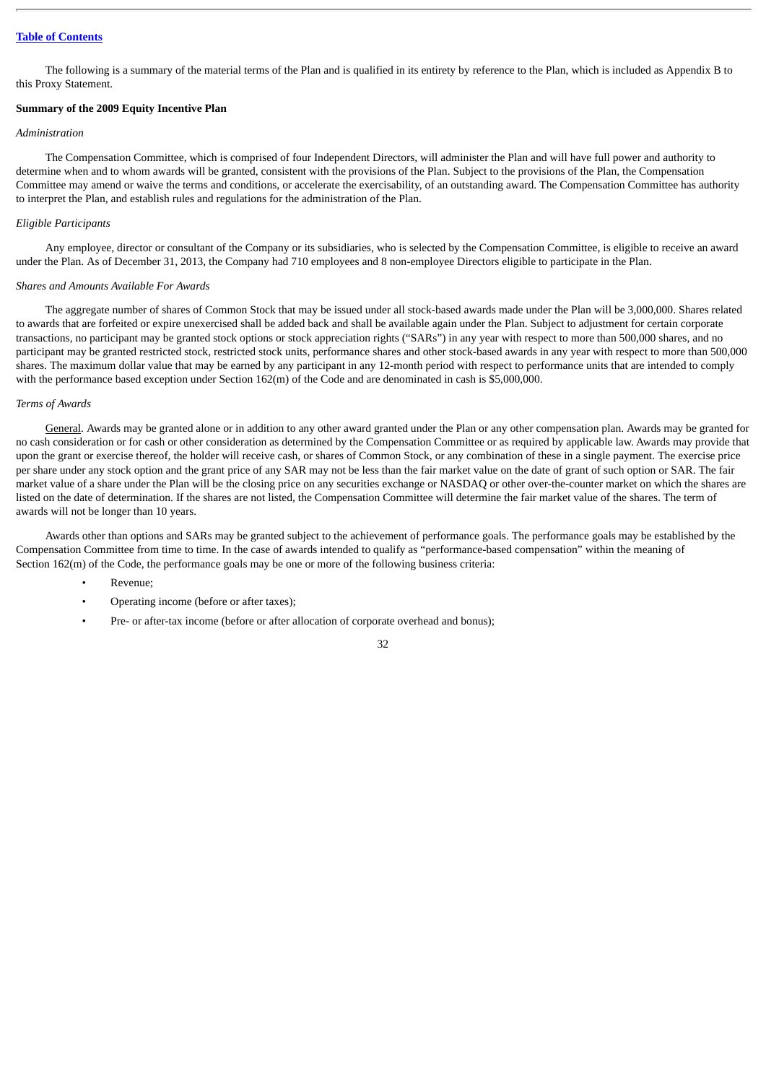The following is a summary of the material terms of the Plan and is qualified in its entirety by reference to the Plan, which is included as Appendix B to this Proxy Statement.

# **Summary of the 2009 Equity Incentive Plan**

#### *Administration*

The Compensation Committee, which is comprised of four Independent Directors, will administer the Plan and will have full power and authority to determine when and to whom awards will be granted, consistent with the provisions of the Plan. Subject to the provisions of the Plan, the Compensation Committee may amend or waive the terms and conditions, or accelerate the exercisability, of an outstanding award. The Compensation Committee has authority to interpret the Plan, and establish rules and regulations for the administration of the Plan.

#### *Eligible Participants*

Any employee, director or consultant of the Company or its subsidiaries, who is selected by the Compensation Committee, is eligible to receive an award under the Plan. As of December 31, 2013, the Company had 710 employees and 8 non-employee Directors eligible to participate in the Plan.

#### *Shares and Amounts Available For Awards*

The aggregate number of shares of Common Stock that may be issued under all stock-based awards made under the Plan will be 3,000,000. Shares related to awards that are forfeited or expire unexercised shall be added back and shall be available again under the Plan. Subject to adjustment for certain corporate transactions, no participant may be granted stock options or stock appreciation rights ("SARs") in any year with respect to more than 500,000 shares, and no participant may be granted restricted stock, restricted stock units, performance shares and other stock-based awards in any year with respect to more than 500,000 shares. The maximum dollar value that may be earned by any participant in any 12-month period with respect to performance units that are intended to comply with the performance based exception under Section 162(m) of the Code and are denominated in cash is \$5,000,000.

#### *Terms of Awards*

General. Awards may be granted alone or in addition to any other award granted under the Plan or any other compensation plan. Awards may be granted for no cash consideration or for cash or other consideration as determined by the Compensation Committee or as required by applicable law. Awards may provide that upon the grant or exercise thereof, the holder will receive cash, or shares of Common Stock, or any combination of these in a single payment. The exercise price per share under any stock option and the grant price of any SAR may not be less than the fair market value on the date of grant of such option or SAR. The fair market value of a share under the Plan will be the closing price on any securities exchange or NASDAQ or other over-the-counter market on which the shares are listed on the date of determination. If the shares are not listed, the Compensation Committee will determine the fair market value of the shares. The term of awards will not be longer than 10 years.

Awards other than options and SARs may be granted subject to the achievement of performance goals. The performance goals may be established by the Compensation Committee from time to time. In the case of awards intended to qualify as "performance-based compensation" within the meaning of Section 162(m) of the Code, the performance goals may be one or more of the following business criteria:

- Revenue;
- Operating income (before or after taxes);
- Pre- or after-tax income (before or after allocation of corporate overhead and bonus);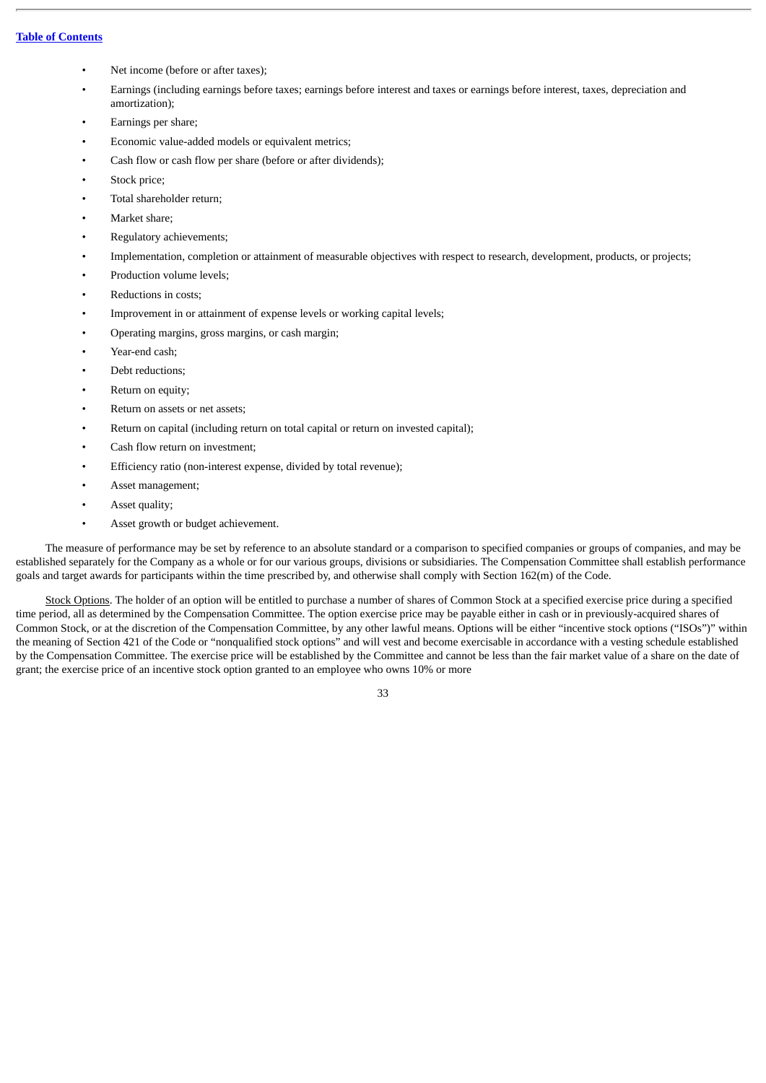- Net income (before or after taxes);
- Earnings (including earnings before taxes; earnings before interest and taxes or earnings before interest, taxes, depreciation and amortization);
- Earnings per share;
- Economic value-added models or equivalent metrics;
- Cash flow or cash flow per share (before or after dividends);
- Stock price:
- Total shareholder return;
- Market share;
- Regulatory achievements;
- Implementation, completion or attainment of measurable objectives with respect to research, development, products, or projects;
- Production volume levels;
- Reductions in costs;
- Improvement in or attainment of expense levels or working capital levels;
- Operating margins, gross margins, or cash margin;
- Year-end cash;
- Debt reductions;
- Return on equity:
- Return on assets or net assets;
- Return on capital (including return on total capital or return on invested capital);
- Cash flow return on investment;
- Efficiency ratio (non-interest expense, divided by total revenue);
- Asset management;
- Asset quality;
- Asset growth or budget achievement.

The measure of performance may be set by reference to an absolute standard or a comparison to specified companies or groups of companies, and may be established separately for the Company as a whole or for our various groups, divisions or subsidiaries. The Compensation Committee shall establish performance goals and target awards for participants within the time prescribed by, and otherwise shall comply with Section 162(m) of the Code.

Stock Options. The holder of an option will be entitled to purchase a number of shares of Common Stock at a specified exercise price during a specified time period, all as determined by the Compensation Committee. The option exercise price may be payable either in cash or in previously-acquired shares of Common Stock, or at the discretion of the Compensation Committee, by any other lawful means. Options will be either "incentive stock options ("ISOs")" within the meaning of Section 421 of the Code or "nonqualified stock options" and will vest and become exercisable in accordance with a vesting schedule established by the Compensation Committee. The exercise price will be established by the Committee and cannot be less than the fair market value of a share on the date of grant; the exercise price of an incentive stock option granted to an employee who owns 10% or more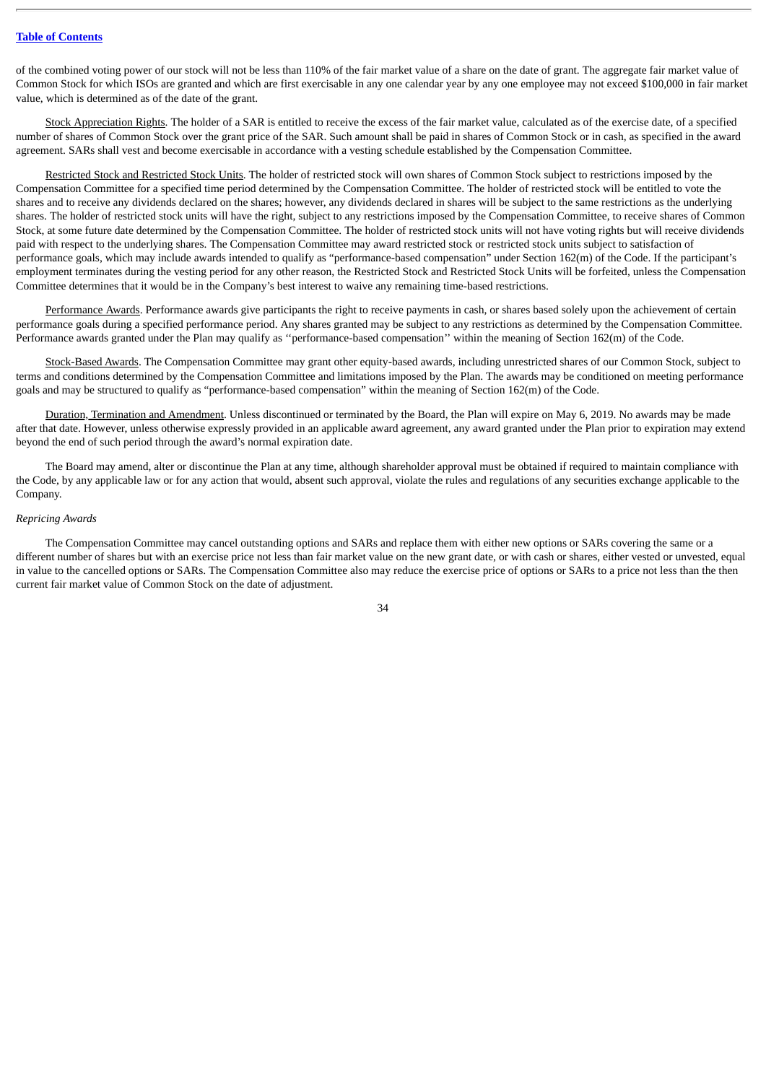of the combined voting power of our stock will not be less than 110% of the fair market value of a share on the date of grant. The aggregate fair market value of Common Stock for which ISOs are granted and which are first exercisable in any one calendar year by any one employee may not exceed \$100,000 in fair market value, which is determined as of the date of the grant.

Stock Appreciation Rights. The holder of a SAR is entitled to receive the excess of the fair market value, calculated as of the exercise date, of a specified number of shares of Common Stock over the grant price of the SAR. Such amount shall be paid in shares of Common Stock or in cash, as specified in the award agreement. SARs shall vest and become exercisable in accordance with a vesting schedule established by the Compensation Committee.

Restricted Stock and Restricted Stock Units. The holder of restricted stock will own shares of Common Stock subject to restrictions imposed by the Compensation Committee for a specified time period determined by the Compensation Committee. The holder of restricted stock will be entitled to vote the shares and to receive any dividends declared on the shares; however, any dividends declared in shares will be subject to the same restrictions as the underlying shares. The holder of restricted stock units will have the right, subject to any restrictions imposed by the Compensation Committee, to receive shares of Common Stock, at some future date determined by the Compensation Committee. The holder of restricted stock units will not have voting rights but will receive dividends paid with respect to the underlying shares. The Compensation Committee may award restricted stock or restricted stock units subject to satisfaction of performance goals, which may include awards intended to qualify as "performance-based compensation" under Section 162(m) of the Code. If the participant's employment terminates during the vesting period for any other reason, the Restricted Stock and Restricted Stock Units will be forfeited, unless the Compensation Committee determines that it would be in the Company's best interest to waive any remaining time-based restrictions.

Performance Awards. Performance awards give participants the right to receive payments in cash, or shares based solely upon the achievement of certain performance goals during a specified performance period. Any shares granted may be subject to any restrictions as determined by the Compensation Committee. Performance awards granted under the Plan may qualify as ''performance-based compensation'' within the meaning of Section 162(m) of the Code.

Stock-Based Awards. The Compensation Committee may grant other equity-based awards, including unrestricted shares of our Common Stock, subject to terms and conditions determined by the Compensation Committee and limitations imposed by the Plan. The awards may be conditioned on meeting performance goals and may be structured to qualify as "performance-based compensation" within the meaning of Section 162(m) of the Code.

Duration, Termination and Amendment. Unless discontinued or terminated by the Board, the Plan will expire on May 6, 2019. No awards may be made after that date. However, unless otherwise expressly provided in an applicable award agreement, any award granted under the Plan prior to expiration may extend beyond the end of such period through the award's normal expiration date.

The Board may amend, alter or discontinue the Plan at any time, although shareholder approval must be obtained if required to maintain compliance with the Code, by any applicable law or for any action that would, absent such approval, violate the rules and regulations of any securities exchange applicable to the Company.

#### *Repricing Awards*

The Compensation Committee may cancel outstanding options and SARs and replace them with either new options or SARs covering the same or a different number of shares but with an exercise price not less than fair market value on the new grant date, or with cash or shares, either vested or unvested, equal in value to the cancelled options or SARs. The Compensation Committee also may reduce the exercise price of options or SARs to a price not less than the then current fair market value of Common Stock on the date of adjustment.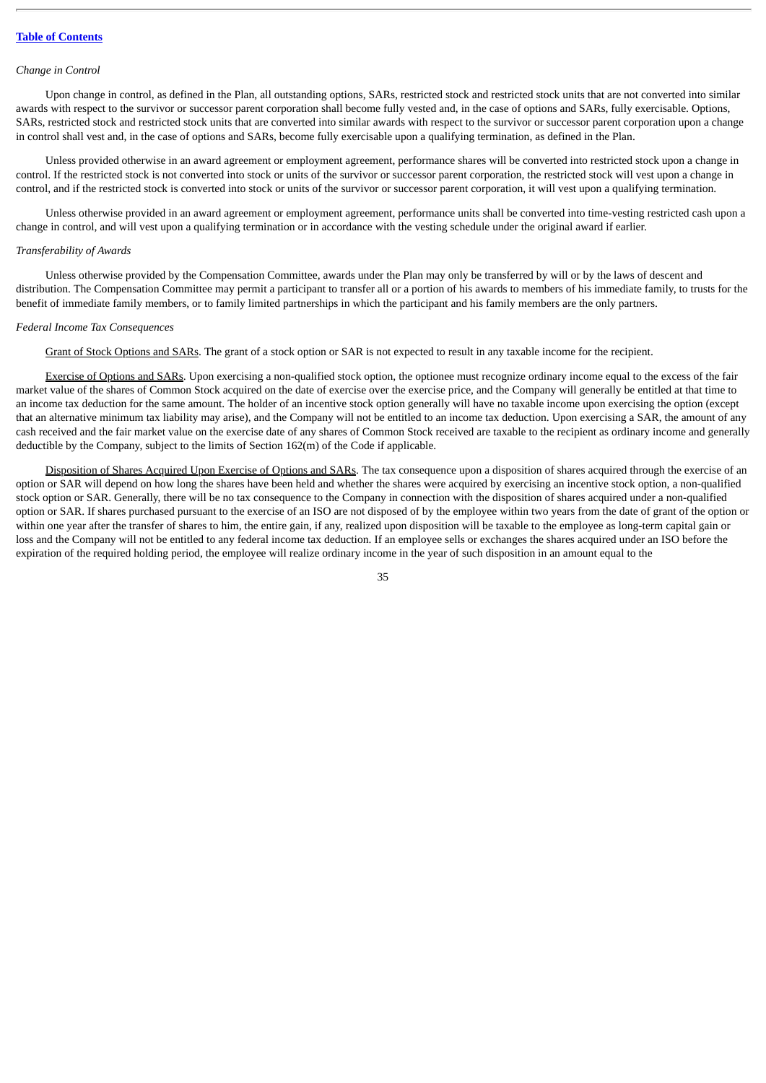#### *Change in Control*

Upon change in control, as defined in the Plan, all outstanding options, SARs, restricted stock and restricted stock units that are not converted into similar awards with respect to the survivor or successor parent corporation shall become fully vested and, in the case of options and SARs, fully exercisable. Options, SARs, restricted stock and restricted stock units that are converted into similar awards with respect to the survivor or successor parent corporation upon a change in control shall vest and, in the case of options and SARs, become fully exercisable upon a qualifying termination, as defined in the Plan.

Unless provided otherwise in an award agreement or employment agreement, performance shares will be converted into restricted stock upon a change in control. If the restricted stock is not converted into stock or units of the survivor or successor parent corporation, the restricted stock will vest upon a change in control, and if the restricted stock is converted into stock or units of the survivor or successor parent corporation, it will vest upon a qualifying termination.

Unless otherwise provided in an award agreement or employment agreement, performance units shall be converted into time-vesting restricted cash upon a change in control, and will vest upon a qualifying termination or in accordance with the vesting schedule under the original award if earlier.

#### *Transferability of Awards*

Unless otherwise provided by the Compensation Committee, awards under the Plan may only be transferred by will or by the laws of descent and distribution. The Compensation Committee may permit a participant to transfer all or a portion of his awards to members of his immediate family, to trusts for the benefit of immediate family members, or to family limited partnerships in which the participant and his family members are the only partners.

#### *Federal Income Tax Consequences*

Grant of Stock Options and SARs. The grant of a stock option or SAR is not expected to result in any taxable income for the recipient.

Exercise of Options and SARs. Upon exercising a non-qualified stock option, the optionee must recognize ordinary income equal to the excess of the fair market value of the shares of Common Stock acquired on the date of exercise over the exercise price, and the Company will generally be entitled at that time to an income tax deduction for the same amount. The holder of an incentive stock option generally will have no taxable income upon exercising the option (except that an alternative minimum tax liability may arise), and the Company will not be entitled to an income tax deduction. Upon exercising a SAR, the amount of any cash received and the fair market value on the exercise date of any shares of Common Stock received are taxable to the recipient as ordinary income and generally deductible by the Company, subject to the limits of Section 162(m) of the Code if applicable.

Disposition of Shares Acquired Upon Exercise of Options and SARs. The tax consequence upon a disposition of shares acquired through the exercise of an option or SAR will depend on how long the shares have been held and whether the shares were acquired by exercising an incentive stock option, a non-qualified stock option or SAR. Generally, there will be no tax consequence to the Company in connection with the disposition of shares acquired under a non-qualified option or SAR. If shares purchased pursuant to the exercise of an ISO are not disposed of by the employee within two years from the date of grant of the option or within one year after the transfer of shares to him, the entire gain, if any, realized upon disposition will be taxable to the employee as long-term capital gain or loss and the Company will not be entitled to any federal income tax deduction. If an employee sells or exchanges the shares acquired under an ISO before the expiration of the required holding period, the employee will realize ordinary income in the year of such disposition in an amount equal to the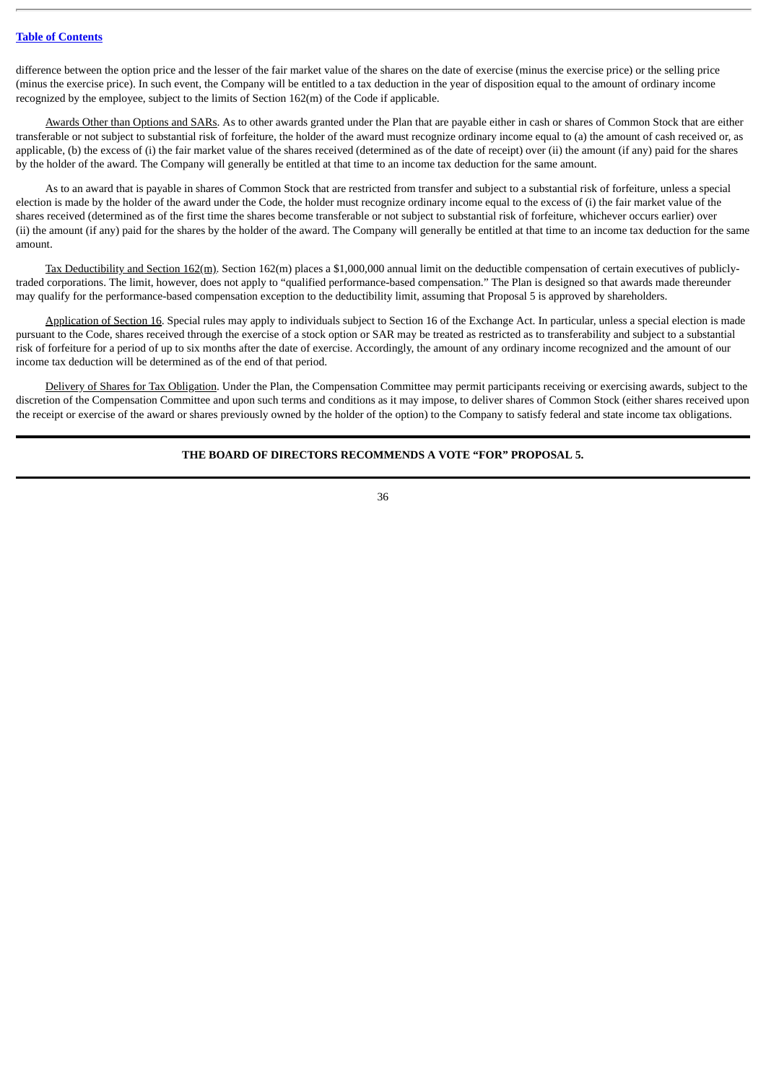difference between the option price and the lesser of the fair market value of the shares on the date of exercise (minus the exercise price) or the selling price (minus the exercise price). In such event, the Company will be entitled to a tax deduction in the year of disposition equal to the amount of ordinary income recognized by the employee, subject to the limits of Section 162(m) of the Code if applicable.

Awards Other than Options and SARs. As to other awards granted under the Plan that are payable either in cash or shares of Common Stock that are either transferable or not subject to substantial risk of forfeiture, the holder of the award must recognize ordinary income equal to (a) the amount of cash received or, as applicable, (b) the excess of (i) the fair market value of the shares received (determined as of the date of receipt) over (ii) the amount (if any) paid for the shares by the holder of the award. The Company will generally be entitled at that time to an income tax deduction for the same amount.

As to an award that is payable in shares of Common Stock that are restricted from transfer and subject to a substantial risk of forfeiture, unless a special election is made by the holder of the award under the Code, the holder must recognize ordinary income equal to the excess of (i) the fair market value of the shares received (determined as of the first time the shares become transferable or not subject to substantial risk of forfeiture, whichever occurs earlier) over (ii) the amount (if any) paid for the shares by the holder of the award. The Company will generally be entitled at that time to an income tax deduction for the same amount.

Tax Deductibility and Section 162(m). Section 162(m) places a \$1,000,000 annual limit on the deductible compensation of certain executives of publiclytraded corporations. The limit, however, does not apply to "qualified performance-based compensation." The Plan is designed so that awards made thereunder may qualify for the performance-based compensation exception to the deductibility limit, assuming that Proposal 5 is approved by shareholders.

Application of Section 16. Special rules may apply to individuals subject to Section 16 of the Exchange Act. In particular, unless a special election is made pursuant to the Code, shares received through the exercise of a stock option or SAR may be treated as restricted as to transferability and subject to a substantial risk of forfeiture for a period of up to six months after the date of exercise. Accordingly, the amount of any ordinary income recognized and the amount of our income tax deduction will be determined as of the end of that period.

Delivery of Shares for Tax Obligation. Under the Plan, the Compensation Committee may permit participants receiving or exercising awards, subject to the discretion of the Compensation Committee and upon such terms and conditions as it may impose, to deliver shares of Common Stock (either shares received upon the receipt or exercise of the award or shares previously owned by the holder of the option) to the Company to satisfy federal and state income tax obligations.

# **THE BOARD OF DIRECTORS RECOMMENDS A VOTE "FOR" PROPOSAL 5.**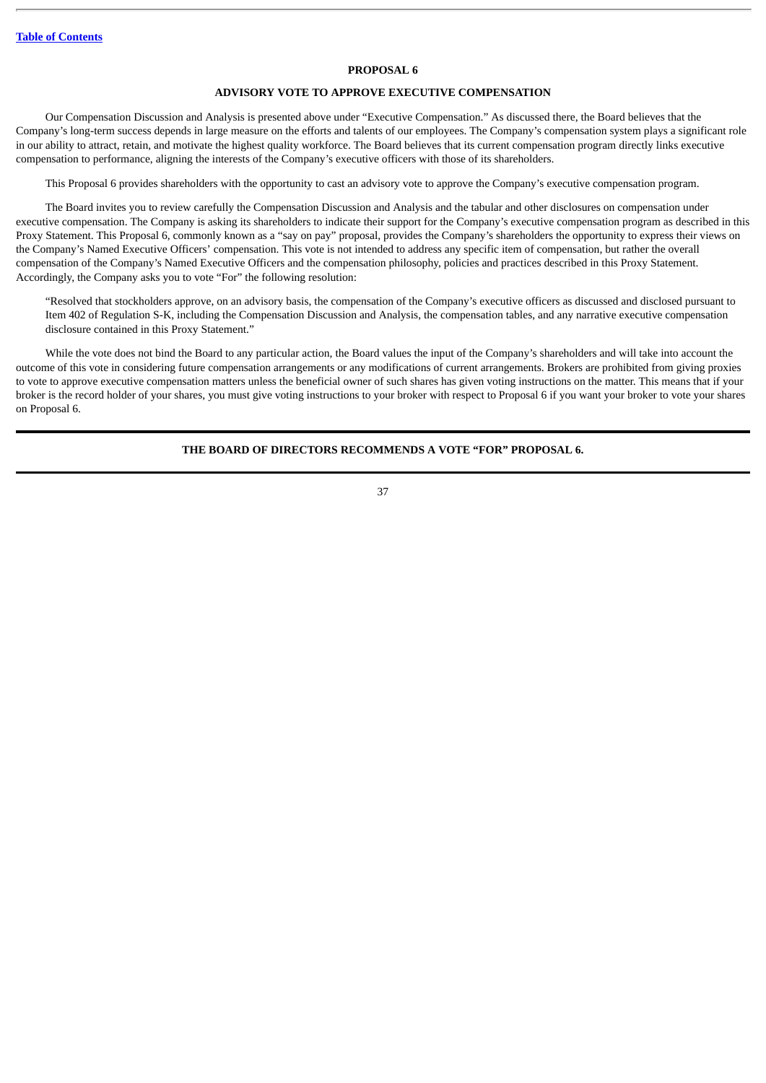#### **PROPOSAL 6**

# **ADVISORY VOTE TO APPROVE EXECUTIVE COMPENSATION**

Our Compensation Discussion and Analysis is presented above under "Executive Compensation." As discussed there, the Board believes that the Company's long-term success depends in large measure on the efforts and talents of our employees. The Company's compensation system plays a significant role in our ability to attract, retain, and motivate the highest quality workforce. The Board believes that its current compensation program directly links executive compensation to performance, aligning the interests of the Company's executive officers with those of its shareholders.

This Proposal 6 provides shareholders with the opportunity to cast an advisory vote to approve the Company's executive compensation program.

The Board invites you to review carefully the Compensation Discussion and Analysis and the tabular and other disclosures on compensation under executive compensation. The Company is asking its shareholders to indicate their support for the Company's executive compensation program as described in this Proxy Statement. This Proposal 6, commonly known as a "say on pay" proposal, provides the Company's shareholders the opportunity to express their views on the Company's Named Executive Officers' compensation. This vote is not intended to address any specific item of compensation, but rather the overall compensation of the Company's Named Executive Officers and the compensation philosophy, policies and practices described in this Proxy Statement. Accordingly, the Company asks you to vote "For" the following resolution:

"Resolved that stockholders approve, on an advisory basis, the compensation of the Company's executive officers as discussed and disclosed pursuant to Item 402 of Regulation S-K, including the Compensation Discussion and Analysis, the compensation tables, and any narrative executive compensation disclosure contained in this Proxy Statement."

While the vote does not bind the Board to any particular action, the Board values the input of the Company's shareholders and will take into account the outcome of this vote in considering future compensation arrangements or any modifications of current arrangements. Brokers are prohibited from giving proxies to vote to approve executive compensation matters unless the beneficial owner of such shares has given voting instructions on the matter. This means that if your broker is the record holder of your shares, you must give voting instructions to your broker with respect to Proposal 6 if you want your broker to vote your shares on Proposal 6.

## **THE BOARD OF DIRECTORS RECOMMENDS A VOTE "FOR" PROPOSAL 6.**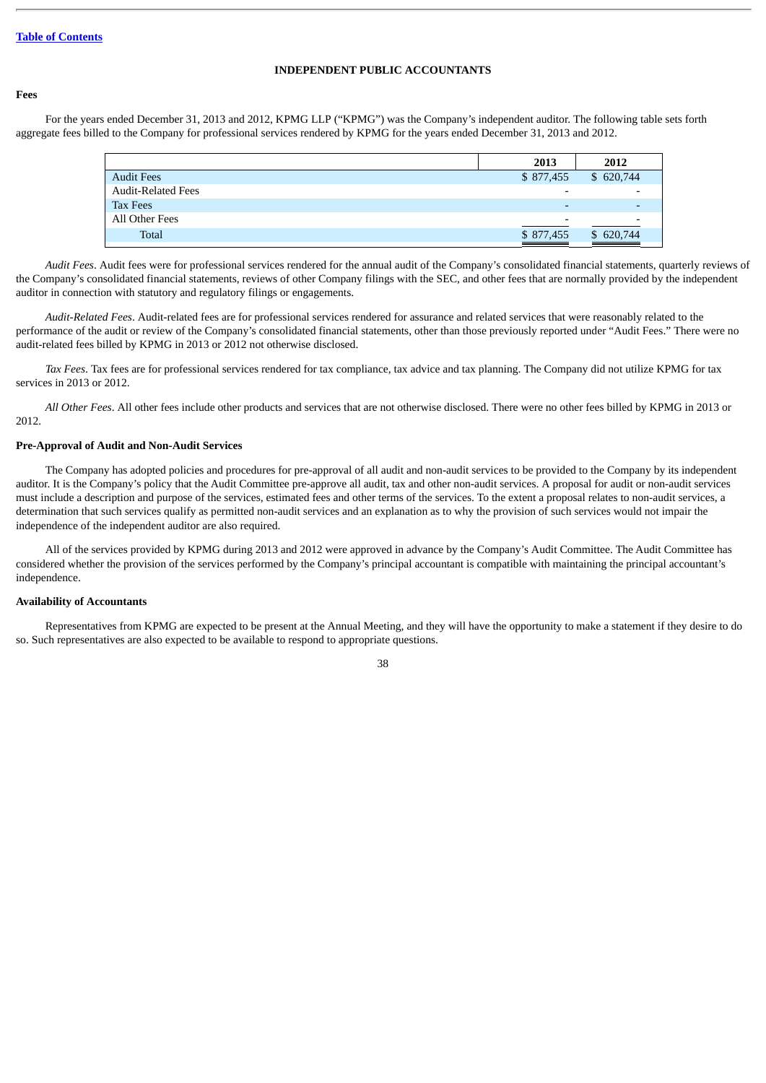# **INDEPENDENT PUBLIC ACCOUNTANTS**

# **Fees**

For the years ended December 31, 2013 and 2012, KPMG LLP ("KPMG") was the Company's independent auditor. The following table sets forth aggregate fees billed to the Company for professional services rendered by KPMG for the years ended December 31, 2013 and 2012.

| 2013                     | 2012      |
|--------------------------|-----------|
| \$877,455                | \$620,744 |
| $\overline{\phantom{0}}$ |           |
| $\overline{\phantom{0}}$ |           |
| $\overline{\phantom{0}}$ |           |
| \$877,455                | \$620,744 |
|                          |           |

*Audit Fees*. Audit fees were for professional services rendered for the annual audit of the Company's consolidated financial statements, quarterly reviews of the Company's consolidated financial statements, reviews of other Company filings with the SEC, and other fees that are normally provided by the independent auditor in connection with statutory and regulatory filings or engagements.

*Audit-Related Fees*. Audit-related fees are for professional services rendered for assurance and related services that were reasonably related to the performance of the audit or review of the Company's consolidated financial statements, other than those previously reported under "Audit Fees." There were no audit-related fees billed by KPMG in 2013 or 2012 not otherwise disclosed.

*Tax Fees*. Tax fees are for professional services rendered for tax compliance, tax advice and tax planning. The Company did not utilize KPMG for tax services in 2013 or 2012.

*All Other Fees*. All other fees include other products and services that are not otherwise disclosed. There were no other fees billed by KPMG in 2013 or 2012.

#### **Pre-Approval of Audit and Non-Audit Services**

The Company has adopted policies and procedures for pre-approval of all audit and non-audit services to be provided to the Company by its independent auditor. It is the Company's policy that the Audit Committee pre-approve all audit, tax and other non-audit services. A proposal for audit or non-audit services must include a description and purpose of the services, estimated fees and other terms of the services. To the extent a proposal relates to non-audit services, a determination that such services qualify as permitted non-audit services and an explanation as to why the provision of such services would not impair the independence of the independent auditor are also required.

All of the services provided by KPMG during 2013 and 2012 were approved in advance by the Company's Audit Committee. The Audit Committee has considered whether the provision of the services performed by the Company's principal accountant is compatible with maintaining the principal accountant's independence.

#### **Availability of Accountants**

Representatives from KPMG are expected to be present at the Annual Meeting, and they will have the opportunity to make a statement if they desire to do so. Such representatives are also expected to be available to respond to appropriate questions.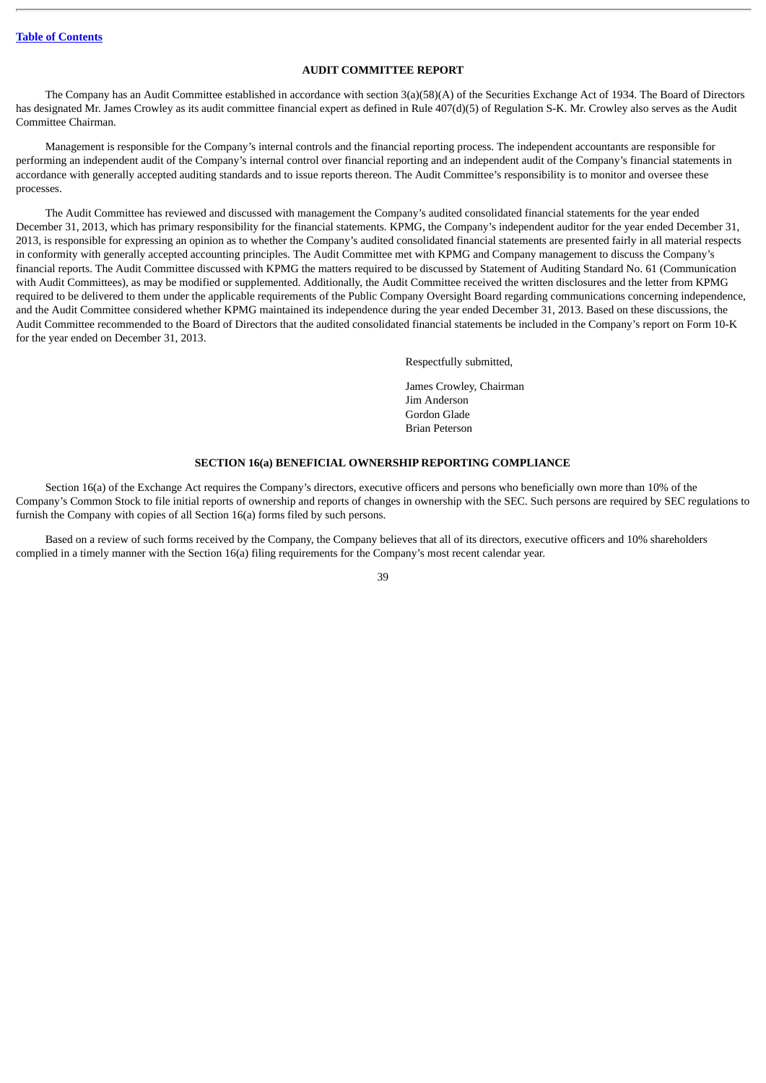# **AUDIT COMMITTEE REPORT**

The Company has an Audit Committee established in accordance with section 3(a)(58)(A) of the Securities Exchange Act of 1934. The Board of Directors has designated Mr. James Crowley as its audit committee financial expert as defined in Rule 407(d)(5) of Regulation S-K. Mr. Crowley also serves as the Audit Committee Chairman.

Management is responsible for the Company's internal controls and the financial reporting process. The independent accountants are responsible for performing an independent audit of the Company's internal control over financial reporting and an independent audit of the Company's financial statements in accordance with generally accepted auditing standards and to issue reports thereon. The Audit Committee's responsibility is to monitor and oversee these processes.

The Audit Committee has reviewed and discussed with management the Company's audited consolidated financial statements for the year ended December 31, 2013, which has primary responsibility for the financial statements. KPMG, the Company's independent auditor for the year ended December 31, 2013, is responsible for expressing an opinion as to whether the Company's audited consolidated financial statements are presented fairly in all material respects in conformity with generally accepted accounting principles. The Audit Committee met with KPMG and Company management to discuss the Company's financial reports. The Audit Committee discussed with KPMG the matters required to be discussed by Statement of Auditing Standard No. 61 (Communication with Audit Committees), as may be modified or supplemented. Additionally, the Audit Committee received the written disclosures and the letter from KPMG required to be delivered to them under the applicable requirements of the Public Company Oversight Board regarding communications concerning independence, and the Audit Committee considered whether KPMG maintained its independence during the year ended December 31, 2013. Based on these discussions, the Audit Committee recommended to the Board of Directors that the audited consolidated financial statements be included in the Company's report on Form 10-K for the year ended on December 31, 2013.

Respectfully submitted,

James Crowley, Chairman Jim Anderson Gordon Glade Brian Peterson

# **SECTION 16(a) BENEFICIAL OWNERSHIP REPORTING COMPLIANCE**

Section 16(a) of the Exchange Act requires the Company's directors, executive officers and persons who beneficially own more than 10% of the Company's Common Stock to file initial reports of ownership and reports of changes in ownership with the SEC. Such persons are required by SEC regulations to furnish the Company with copies of all Section 16(a) forms filed by such persons.

Based on a review of such forms received by the Company, the Company believes that all of its directors, executive officers and 10% shareholders complied in a timely manner with the Section 16(a) filing requirements for the Company's most recent calendar year.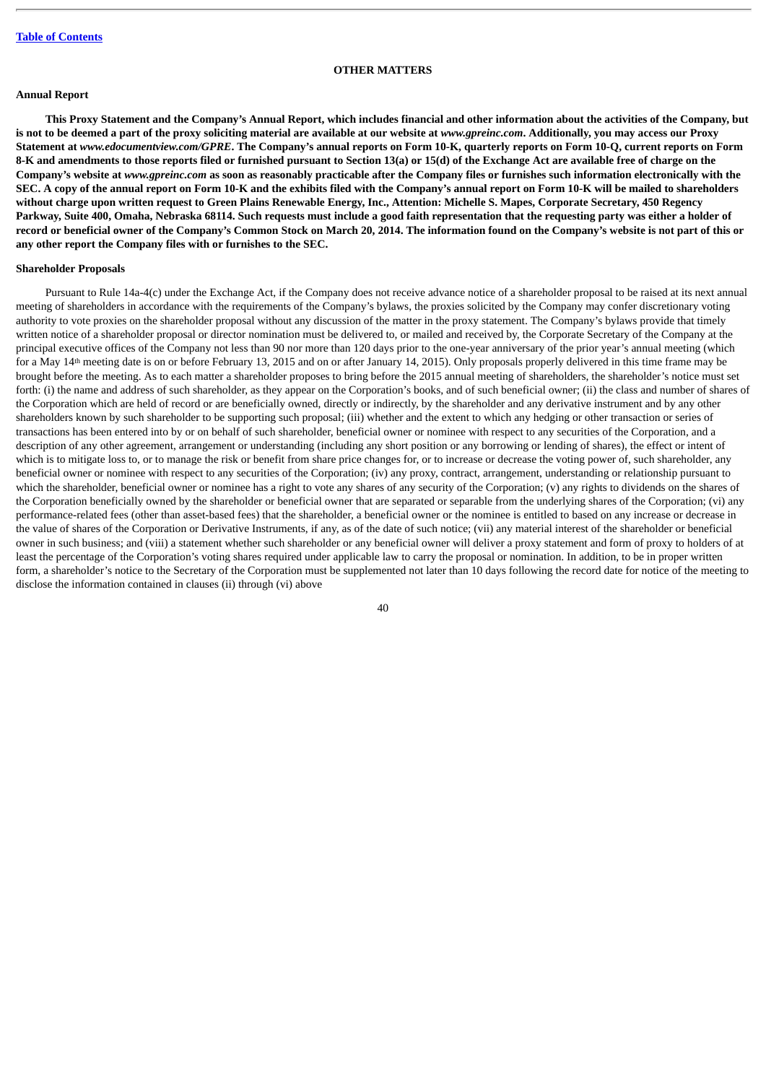## **OTHER MATTERS**

# **Annual Report**

**This Proxy Statement and the Company's Annual Report, which includes financial and other information about the activities of the Company, but** is not to be deemed a part of the proxy soliciting material are available at our website at *www.gpreinc.com*. Additionally, you may access our Proxy **Statement at** *www.edocumentview.com/GPRE***. The Company's annual reports on Form 10-K, quarterly reports on Form 10-Q, current reports on Form 8-K and amendments to those reports filed or furnished pursuant to Section 13(a) or 15(d) of the Exchange Act are available free of charge on the Company's website at** *www.gpreinc.com* **as soon as reasonably practicable after the Company files or furnishes such information electronically with the SEC. A copy of the annual report on Form 10-K and the exhibits filed with the Company's annual report on Form 10-K will be mailed to shareholders without charge upon written request to Green Plains Renewable Energy, Inc., Attention: Michelle S. Mapes, Corporate Secretary, 450 Regency Parkway, Suite 400, Omaha, Nebraska 68114. Such requests must include a good faith representation that the requesting party was either a holder of record or beneficial owner of the Company's Common Stock on March 20, 2014. The information found on the Company's website is not part of this or any other report the Company files with or furnishes to the SEC.**

# **Shareholder Proposals**

Pursuant to Rule 14a-4(c) under the Exchange Act, if the Company does not receive advance notice of a shareholder proposal to be raised at its next annual meeting of shareholders in accordance with the requirements of the Company's bylaws, the proxies solicited by the Company may confer discretionary voting authority to vote proxies on the shareholder proposal without any discussion of the matter in the proxy statement. The Company's bylaws provide that timely written notice of a shareholder proposal or director nomination must be delivered to, or mailed and received by, the Corporate Secretary of the Company at the principal executive offices of the Company not less than 90 nor more than 120 days prior to the one-year anniversary of the prior year's annual meeting (which for a May 14<sup>th</sup> meeting date is on or before February 13, 2015 and on or after January 14, 2015). Only proposals properly delivered in this time frame may be brought before the meeting. As to each matter a shareholder proposes to bring before the 2015 annual meeting of shareholders, the shareholder's notice must set forth: (i) the name and address of such shareholder, as they appear on the Corporation's books, and of such beneficial owner; (ii) the class and number of shares of the Corporation which are held of record or are beneficially owned, directly or indirectly, by the shareholder and any derivative instrument and by any other shareholders known by such shareholder to be supporting such proposal; (iii) whether and the extent to which any hedging or other transaction or series of transactions has been entered into by or on behalf of such shareholder, beneficial owner or nominee with respect to any securities of the Corporation, and a description of any other agreement, arrangement or understanding (including any short position or any borrowing or lending of shares), the effect or intent of which is to mitigate loss to, or to manage the risk or benefit from share price changes for, or to increase or decrease the voting power of, such shareholder, any beneficial owner or nominee with respect to any securities of the Corporation; (iv) any proxy, contract, arrangement, understanding or relationship pursuant to which the shareholder, beneficial owner or nominee has a right to vote any shares of any security of the Corporation; (y) any rights to dividends on the shares of the Corporation beneficially owned by the shareholder or beneficial owner that are separated or separable from the underlying shares of the Corporation; (vi) any performance-related fees (other than asset-based fees) that the shareholder, a beneficial owner or the nominee is entitled to based on any increase or decrease in the value of shares of the Corporation or Derivative Instruments, if any, as of the date of such notice; (vii) any material interest of the shareholder or beneficial owner in such business; and (viii) a statement whether such shareholder or any beneficial owner will deliver a proxy statement and form of proxy to holders of at least the percentage of the Corporation's voting shares required under applicable law to carry the proposal or nomination. In addition, to be in proper written form, a shareholder's notice to the Secretary of the Corporation must be supplemented not later than 10 days following the record date for notice of the meeting to disclose the information contained in clauses (ii) through (vi) above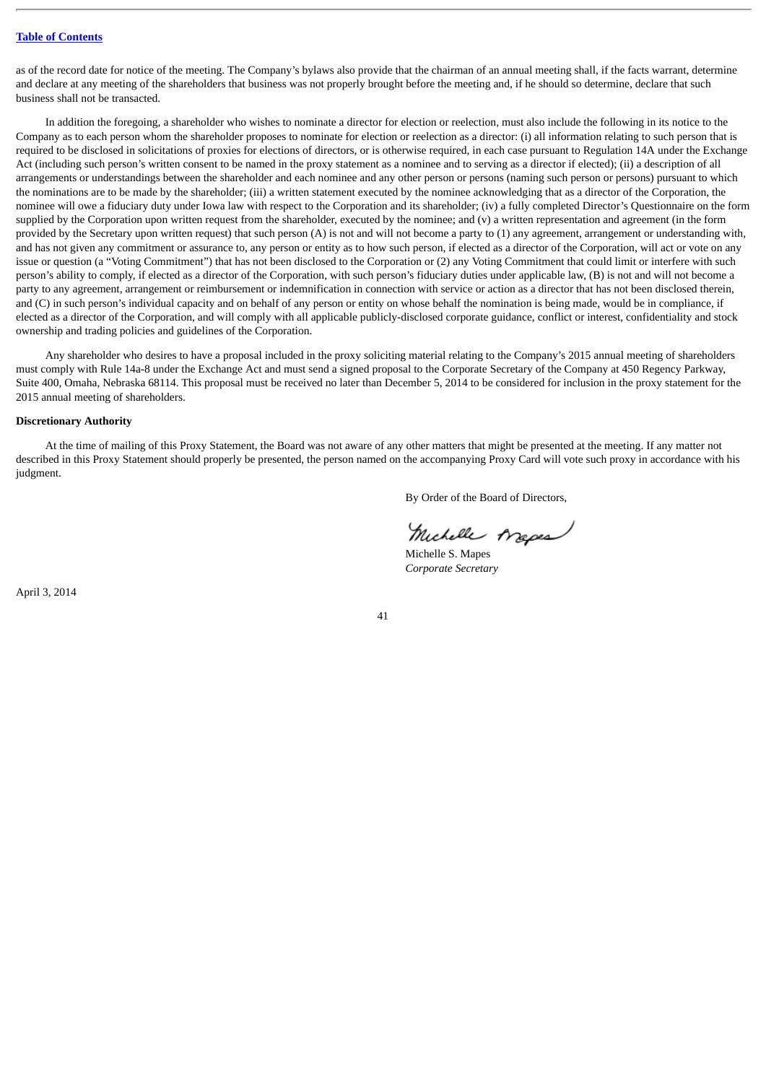as of the record date for notice of the meeting. The Company's bylaws also provide that the chairman of an annual meeting shall, if the facts warrant, determine and declare at any meeting of the shareholders that business was not properly brought before the meeting and, if he should so determine, declare that such business shall not be transacted.

In addition the foregoing, a shareholder who wishes to nominate a director for election or reelection, must also include the following in its notice to the Company as to each person whom the shareholder proposes to nominate for election or reelection as a director: (i) all information relating to such person that is required to be disclosed in solicitations of proxies for elections of directors, or is otherwise required, in each case pursuant to Regulation 14A under the Exchange Act (including such person's written consent to be named in the proxy statement as a nominee and to serving as a director if elected); (ii) a description of all arrangements or understandings between the shareholder and each nominee and any other person or persons (naming such person or persons) pursuant to which the nominations are to be made by the shareholder; (iii) a written statement executed by the nominee acknowledging that as a director of the Corporation, the nominee will owe a fiduciary duty under Iowa law with respect to the Corporation and its shareholder; (iv) a fully completed Director's Questionnaire on the form supplied by the Corporation upon written request from the shareholder, executed by the nominee; and (y) a written representation and agreement (in the form provided by the Secretary upon written request) that such person  $(A)$  is not and will not become a party to  $(1)$  any agreement, arrangement or understanding with, and has not given any commitment or assurance to, any person or entity as to how such person, if elected as a director of the Corporation, will act or vote on any issue or question (a "Voting Commitment") that has not been disclosed to the Corporation or (2) any Voting Commitment that could limit or interfere with such person's ability to comply, if elected as a director of the Corporation, with such person's fiduciary duties under applicable law, (B) is not and will not become a party to any agreement, arrangement or reimbursement or indemnification in connection with service or action as a director that has not been disclosed therein, and (C) in such person's individual capacity and on behalf of any person or entity on whose behalf the nomination is being made, would be in compliance, if elected as a director of the Corporation, and will comply with all applicable publicly-disclosed corporate guidance, conflict or interest, confidentiality and stock ownership and trading policies and guidelines of the Corporation.

Any shareholder who desires to have a proposal included in the proxy soliciting material relating to the Company's 2015 annual meeting of shareholders must comply with Rule 14a-8 under the Exchange Act and must send a signed proposal to the Corporate Secretary of the Company at 450 Regency Parkway, Suite 400, Omaha, Nebraska 68114. This proposal must be received no later than December 5, 2014 to be considered for inclusion in the proxy statement for the 2015 annual meeting of shareholders.

#### **Discretionary Authority**

At the time of mailing of this Proxy Statement, the Board was not aware of any other matters that might be presented at the meeting. If any matter not described in this Proxy Statement should properly be presented, the person named on the accompanying Proxy Card will vote such proxy in accordance with his judgment.

By Order of the Board of Directors,

Michelle Arapes

Michelle S. Mapes *Corporate Secretary*

April 3, 2014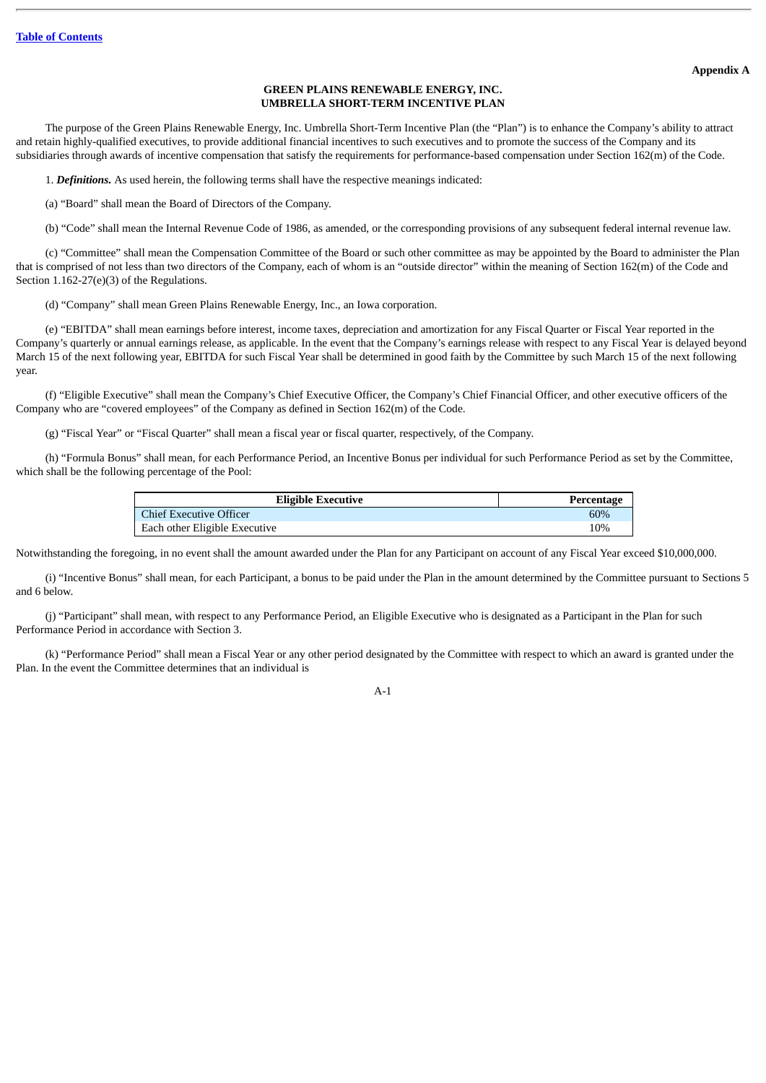#### **Appendix A**

#### **GREEN PLAINS RENEWABLE ENERGY, INC. UMBRELLA SHORT-TERM INCENTIVE PLAN**

The purpose of the Green Plains Renewable Energy, Inc. Umbrella Short-Term Incentive Plan (the "Plan") is to enhance the Company's ability to attract and retain highly-qualified executives, to provide additional financial incentives to such executives and to promote the success of the Company and its subsidiaries through awards of incentive compensation that satisfy the requirements for performance-based compensation under Section 162(m) of the Code.

1. *Definitions.* As used herein, the following terms shall have the respective meanings indicated:

(a) "Board" shall mean the Board of Directors of the Company.

(b) "Code" shall mean the Internal Revenue Code of 1986, as amended, or the corresponding provisions of any subsequent federal internal revenue law.

(c) "Committee" shall mean the Compensation Committee of the Board or such other committee as may be appointed by the Board to administer the Plan that is comprised of not less than two directors of the Company, each of whom is an "outside director" within the meaning of Section 162(m) of the Code and Section 1.162-27(e)(3) of the Regulations.

(d) "Company" shall mean Green Plains Renewable Energy, Inc., an Iowa corporation.

(e) "EBITDA" shall mean earnings before interest, income taxes, depreciation and amortization for any Fiscal Quarter or Fiscal Year reported in the Company's quarterly or annual earnings release, as applicable. In the event that the Company's earnings release with respect to any Fiscal Year is delayed beyond March 15 of the next following year, EBITDA for such Fiscal Year shall be determined in good faith by the Committee by such March 15 of the next following year.

(f) "Eligible Executive" shall mean the Company's Chief Executive Officer, the Company's Chief Financial Officer, and other executive officers of the Company who are "covered employees" of the Company as defined in Section 162(m) of the Code.

(g) "Fiscal Year" or "Fiscal Quarter" shall mean a fiscal year or fiscal quarter, respectively, of the Company.

(h) "Formula Bonus" shall mean, for each Performance Period, an Incentive Bonus per individual for such Performance Period as set by the Committee, which shall be the following percentage of the Pool:

| <b>Eligible Executive</b>      | Percentage |
|--------------------------------|------------|
| <b>Chief Executive Officer</b> | 60%        |
| Each other Eligible Executive  | 10%        |

Notwithstanding the foregoing, in no event shall the amount awarded under the Plan for any Participant on account of any Fiscal Year exceed \$10,000,000.

(i) "Incentive Bonus" shall mean, for each Participant, a bonus to be paid under the Plan in the amount determined by the Committee pursuant to Sections 5 and 6 below.

(j) "Participant" shall mean, with respect to any Performance Period, an Eligible Executive who is designated as a Participant in the Plan for such Performance Period in accordance with Section 3.

(k) "Performance Period" shall mean a Fiscal Year or any other period designated by the Committee with respect to which an award is granted under the Plan. In the event the Committee determines that an individual is

A-1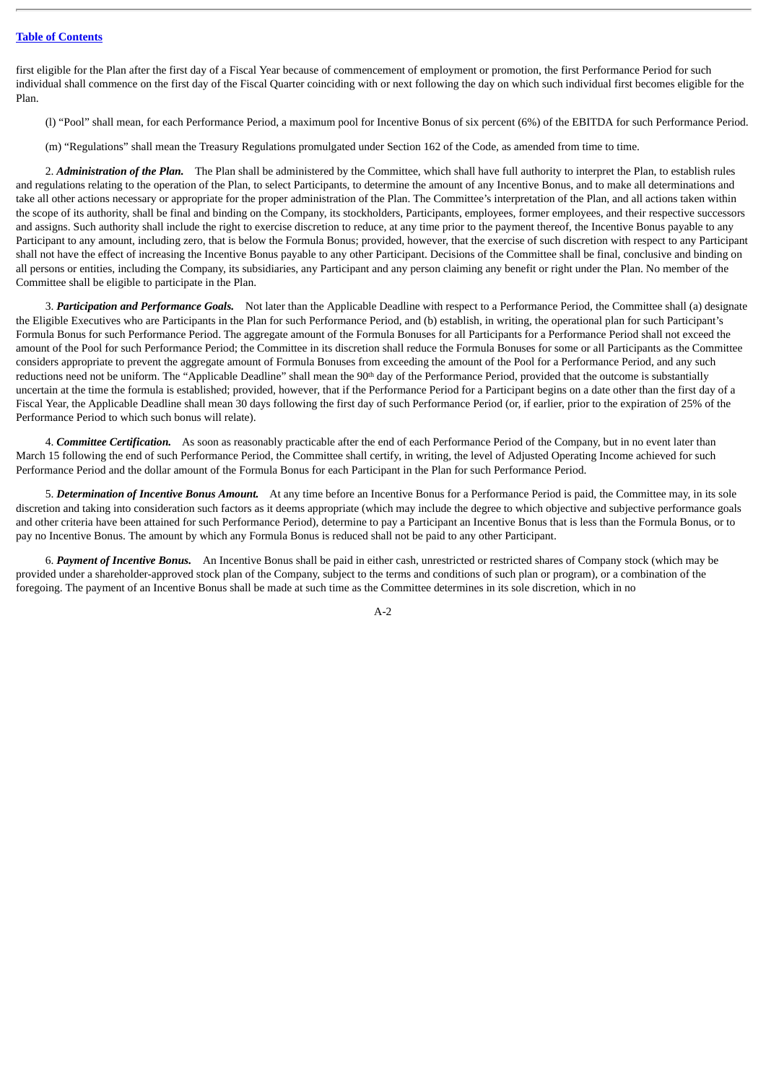first eligible for the Plan after the first day of a Fiscal Year because of commencement of employment or promotion, the first Performance Period for such individual shall commence on the first day of the Fiscal Quarter coinciding with or next following the day on which such individual first becomes eligible for the Plan.

- (l) "Pool" shall mean, for each Performance Period, a maximum pool for Incentive Bonus of six percent (6%) of the EBITDA for such Performance Period.
- (m) "Regulations" shall mean the Treasury Regulations promulgated under Section 162 of the Code, as amended from time to time.

2. *Administration of the Plan.* The Plan shall be administered by the Committee, which shall have full authority to interpret the Plan, to establish rules and regulations relating to the operation of the Plan, to select Participants, to determine the amount of any Incentive Bonus, and to make all determinations and take all other actions necessary or appropriate for the proper administration of the Plan. The Committee's interpretation of the Plan, and all actions taken within the scope of its authority, shall be final and binding on the Company, its stockholders, Participants, employees, former employees, and their respective successors and assigns. Such authority shall include the right to exercise discretion to reduce, at any time prior to the payment thereof, the Incentive Bonus payable to any Participant to any amount, including zero, that is below the Formula Bonus; provided, however, that the exercise of such discretion with respect to any Participant shall not have the effect of increasing the Incentive Bonus payable to any other Participant. Decisions of the Committee shall be final, conclusive and binding on all persons or entities, including the Company, its subsidiaries, any Participant and any person claiming any benefit or right under the Plan. No member of the Committee shall be eligible to participate in the Plan.

3. *Participation and Performance Goals.* Not later than the Applicable Deadline with respect to a Performance Period, the Committee shall (a) designate the Eligible Executives who are Participants in the Plan for such Performance Period, and (b) establish, in writing, the operational plan for such Participant's Formula Bonus for such Performance Period. The aggregate amount of the Formula Bonuses for all Participants for a Performance Period shall not exceed the amount of the Pool for such Performance Period; the Committee in its discretion shall reduce the Formula Bonuses for some or all Participants as the Committee considers appropriate to prevent the aggregate amount of Formula Bonuses from exceeding the amount of the Pool for a Performance Period, and any such reductions need not be uniform. The "Applicable Deadline" shall mean the 90<sup>th</sup> day of the Performance Period, provided that the outcome is substantially uncertain at the time the formula is established; provided, however, that if the Performance Period for a Participant begins on a date other than the first day of a Fiscal Year, the Applicable Deadline shall mean 30 days following the first day of such Performance Period (or, if earlier, prior to the expiration of 25% of the Performance Period to which such bonus will relate).

4. *Committee Certification.* As soon as reasonably practicable after the end of each Performance Period of the Company, but in no event later than March 15 following the end of such Performance Period, the Committee shall certify, in writing, the level of Adjusted Operating Income achieved for such Performance Period and the dollar amount of the Formula Bonus for each Participant in the Plan for such Performance Period.

5. *Determination of Incentive Bonus Amount.* At any time before an Incentive Bonus for a Performance Period is paid, the Committee may, in its sole discretion and taking into consideration such factors as it deems appropriate (which may include the degree to which objective and subjective performance goals and other criteria have been attained for such Performance Period), determine to pay a Participant an Incentive Bonus that is less than the Formula Bonus, or to pay no Incentive Bonus. The amount by which any Formula Bonus is reduced shall not be paid to any other Participant.

6. *Payment of Incentive Bonus.* An Incentive Bonus shall be paid in either cash, unrestricted or restricted shares of Company stock (which may be provided under a shareholder-approved stock plan of the Company, subject to the terms and conditions of such plan or program), or a combination of the foregoing. The payment of an Incentive Bonus shall be made at such time as the Committee determines in its sole discretion, which in no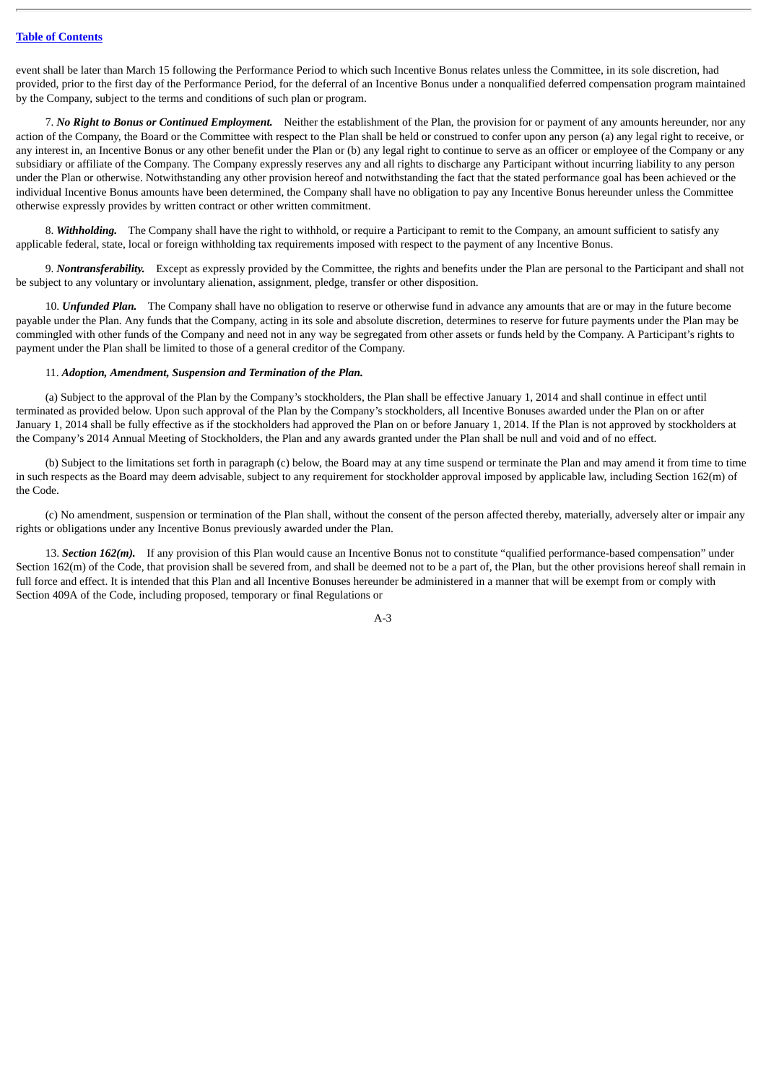event shall be later than March 15 following the Performance Period to which such Incentive Bonus relates unless the Committee, in its sole discretion, had provided, prior to the first day of the Performance Period, for the deferral of an Incentive Bonus under a nonqualified deferred compensation program maintained by the Company, subject to the terms and conditions of such plan or program.

7. *No Right to Bonus or Continued Employment.* Neither the establishment of the Plan, the provision for or payment of any amounts hereunder, nor any action of the Company, the Board or the Committee with respect to the Plan shall be held or construed to confer upon any person (a) any legal right to receive, or any interest in, an Incentive Bonus or any other benefit under the Plan or (b) any legal right to continue to serve as an officer or employee of the Company or any subsidiary or affiliate of the Company. The Company expressly reserves any and all rights to discharge any Participant without incurring liability to any person under the Plan or otherwise. Notwithstanding any other provision hereof and notwithstanding the fact that the stated performance goal has been achieved or the individual Incentive Bonus amounts have been determined, the Company shall have no obligation to pay any Incentive Bonus hereunder unless the Committee otherwise expressly provides by written contract or other written commitment.

8. *Withholding.* The Company shall have the right to withhold, or require a Participant to remit to the Company, an amount sufficient to satisfy any applicable federal, state, local or foreign withholding tax requirements imposed with respect to the payment of any Incentive Bonus.

9. *Nontransferability.* Except as expressly provided by the Committee, the rights and benefits under the Plan are personal to the Participant and shall not be subject to any voluntary or involuntary alienation, assignment, pledge, transfer or other disposition.

10. *Unfunded Plan.* The Company shall have no obligation to reserve or otherwise fund in advance any amounts that are or may in the future become payable under the Plan. Any funds that the Company, acting in its sole and absolute discretion, determines to reserve for future payments under the Plan may be commingled with other funds of the Company and need not in any way be segregated from other assets or funds held by the Company. A Participant's rights to payment under the Plan shall be limited to those of a general creditor of the Company.

# 11. *Adoption, Amendment, Suspension and Termination of the Plan.*

(a) Subject to the approval of the Plan by the Company's stockholders, the Plan shall be effective January 1, 2014 and shall continue in effect until terminated as provided below. Upon such approval of the Plan by the Company's stockholders, all Incentive Bonuses awarded under the Plan on or after January 1, 2014 shall be fully effective as if the stockholders had approved the Plan on or before January 1, 2014. If the Plan is not approved by stockholders at the Company's 2014 Annual Meeting of Stockholders, the Plan and any awards granted under the Plan shall be null and void and of no effect.

(b) Subject to the limitations set forth in paragraph (c) below, the Board may at any time suspend or terminate the Plan and may amend it from time to time in such respects as the Board may deem advisable, subject to any requirement for stockholder approval imposed by applicable law, including Section 162(m) of the Code.

(c) No amendment, suspension or termination of the Plan shall, without the consent of the person affected thereby, materially, adversely alter or impair any rights or obligations under any Incentive Bonus previously awarded under the Plan.

13. *Section 162(m).* If any provision of this Plan would cause an Incentive Bonus not to constitute "qualified performance-based compensation" under Section 162(m) of the Code, that provision shall be severed from, and shall be deemed not to be a part of, the Plan, but the other provisions hereof shall remain in full force and effect. It is intended that this Plan and all Incentive Bonuses hereunder be administered in a manner that will be exempt from or comply with Section 409A of the Code, including proposed, temporary or final Regulations or

A-3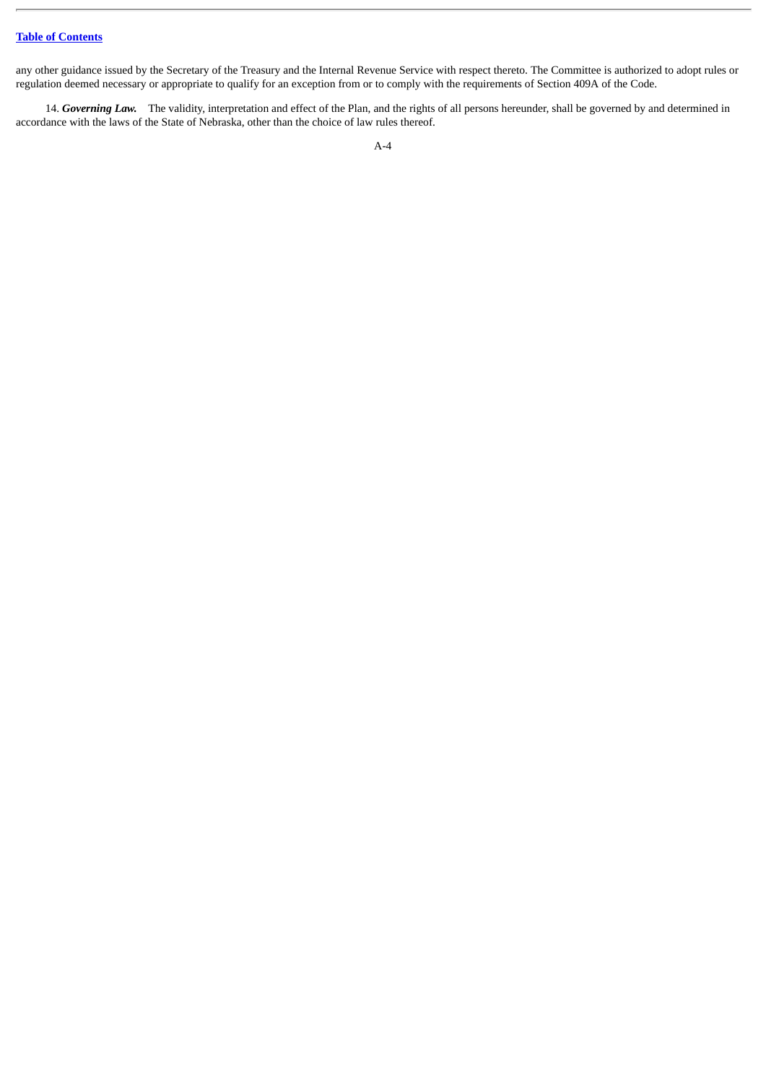any other guidance issued by the Secretary of the Treasury and the Internal Revenue Service with respect thereto. The Committee is authorized to adopt rules or regulation deemed necessary or appropriate to qualify for an exception from or to comply with the requirements of Section 409A of the Code.

14. *Governing Law.* The validity, interpretation and effect of the Plan, and the rights of all persons hereunder, shall be governed by and determined in accordance with the laws of the State of Nebraska, other than the choice of law rules thereof.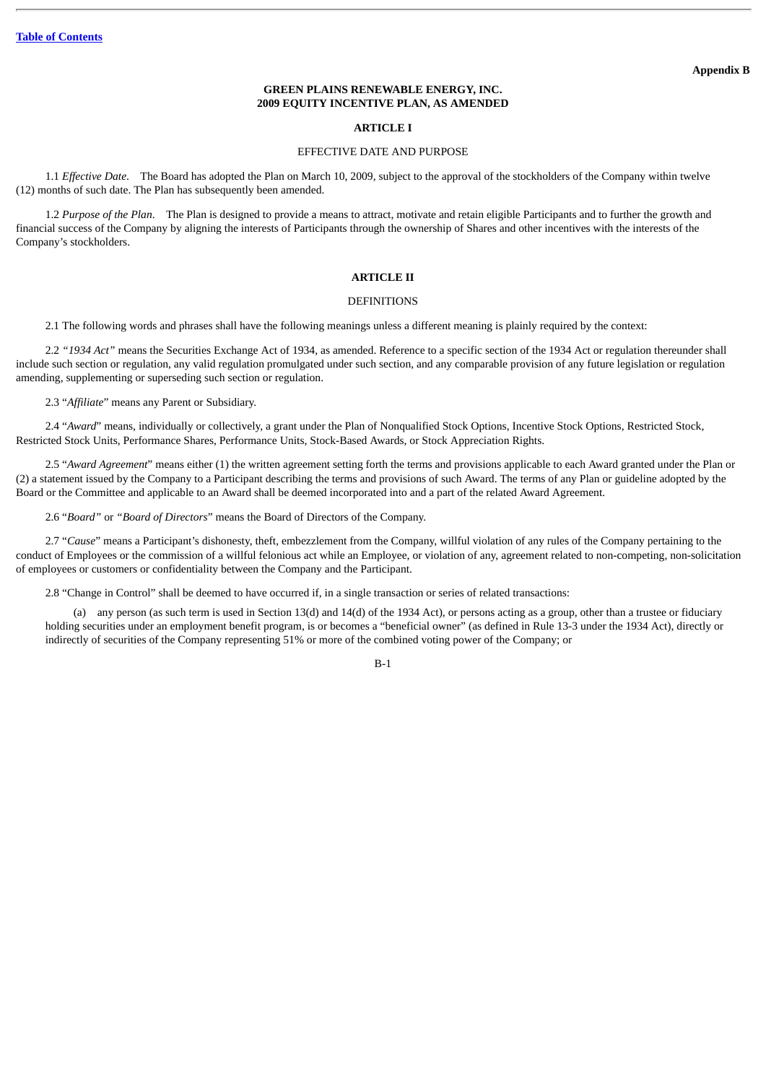# **GREEN PLAINS RENEWABLE ENERGY, INC. 2009 EQUITY INCENTIVE PLAN, AS AMENDED**

# **ARTICLE I**

# EFFECTIVE DATE AND PURPOSE

1.1 *Effective Date*. The Board has adopted the Plan on March 10, 2009, subject to the approval of the stockholders of the Company within twelve (12) months of such date. The Plan has subsequently been amended.

1.2 *Purpose of the Plan*. The Plan is designed to provide a means to attract, motivate and retain eligible Participants and to further the growth and financial success of the Company by aligning the interests of Participants through the ownership of Shares and other incentives with the interests of the Company's stockholders.

# **ARTICLE II**

#### **DEFINITIONS**

2.1 The following words and phrases shall have the following meanings unless a different meaning is plainly required by the context:

2.2 *"1934 Act"* means the Securities Exchange Act of 1934, as amended. Reference to a specific section of the 1934 Act or regulation thereunder shall include such section or regulation, any valid regulation promulgated under such section, and any comparable provision of any future legislation or regulation amending, supplementing or superseding such section or regulation.

2.3 "*Affiliate*" means any Parent or Subsidiary.

2.4 "Award" means, individually or collectively, a grant under the Plan of Nonqualified Stock Options, Incentive Stock Options, Restricted Stock, Restricted Stock Units, Performance Shares, Performance Units, Stock-Based Awards, or Stock Appreciation Rights.

2.5 "*Award Agreement*" means either (1) the written agreement setting forth the terms and provisions applicable to each Award granted under the Plan or (2) a statement issued by the Company to a Participant describing the terms and provisions of such Award. The terms of any Plan or guideline adopted by the Board or the Committee and applicable to an Award shall be deemed incorporated into and a part of the related Award Agreement.

2.6 "*Board"* or *"Board of Directors*" means the Board of Directors of the Company.

2.7 "*Cause*" means a Participant's dishonesty, theft, embezzlement from the Company, willful violation of any rules of the Company pertaining to the conduct of Employees or the commission of a willful felonious act while an Employee, or violation of any, agreement related to non-competing, non-solicitation of employees or customers or confidentiality between the Company and the Participant.

2.8 "Change in Control" shall be deemed to have occurred if, in a single transaction or series of related transactions:

(a) any person (as such term is used in Section 13(d) and 14(d) of the 1934 Act), or persons acting as a group, other than a trustee or fiduciary holding securities under an employment benefit program, is or becomes a "beneficial owner" (as defined in Rule 13-3 under the 1934 Act), directly or indirectly of securities of the Company representing 51% or more of the combined voting power of the Company; or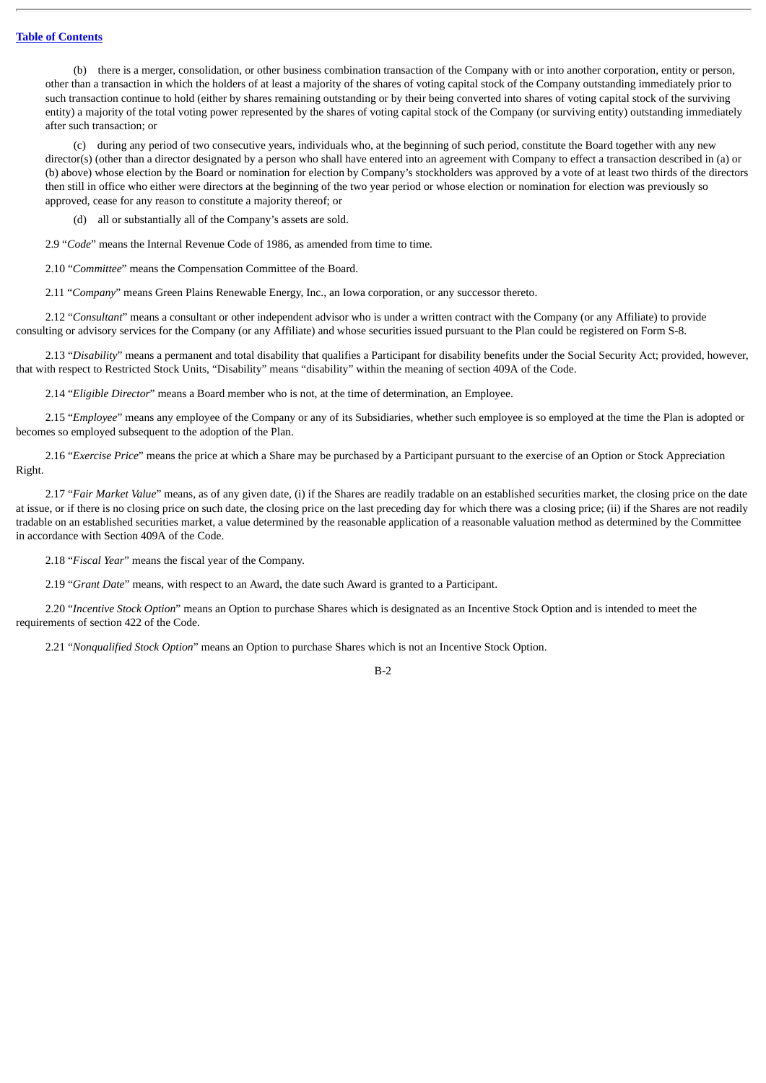(b) there is a merger, consolidation, or other business combination transaction of the Company with or into another corporation, entity or person, other than a transaction in which the holders of at least a majority of the shares of voting capital stock of the Company outstanding immediately prior to such transaction continue to hold (either by shares remaining outstanding or by their being converted into shares of voting capital stock of the surviving entity) a majority of the total voting power represented by the shares of voting capital stock of the Company (or surviving entity) outstanding immediately after such transaction; or

(c) during any period of two consecutive years, individuals who, at the beginning of such period, constitute the Board together with any new director(s) (other than a director designated by a person who shall have entered into an agreement with Company to effect a transaction described in (a) or (b) above) whose election by the Board or nomination for election by Company's stockholders was approved by a vote of at least two thirds of the directors then still in office who either were directors at the beginning of the two year period or whose election or nomination for election was previously so approved, cease for any reason to constitute a majority thereof; or

(d) all or substantially all of the Company's assets are sold.

2.9 "*Code*" means the Internal Revenue Code of 1986, as amended from time to time.

2.10 "*Committee*" means the Compensation Committee of the Board.

2.11 "*Company*" means Green Plains Renewable Energy, Inc., an Iowa corporation, or any successor thereto.

2.12 "*Consultant*" means a consultant or other independent advisor who is under a written contract with the Company (or any Affiliate) to provide consulting or advisory services for the Company (or any Affiliate) and whose securities issued pursuant to the Plan could be registered on Form S-8.

2.13 "*Disability*" means a permanent and total disability that qualifies a Participant for disability benefits under the Social Security Act; provided, however, that with respect to Restricted Stock Units, "Disability" means "disability" within the meaning of section 409A of the Code.

2.14 "*Eligible Director*" means a Board member who is not, at the time of determination, an Employee.

2.15 "*Employee*" means any employee of the Company or any of its Subsidiaries, whether such employee is so employed at the time the Plan is adopted or becomes so employed subsequent to the adoption of the Plan.

2.16 "*Exercise Price*" means the price at which a Share may be purchased by a Participant pursuant to the exercise of an Option or Stock Appreciation Right.

2.17 "*Fair Market Value*" means, as of any given date, (i) if the Shares are readily tradable on an established securities market, the closing price on the date at issue, or if there is no closing price on such date, the closing price on the last preceding day for which there was a closing price; (ii) if the Shares are not readily tradable on an established securities market, a value determined by the reasonable application of a reasonable valuation method as determined by the Committee in accordance with Section 409A of the Code.

2.18 "*Fiscal Year*" means the fiscal year of the Company.

2.19 "*Grant Date*" means, with respect to an Award, the date such Award is granted to a Participant.

2.20 "*Incentive Stock Option*" means an Option to purchase Shares which is designated as an Incentive Stock Option and is intended to meet the requirements of section 422 of the Code.

2.21 "*Nonqualified Stock Option*" means an Option to purchase Shares which is not an Incentive Stock Option.

 $R-2$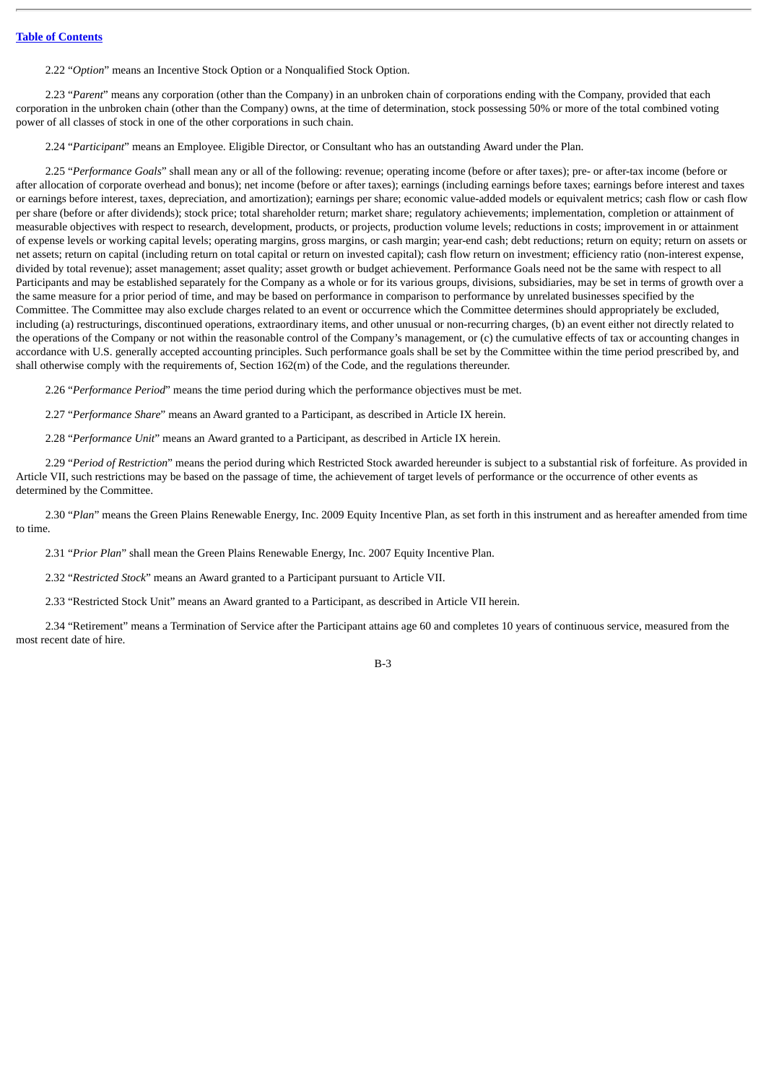2.22 "*Option*" means an Incentive Stock Option or a Nonqualified Stock Option.

2.23 "*Parent*" means any corporation (other than the Company) in an unbroken chain of corporations ending with the Company, provided that each corporation in the unbroken chain (other than the Company) owns, at the time of determination, stock possessing 50% or more of the total combined voting power of all classes of stock in one of the other corporations in such chain.

2.24 "*Participant*" means an Employee. Eligible Director, or Consultant who has an outstanding Award under the Plan.

2.25 "*Performance Goals*" shall mean any or all of the following: revenue; operating income (before or after taxes); pre- or after-tax income (before or after allocation of corporate overhead and bonus); net income (before or after taxes); earnings (including earnings before taxes; earnings before interest and taxes or earnings before interest, taxes, depreciation, and amortization); earnings per share; economic value-added models or equivalent metrics; cash flow or cash flow per share (before or after dividends); stock price; total shareholder return; market share; regulatory achievements; implementation, completion or attainment of measurable objectives with respect to research, development, products, or projects, production volume levels; reductions in costs; improvement in or attainment of expense levels or working capital levels; operating margins, gross margins, or cash margin; year-end cash; debt reductions; return on equity; return on assets or net assets; return on capital (including return on total capital or return on invested capital); cash flow return on investment; efficiency ratio (non-interest expense, divided by total revenue); asset management; asset quality; asset growth or budget achievement. Performance Goals need not be the same with respect to all Participants and may be established separately for the Company as a whole or for its various groups, divisions, subsidiaries, may be set in terms of growth over a the same measure for a prior period of time, and may be based on performance in comparison to performance by unrelated businesses specified by the Committee. The Committee may also exclude charges related to an event or occurrence which the Committee determines should appropriately be excluded, including (a) restructurings, discontinued operations, extraordinary items, and other unusual or non-recurring charges, (b) an event either not directly related to the operations of the Company or not within the reasonable control of the Company's management, or (c) the cumulative effects of tax or accounting changes in accordance with U.S. generally accepted accounting principles. Such performance goals shall be set by the Committee within the time period prescribed by, and shall otherwise comply with the requirements of, Section 162(m) of the Code, and the regulations thereunder.

2.26 "*Performance Period*" means the time period during which the performance objectives must be met.

2.27 "*Performance Share*" means an Award granted to a Participant, as described in Article IX herein.

2.28 "*Performance Unit*" means an Award granted to a Participant, as described in Article IX herein.

2.29 "*Period of Restriction*" means the period during which Restricted Stock awarded hereunder is subject to a substantial risk of forfeiture. As provided in Article VII, such restrictions may be based on the passage of time, the achievement of target levels of performance or the occurrence of other events as determined by the Committee.

2.30 "*Plan*" means the Green Plains Renewable Energy, Inc. 2009 Equity Incentive Plan, as set forth in this instrument and as hereafter amended from time to time.

2.31 "*Prior Plan*" shall mean the Green Plains Renewable Energy, Inc. 2007 Equity Incentive Plan.

2.32 "*Restricted Stock*" means an Award granted to a Participant pursuant to Article VII.

2.33 "Restricted Stock Unit" means an Award granted to a Participant, as described in Article VII herein.

2.34 "Retirement" means a Termination of Service after the Participant attains age 60 and completes 10 years of continuous service, measured from the most recent date of hire.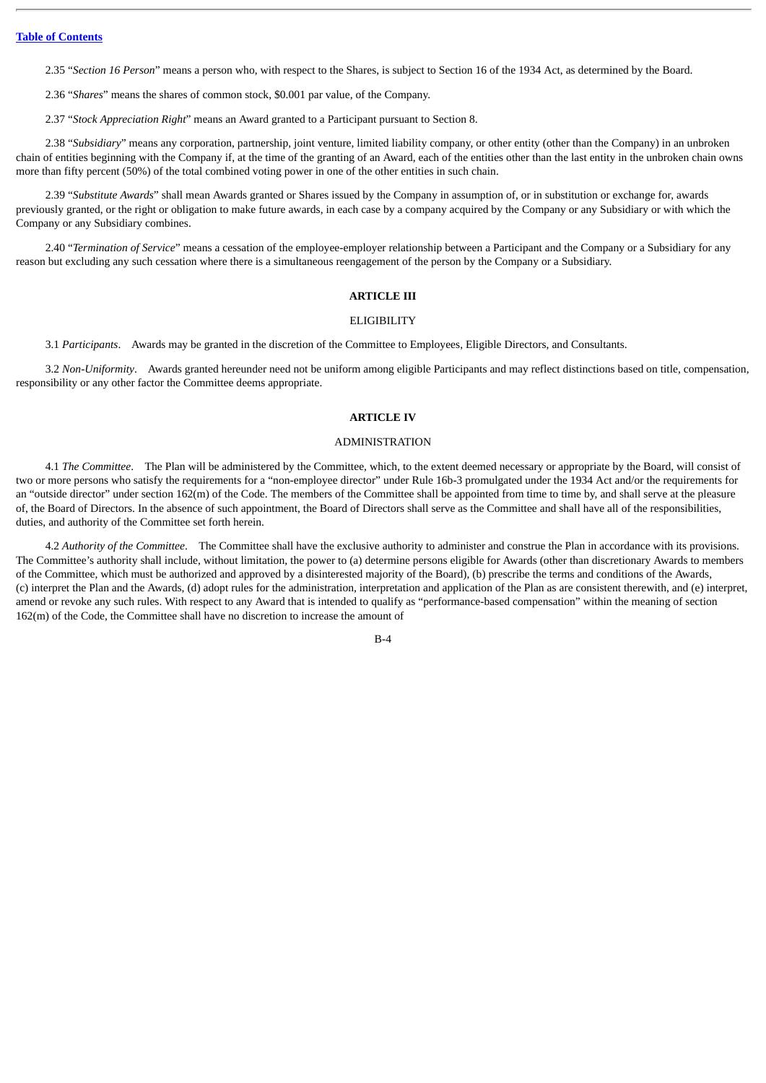2.35 "*Section 16 Person*" means a person who, with respect to the Shares, is subject to Section 16 of the 1934 Act, as determined by the Board.

2.36 "*Shares*" means the shares of common stock, \$0.001 par value, of the Company.

2.37 "*Stock Appreciation Right*" means an Award granted to a Participant pursuant to Section 8.

2.38 "*Subsidiary*" means any corporation, partnership, joint venture, limited liability company, or other entity (other than the Company) in an unbroken chain of entities beginning with the Company if, at the time of the granting of an Award, each of the entities other than the last entity in the unbroken chain owns more than fifty percent (50%) of the total combined voting power in one of the other entities in such chain.

2.39 "*Substitute Awards*" shall mean Awards granted or Shares issued by the Company in assumption of, or in substitution or exchange for, awards previously granted, or the right or obligation to make future awards, in each case by a company acquired by the Company or any Subsidiary or with which the Company or any Subsidiary combines.

2.40 "*Termination of Service*" means a cessation of the employee-employer relationship between a Participant and the Company or a Subsidiary for any reason but excluding any such cessation where there is a simultaneous reengagement of the person by the Company or a Subsidiary.

# **ARTICLE III**

#### **ELIGIBILITY**

3.1 *Participants*. Awards may be granted in the discretion of the Committee to Employees, Eligible Directors, and Consultants.

3.2 *Non-Uniformity*. Awards granted hereunder need not be uniform among eligible Participants and may reflect distinctions based on title, compensation, responsibility or any other factor the Committee deems appropriate.

# **ARTICLE IV**

#### ADMINISTRATION

4.1 *The Committee*. The Plan will be administered by the Committee, which, to the extent deemed necessary or appropriate by the Board, will consist of two or more persons who satisfy the requirements for a "non-employee director" under Rule 16b-3 promulgated under the 1934 Act and/or the requirements for an "outside director" under section 162(m) of the Code. The members of the Committee shall be appointed from time to time by, and shall serve at the pleasure of, the Board of Directors. In the absence of such appointment, the Board of Directors shall serve as the Committee and shall have all of the responsibilities, duties, and authority of the Committee set forth herein.

4.2 *Authority of the Committee*. The Committee shall have the exclusive authority to administer and construe the Plan in accordance with its provisions. The Committee's authority shall include, without limitation, the power to (a) determine persons eligible for Awards (other than discretionary Awards to members of the Committee, which must be authorized and approved by a disinterested majority of the Board), (b) prescribe the terms and conditions of the Awards, (c) interpret the Plan and the Awards, (d) adopt rules for the administration, interpretation and application of the Plan as are consistent therewith, and (e) interpret, amend or revoke any such rules. With respect to any Award that is intended to qualify as "performance-based compensation" within the meaning of section 162(m) of the Code, the Committee shall have no discretion to increase the amount of

 $B - 4$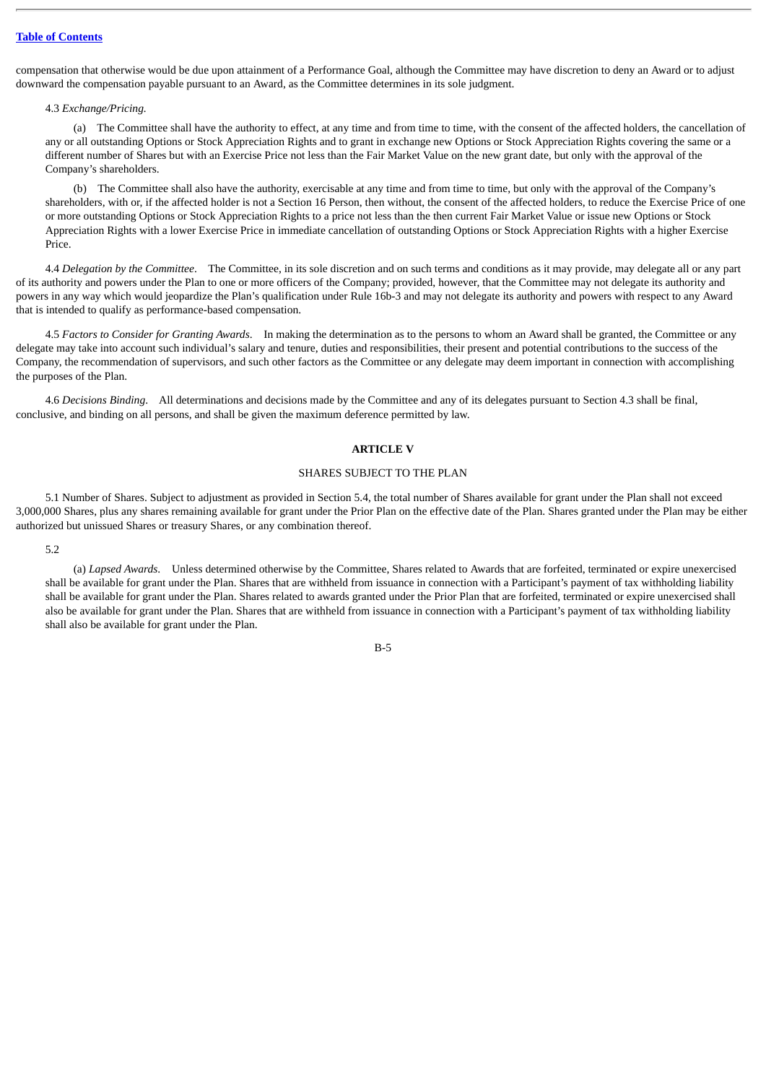compensation that otherwise would be due upon attainment of a Performance Goal, although the Committee may have discretion to deny an Award or to adjust downward the compensation payable pursuant to an Award, as the Committee determines in its sole judgment.

#### 4.3 *Exchange/Pricing.*

(a) The Committee shall have the authority to effect, at any time and from time to time, with the consent of the affected holders, the cancellation of any or all outstanding Options or Stock Appreciation Rights and to grant in exchange new Options or Stock Appreciation Rights covering the same or a different number of Shares but with an Exercise Price not less than the Fair Market Value on the new grant date, but only with the approval of the Company's shareholders.

(b) The Committee shall also have the authority, exercisable at any time and from time to time, but only with the approval of the Company's shareholders, with or, if the affected holder is not a Section 16 Person, then without, the consent of the affected holders, to reduce the Exercise Price of one or more outstanding Options or Stock Appreciation Rights to a price not less than the then current Fair Market Value or issue new Options or Stock Appreciation Rights with a lower Exercise Price in immediate cancellation of outstanding Options or Stock Appreciation Rights with a higher Exercise Price.

4.4 *Delegation by the Committee*. The Committee, in its sole discretion and on such terms and conditions as it may provide, may delegate all or any part of its authority and powers under the Plan to one or more officers of the Company; provided, however, that the Committee may not delegate its authority and powers in any way which would jeopardize the Plan's qualification under Rule 16b-3 and may not delegate its authority and powers with respect to any Award that is intended to qualify as performance-based compensation.

4.5 *Factors to Consider for Granting Awards*. In making the determination as to the persons to whom an Award shall be granted, the Committee or any delegate may take into account such individual's salary and tenure, duties and responsibilities, their present and potential contributions to the success of the Company, the recommendation of supervisors, and such other factors as the Committee or any delegate may deem important in connection with accomplishing the purposes of the Plan.

4.6 *Decisions Binding*. All determinations and decisions made by the Committee and any of its delegates pursuant to Section 4.3 shall be final, conclusive, and binding on all persons, and shall be given the maximum deference permitted by law.

# **ARTICLE V**

# SHARES SUBJECT TO THE PLAN

5.1 Number of Shares. Subject to adjustment as provided in Section 5.4, the total number of Shares available for grant under the Plan shall not exceed 3,000,000 Shares, plus any shares remaining available for grant under the Prior Plan on the effective date of the Plan. Shares granted under the Plan may be either authorized but unissued Shares or treasury Shares, or any combination thereof.

#### 5.2

(a) *Lapsed Awards*. Unless determined otherwise by the Committee, Shares related to Awards that are forfeited, terminated or expire unexercised shall be available for grant under the Plan. Shares that are withheld from issuance in connection with a Participant's payment of tax withholding liability shall be available for grant under the Plan. Shares related to awards granted under the Prior Plan that are forfeited, terminated or expire unexercised shall also be available for grant under the Plan. Shares that are withheld from issuance in connection with a Participant's payment of tax withholding liability shall also be available for grant under the Plan.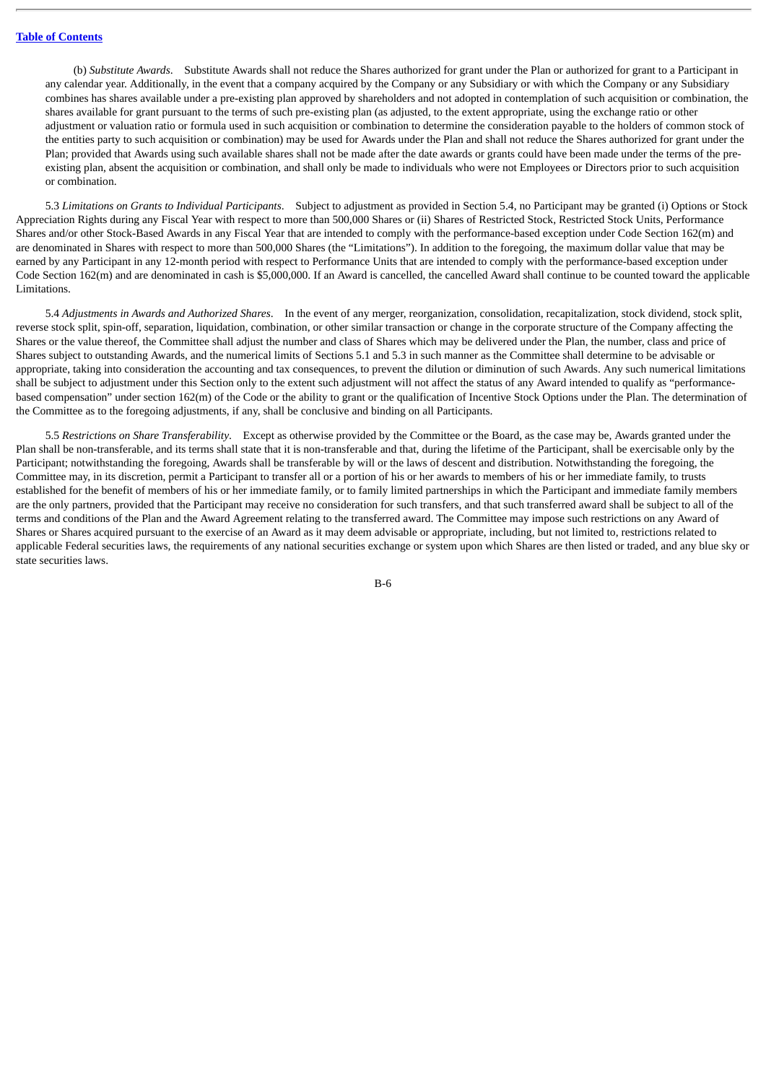(b) *Substitute Awards*. Substitute Awards shall not reduce the Shares authorized for grant under the Plan or authorized for grant to a Participant in any calendar year. Additionally, in the event that a company acquired by the Company or any Subsidiary or with which the Company or any Subsidiary combines has shares available under a pre-existing plan approved by shareholders and not adopted in contemplation of such acquisition or combination, the shares available for grant pursuant to the terms of such pre-existing plan (as adjusted, to the extent appropriate, using the exchange ratio or other adjustment or valuation ratio or formula used in such acquisition or combination to determine the consideration payable to the holders of common stock of the entities party to such acquisition or combination) may be used for Awards under the Plan and shall not reduce the Shares authorized for grant under the Plan; provided that Awards using such available shares shall not be made after the date awards or grants could have been made under the terms of the preexisting plan, absent the acquisition or combination, and shall only be made to individuals who were not Employees or Directors prior to such acquisition or combination.

5.3 *Limitations on Grants to Individual Participants*. Subject to adjustment as provided in Section 5.4, no Participant may be granted (i) Options or Stock Appreciation Rights during any Fiscal Year with respect to more than 500,000 Shares or (ii) Shares of Restricted Stock, Restricted Stock Units, Performance Shares and/or other Stock-Based Awards in any Fiscal Year that are intended to comply with the performance-based exception under Code Section 162(m) and are denominated in Shares with respect to more than 500,000 Shares (the "Limitations"). In addition to the foregoing, the maximum dollar value that may be earned by any Participant in any 12-month period with respect to Performance Units that are intended to comply with the performance-based exception under Code Section 162(m) and are denominated in cash is \$5,000,000. If an Award is cancelled, the cancelled Award shall continue to be counted toward the applicable Limitations.

5.4 *Adjustments in Awards and Authorized Shares*. In the event of any merger, reorganization, consolidation, recapitalization, stock dividend, stock split, reverse stock split, spin-off, separation, liquidation, combination, or other similar transaction or change in the corporate structure of the Company affecting the Shares or the value thereof, the Committee shall adjust the number and class of Shares which may be delivered under the Plan, the number, class and price of Shares subject to outstanding Awards, and the numerical limits of Sections 5.1 and 5.3 in such manner as the Committee shall determine to be advisable or appropriate, taking into consideration the accounting and tax consequences, to prevent the dilution or diminution of such Awards. Any such numerical limitations shall be subject to adjustment under this Section only to the extent such adjustment will not affect the status of any Award intended to qualify as "performancebased compensation" under section 162(m) of the Code or the ability to grant or the qualification of Incentive Stock Options under the Plan. The determination of the Committee as to the foregoing adjustments, if any, shall be conclusive and binding on all Participants.

5.5 *Restrictions on Share Transferability*. Except as otherwise provided by the Committee or the Board, as the case may be, Awards granted under the Plan shall be non-transferable, and its terms shall state that it is non-transferable and that, during the lifetime of the Participant, shall be exercisable only by the Participant; notwithstanding the foregoing, Awards shall be transferable by will or the laws of descent and distribution. Notwithstanding the foregoing, the Committee may, in its discretion, permit a Participant to transfer all or a portion of his or her awards to members of his or her immediate family, to trusts established for the benefit of members of his or her immediate family, or to family limited partnerships in which the Participant and immediate family members are the only partners, provided that the Participant may receive no consideration for such transfers, and that such transferred award shall be subject to all of the terms and conditions of the Plan and the Award Agreement relating to the transferred award. The Committee may impose such restrictions on any Award of Shares or Shares acquired pursuant to the exercise of an Award as it may deem advisable or appropriate, including, but not limited to, restrictions related to applicable Federal securities laws, the requirements of any national securities exchange or system upon which Shares are then listed or traded, and any blue sky or state securities laws.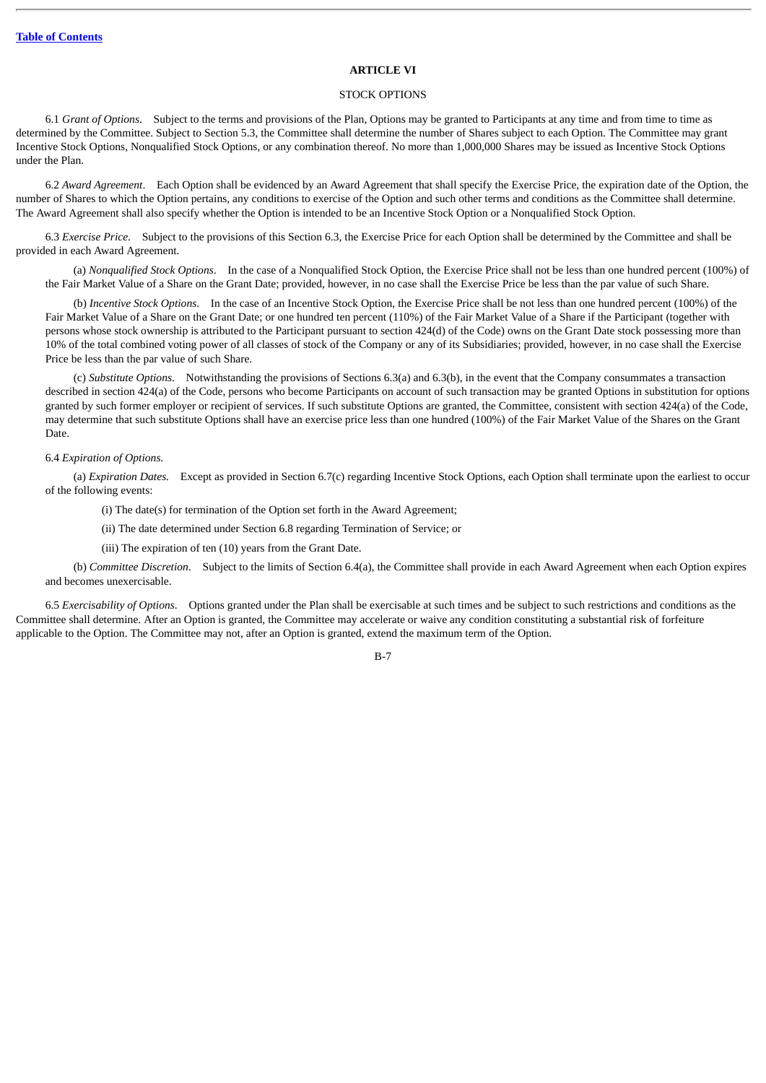#### **ARTICLE VI**

#### STOCK OPTIONS

6.1 *Grant of Options*. Subject to the terms and provisions of the Plan, Options may be granted to Participants at any time and from time to time as determined by the Committee. Subject to Section 5.3, the Committee shall determine the number of Shares subject to each Option. The Committee may grant Incentive Stock Options, Nonqualified Stock Options, or any combination thereof. No more than 1,000,000 Shares may be issued as Incentive Stock Options under the Plan.

6.2 *Award Agreement*. Each Option shall be evidenced by an Award Agreement that shall specify the Exercise Price, the expiration date of the Option, the number of Shares to which the Option pertains, any conditions to exercise of the Option and such other terms and conditions as the Committee shall determine. The Award Agreement shall also specify whether the Option is intended to be an Incentive Stock Option or a Nonqualified Stock Option.

6.3 *Exercise Price*. Subject to the provisions of this Section 6.3, the Exercise Price for each Option shall be determined by the Committee and shall be provided in each Award Agreement.

(a) *Nonqualified Stock Options*. In the case of a Nonqualified Stock Option, the Exercise Price shall not be less than one hundred percent (100%) of the Fair Market Value of a Share on the Grant Date; provided, however, in no case shall the Exercise Price be less than the par value of such Share.

(b) *Incentive Stock Options*. In the case of an Incentive Stock Option, the Exercise Price shall be not less than one hundred percent (100%) of the Fair Market Value of a Share on the Grant Date; or one hundred ten percent (110%) of the Fair Market Value of a Share if the Participant (together with persons whose stock ownership is attributed to the Participant pursuant to section 424(d) of the Code) owns on the Grant Date stock possessing more than 10% of the total combined voting power of all classes of stock of the Company or any of its Subsidiaries; provided, however, in no case shall the Exercise Price be less than the par value of such Share.

(c) *Substitute Options*. Notwithstanding the provisions of Sections 6.3(a) and 6.3(b), in the event that the Company consummates a transaction described in section 424(a) of the Code, persons who become Participants on account of such transaction may be granted Options in substitution for options granted by such former employer or recipient of services. If such substitute Options are granted, the Committee, consistent with section 424(a) of the Code, may determine that such substitute Options shall have an exercise price less than one hundred (100%) of the Fair Market Value of the Shares on the Grant Date.

# 6.4 *Expiration of Options.*

(a) *Expiration Dates.* Except as provided in Section 6.7(c) regarding Incentive Stock Options, each Option shall terminate upon the earliest to occur of the following events:

(i) The date(s) for termination of the Option set forth in the Award Agreement;

(ii) The date determined under Section 6.8 regarding Termination of Service; or

(iii) The expiration of ten (10) years from the Grant Date.

(b) *Committee Discretion*. Subject to the limits of Section 6.4(a), the Committee shall provide in each Award Agreement when each Option expires and becomes unexercisable.

6.5 *Exercisability of Options*. Options granted under the Plan shall be exercisable at such times and be subject to such restrictions and conditions as the Committee shall determine. After an Option is granted, the Committee may accelerate or waive any condition constituting a substantial risk of forfeiture applicable to the Option. The Committee may not, after an Option is granted, extend the maximum term of the Option.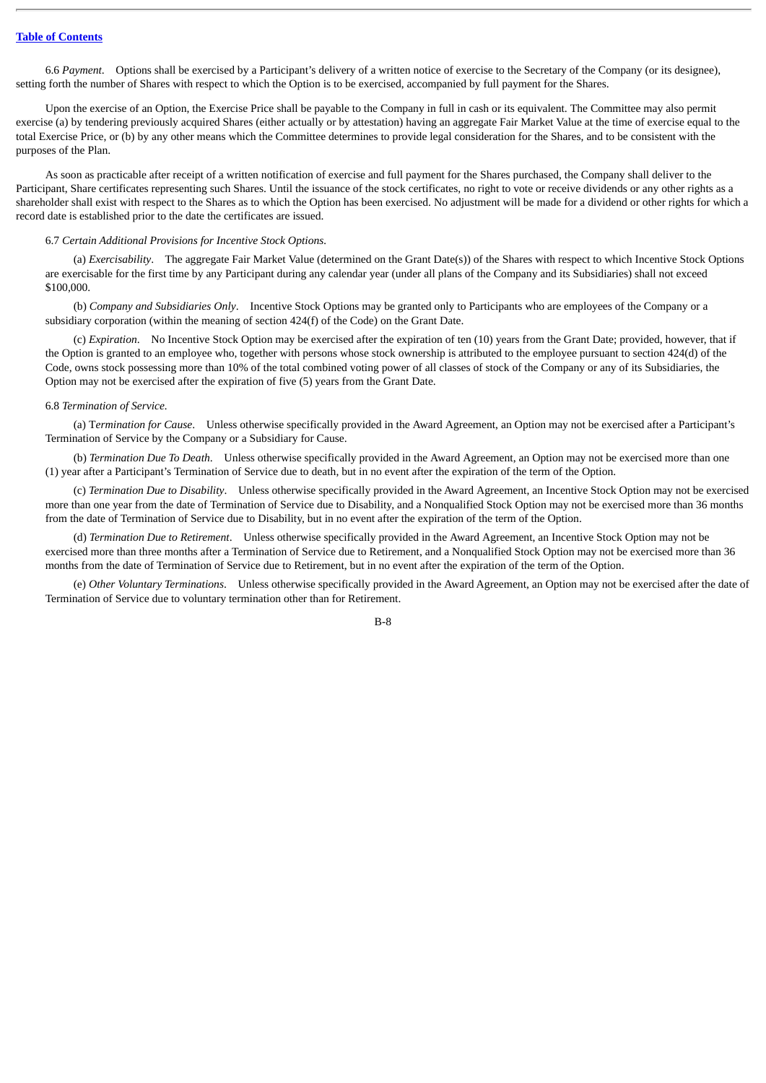6.6 *Payment*. Options shall be exercised by a Participant's delivery of a written notice of exercise to the Secretary of the Company (or its designee), setting forth the number of Shares with respect to which the Option is to be exercised, accompanied by full payment for the Shares.

Upon the exercise of an Option, the Exercise Price shall be payable to the Company in full in cash or its equivalent. The Committee may also permit exercise (a) by tendering previously acquired Shares (either actually or by attestation) having an aggregate Fair Market Value at the time of exercise equal to the total Exercise Price, or (b) by any other means which the Committee determines to provide legal consideration for the Shares, and to be consistent with the purposes of the Plan.

As soon as practicable after receipt of a written notification of exercise and full payment for the Shares purchased, the Company shall deliver to the Participant, Share certificates representing such Shares. Until the issuance of the stock certificates, no right to vote or receive dividends or any other rights as a shareholder shall exist with respect to the Shares as to which the Option has been exercised. No adjustment will be made for a dividend or other rights for which a record date is established prior to the date the certificates are issued.

#### 6.7 *Certain Additional Provisions for Incentive Stock Options.*

(a) *Exercisability*. The aggregate Fair Market Value (determined on the Grant Date(s)) of the Shares with respect to which Incentive Stock Options are exercisable for the first time by any Participant during any calendar year (under all plans of the Company and its Subsidiaries) shall not exceed \$100,000.

(b) *Company and Subsidiaries Only*. Incentive Stock Options may be granted only to Participants who are employees of the Company or a subsidiary corporation (within the meaning of section 424(f) of the Code) on the Grant Date.

(c) *Expiration*. No Incentive Stock Option may be exercised after the expiration of ten (10) years from the Grant Date; provided, however, that if the Option is granted to an employee who, together with persons whose stock ownership is attributed to the employee pursuant to section 424(d) of the Code, owns stock possessing more than 10% of the total combined voting power of all classes of stock of the Company or any of its Subsidiaries, the Option may not be exercised after the expiration of five (5) years from the Grant Date.

#### 6.8 *Termination of Service.*

(a) T*ermination for Cause*. Unless otherwise specifically provided in the Award Agreement, an Option may not be exercised after a Participant's Termination of Service by the Company or a Subsidiary for Cause.

(b) *Termination Due To Death*. Unless otherwise specifically provided in the Award Agreement, an Option may not be exercised more than one (1) year after a Participant's Termination of Service due to death, but in no event after the expiration of the term of the Option.

(c) *Termination Due to Disability*. Unless otherwise specifically provided in the Award Agreement, an Incentive Stock Option may not be exercised more than one year from the date of Termination of Service due to Disability, and a Nonqualified Stock Option may not be exercised more than 36 months from the date of Termination of Service due to Disability, but in no event after the expiration of the term of the Option.

(d) *Termination Due to Retirement*. Unless otherwise specifically provided in the Award Agreement, an Incentive Stock Option may not be exercised more than three months after a Termination of Service due to Retirement, and a Nonqualified Stock Option may not be exercised more than 36 months from the date of Termination of Service due to Retirement, but in no event after the expiration of the term of the Option.

(e) *Other Voluntary Terminations*. Unless otherwise specifically provided in the Award Agreement, an Option may not be exercised after the date of Termination of Service due to voluntary termination other than for Retirement.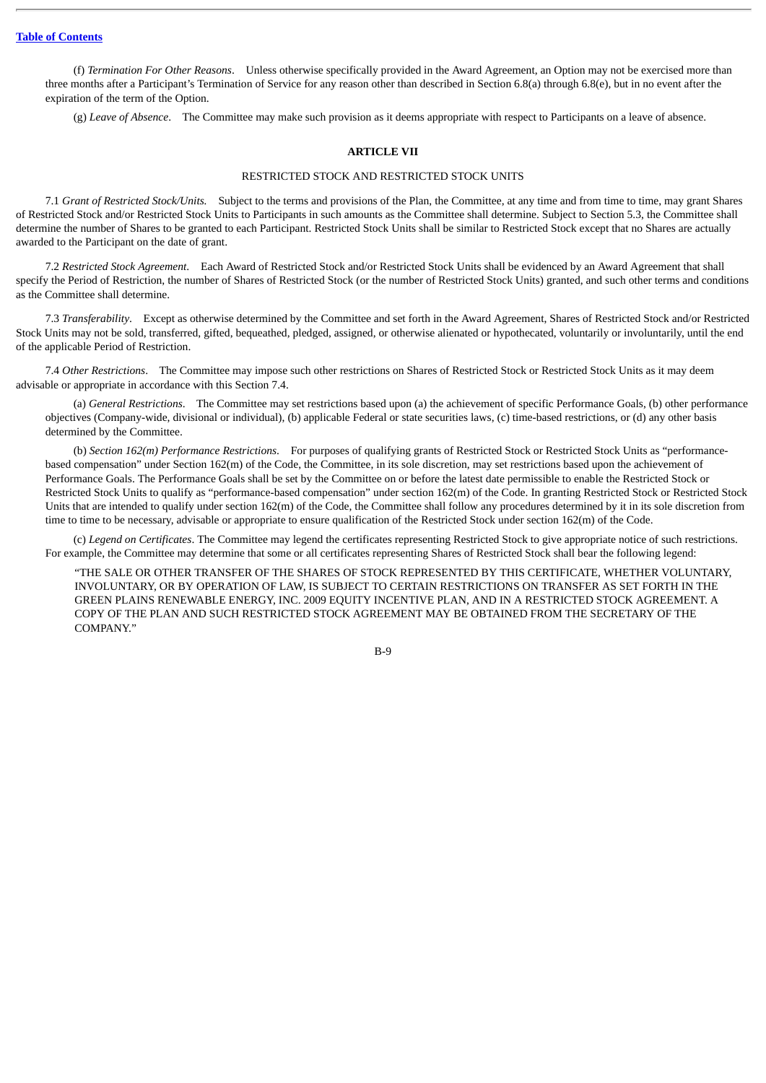(f) *Termination For Other Reasons*. Unless otherwise specifically provided in the Award Agreement, an Option may not be exercised more than three months after a Participant's Termination of Service for any reason other than described in Section 6.8(a) through 6.8(e), but in no event after the expiration of the term of the Option.

(g) *Leave of Absence*. The Committee may make such provision as it deems appropriate with respect to Participants on a leave of absence.

# **ARTICLE VII**

#### RESTRICTED STOCK AND RESTRICTED STOCK UNITS

7.1 *Grant of Restricted Stock/Units.* Subject to the terms and provisions of the Plan, the Committee, at any time and from time to time, may grant Shares of Restricted Stock and/or Restricted Stock Units to Participants in such amounts as the Committee shall determine. Subject to Section 5.3, the Committee shall determine the number of Shares to be granted to each Participant. Restricted Stock Units shall be similar to Restricted Stock except that no Shares are actually awarded to the Participant on the date of grant.

7.2 *Restricted Stock Agreement*. Each Award of Restricted Stock and/or Restricted Stock Units shall be evidenced by an Award Agreement that shall specify the Period of Restriction, the number of Shares of Restricted Stock (or the number of Restricted Stock Units) granted, and such other terms and conditions as the Committee shall determine.

7.3 *Transferability*. Except as otherwise determined by the Committee and set forth in the Award Agreement, Shares of Restricted Stock and/or Restricted Stock Units may not be sold, transferred, gifted, bequeathed, pledged, assigned, or otherwise alienated or hypothecated, voluntarily or involuntarily, until the end of the applicable Period of Restriction.

7.4 *Other Restrictions*. The Committee may impose such other restrictions on Shares of Restricted Stock or Restricted Stock Units as it may deem advisable or appropriate in accordance with this Section 7.4.

(a) *General Restrictions*. The Committee may set restrictions based upon (a) the achievement of specific Performance Goals, (b) other performance objectives (Company-wide, divisional or individual), (b) applicable Federal or state securities laws, (c) time-based restrictions, or (d) any other basis determined by the Committee.

(b) *Section 162(m) Performance Restrictions*. For purposes of qualifying grants of Restricted Stock or Restricted Stock Units as "performancebased compensation" under Section 162(m) of the Code, the Committee, in its sole discretion, may set restrictions based upon the achievement of Performance Goals. The Performance Goals shall be set by the Committee on or before the latest date permissible to enable the Restricted Stock or Restricted Stock Units to qualify as "performance-based compensation" under section 162(m) of the Code. In granting Restricted Stock or Restricted Stock Units that are intended to qualify under section 162(m) of the Code, the Committee shall follow any procedures determined by it in its sole discretion from time to time to be necessary, advisable or appropriate to ensure qualification of the Restricted Stock under section 162(m) of the Code.

(c) *Legend on Certificates*. The Committee may legend the certificates representing Restricted Stock to give appropriate notice of such restrictions. For example, the Committee may determine that some or all certificates representing Shares of Restricted Stock shall bear the following legend:

"THE SALE OR OTHER TRANSFER OF THE SHARES OF STOCK REPRESENTED BY THIS CERTIFICATE, WHETHER VOLUNTARY, INVOLUNTARY, OR BY OPERATION OF LAW, IS SUBJECT TO CERTAIN RESTRICTIONS ON TRANSFER AS SET FORTH IN THE GREEN PLAINS RENEWABLE ENERGY, INC. 2009 EQUITY INCENTIVE PLAN, AND IN A RESTRICTED STOCK AGREEMENT. A COPY OF THE PLAN AND SUCH RESTRICTED STOCK AGREEMENT MAY BE OBTAINED FROM THE SECRETARY OF THE COMPANY."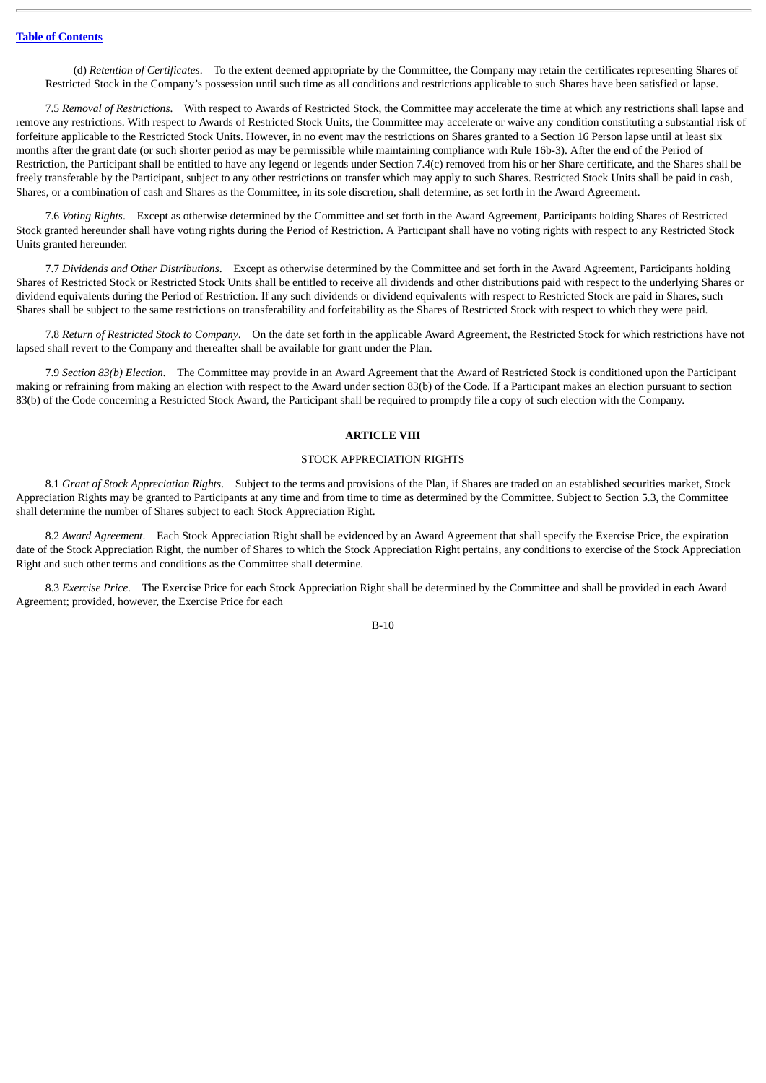(d) *Retention of Certificates*. To the extent deemed appropriate by the Committee, the Company may retain the certificates representing Shares of Restricted Stock in the Company's possession until such time as all conditions and restrictions applicable to such Shares have been satisfied or lapse.

7.5 *Removal of Restrictions*. With respect to Awards of Restricted Stock, the Committee may accelerate the time at which any restrictions shall lapse and remove any restrictions. With respect to Awards of Restricted Stock Units, the Committee may accelerate or waive any condition constituting a substantial risk of forfeiture applicable to the Restricted Stock Units. However, in no event may the restrictions on Shares granted to a Section 16 Person lapse until at least six months after the grant date (or such shorter period as may be permissible while maintaining compliance with Rule 16b-3). After the end of the Period of Restriction, the Participant shall be entitled to have any legend or legends under Section 7.4(c) removed from his or her Share certificate, and the Shares shall be freely transferable by the Participant, subject to any other restrictions on transfer which may apply to such Shares. Restricted Stock Units shall be paid in cash, Shares, or a combination of cash and Shares as the Committee, in its sole discretion, shall determine, as set forth in the Award Agreement.

7.6 *Voting Rights*. Except as otherwise determined by the Committee and set forth in the Award Agreement, Participants holding Shares of Restricted Stock granted hereunder shall have voting rights during the Period of Restriction. A Participant shall have no voting rights with respect to any Restricted Stock Units granted hereunder.

7.7 *Dividends and Other Distributions*. Except as otherwise determined by the Committee and set forth in the Award Agreement, Participants holding Shares of Restricted Stock or Restricted Stock Units shall be entitled to receive all dividends and other distributions paid with respect to the underlying Shares or dividend equivalents during the Period of Restriction. If any such dividends or dividend equivalents with respect to Restricted Stock are paid in Shares, such Shares shall be subject to the same restrictions on transferability and forfeitability as the Shares of Restricted Stock with respect to which they were paid.

7.8 *Return of Restricted Stock to Company*. On the date set forth in the applicable Award Agreement, the Restricted Stock for which restrictions have not lapsed shall revert to the Company and thereafter shall be available for grant under the Plan.

7.9 *Section 83(b) Election.* The Committee may provide in an Award Agreement that the Award of Restricted Stock is conditioned upon the Participant making or refraining from making an election with respect to the Award under section 83(b) of the Code. If a Participant makes an election pursuant to section 83(b) of the Code concerning a Restricted Stock Award, the Participant shall be required to promptly file a copy of such election with the Company.

# **ARTICLE VIII**

# STOCK APPRECIATION RIGHTS

8.1 *Grant of Stock Appreciation Rights*. Subject to the terms and provisions of the Plan, if Shares are traded on an established securities market, Stock Appreciation Rights may be granted to Participants at any time and from time to time as determined by the Committee. Subject to Section 5.3, the Committee shall determine the number of Shares subject to each Stock Appreciation Right.

8.2 *Award Agreement*. Each Stock Appreciation Right shall be evidenced by an Award Agreement that shall specify the Exercise Price, the expiration date of the Stock Appreciation Right, the number of Shares to which the Stock Appreciation Right pertains, any conditions to exercise of the Stock Appreciation Right and such other terms and conditions as the Committee shall determine.

8.3 *Exercise Price*. The Exercise Price for each Stock Appreciation Right shall be determined by the Committee and shall be provided in each Award Agreement; provided, however, the Exercise Price for each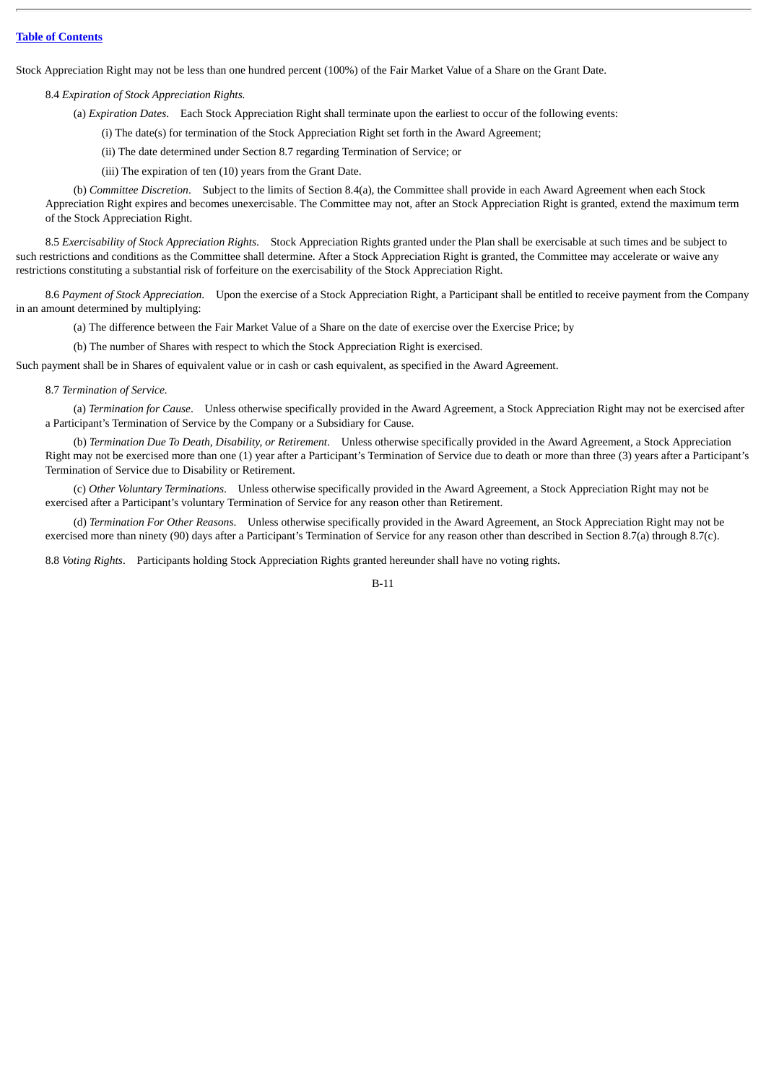Stock Appreciation Right may not be less than one hundred percent (100%) of the Fair Market Value of a Share on the Grant Date.

# 8.4 *Expiration of Stock Appreciation Rights.*

(a) *Expiration Dates*. Each Stock Appreciation Right shall terminate upon the earliest to occur of the following events:

(i) The date(s) for termination of the Stock Appreciation Right set forth in the Award Agreement;

(ii) The date determined under Section 8.7 regarding Termination of Service; or

(iii) The expiration of ten (10) years from the Grant Date.

(b) *Committee Discretion*. Subject to the limits of Section 8.4(a), the Committee shall provide in each Award Agreement when each Stock Appreciation Right expires and becomes unexercisable. The Committee may not, after an Stock Appreciation Right is granted, extend the maximum term of the Stock Appreciation Right.

8.5 *Exercisability of Stock Appreciation Rights*. Stock Appreciation Rights granted under the Plan shall be exercisable at such times and be subject to such restrictions and conditions as the Committee shall determine. After a Stock Appreciation Right is granted, the Committee may accelerate or waive any restrictions constituting a substantial risk of forfeiture on the exercisability of the Stock Appreciation Right.

8.6 *Payment of Stock Appreciation*. Upon the exercise of a Stock Appreciation Right, a Participant shall be entitled to receive payment from the Company in an amount determined by multiplying:

(a) The difference between the Fair Market Value of a Share on the date of exercise over the Exercise Price; by

(b) The number of Shares with respect to which the Stock Appreciation Right is exercised.

Such payment shall be in Shares of equivalent value or in cash or cash equivalent, as specified in the Award Agreement.

8.7 *Termination of Service.*

(a) *Termination for Cause*. Unless otherwise specifically provided in the Award Agreement, a Stock Appreciation Right may not be exercised after a Participant's Termination of Service by the Company or a Subsidiary for Cause.

(b) *Termination Due To Death, Disability, or Retirement*. Unless otherwise specifically provided in the Award Agreement, a Stock Appreciation Right may not be exercised more than one (1) year after a Participant's Termination of Service due to death or more than three (3) years after a Participant's Termination of Service due to Disability or Retirement.

(c) *Other Voluntary Terminations*. Unless otherwise specifically provided in the Award Agreement, a Stock Appreciation Right may not be exercised after a Participant's voluntary Termination of Service for any reason other than Retirement.

(d) *Termination For Other Reasons*. Unless otherwise specifically provided in the Award Agreement, an Stock Appreciation Right may not be exercised more than ninety (90) days after a Participant's Termination of Service for any reason other than described in Section 8.7(a) through 8.7(c).

8.8 *Voting Rights*. Participants holding Stock Appreciation Rights granted hereunder shall have no voting rights.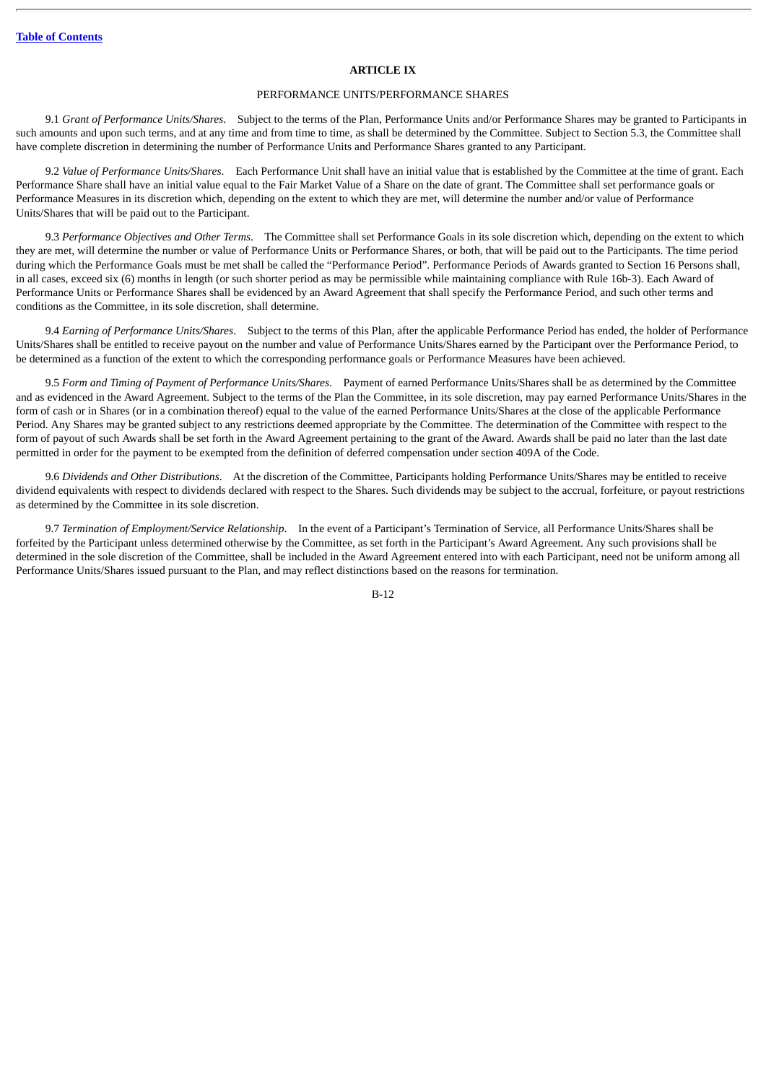#### **ARTICLE IX**

# PERFORMANCE UNITS/PERFORMANCE SHARES

9.1 *Grant of Performance Units/Shares*. Subject to the terms of the Plan, Performance Units and/or Performance Shares may be granted to Participants in such amounts and upon such terms, and at any time and from time to time, as shall be determined by the Committee. Subject to Section 5.3, the Committee shall have complete discretion in determining the number of Performance Units and Performance Shares granted to any Participant.

9.2 *Value of Performance Units/Shares*. Each Performance Unit shall have an initial value that is established by the Committee at the time of grant. Each Performance Share shall have an initial value equal to the Fair Market Value of a Share on the date of grant. The Committee shall set performance goals or Performance Measures in its discretion which, depending on the extent to which they are met, will determine the number and/or value of Performance Units/Shares that will be paid out to the Participant.

9.3 *Performance Objectives and Other Terms*. The Committee shall set Performance Goals in its sole discretion which, depending on the extent to which they are met, will determine the number or value of Performance Units or Performance Shares, or both, that will be paid out to the Participants. The time period during which the Performance Goals must be met shall be called the "Performance Period". Performance Periods of Awards granted to Section 16 Persons shall, in all cases, exceed six (6) months in length (or such shorter period as may be permissible while maintaining compliance with Rule 16b-3). Each Award of Performance Units or Performance Shares shall be evidenced by an Award Agreement that shall specify the Performance Period, and such other terms and conditions as the Committee, in its sole discretion, shall determine.

9.4 *Earning of Performance Units/Shares*. Subject to the terms of this Plan, after the applicable Performance Period has ended, the holder of Performance Units/Shares shall be entitled to receive payout on the number and value of Performance Units/Shares earned by the Participant over the Performance Period, to be determined as a function of the extent to which the corresponding performance goals or Performance Measures have been achieved.

9.5 *Form and Timing of Payment of Performance Units/Shares*. Payment of earned Performance Units/Shares shall be as determined by the Committee and as evidenced in the Award Agreement. Subject to the terms of the Plan the Committee, in its sole discretion, may pay earned Performance Units/Shares in the form of cash or in Shares (or in a combination thereof) equal to the value of the earned Performance Units/Shares at the close of the applicable Performance Period. Any Shares may be granted subject to any restrictions deemed appropriate by the Committee. The determination of the Committee with respect to the form of payout of such Awards shall be set forth in the Award Agreement pertaining to the grant of the Award. Awards shall be paid no later than the last date permitted in order for the payment to be exempted from the definition of deferred compensation under section 409A of the Code.

9.6 *Dividends and Other Distributions*. At the discretion of the Committee, Participants holding Performance Units/Shares may be entitled to receive dividend equivalents with respect to dividends declared with respect to the Shares. Such dividends may be subject to the accrual, forfeiture, or payout restrictions as determined by the Committee in its sole discretion.

9.7 *Termination of Employment/Service Relationship*. In the event of a Participant's Termination of Service, all Performance Units/Shares shall be forfeited by the Participant unless determined otherwise by the Committee, as set forth in the Participant's Award Agreement. Any such provisions shall be determined in the sole discretion of the Committee, shall be included in the Award Agreement entered into with each Participant, need not be uniform among all Performance Units/Shares issued pursuant to the Plan, and may reflect distinctions based on the reasons for termination.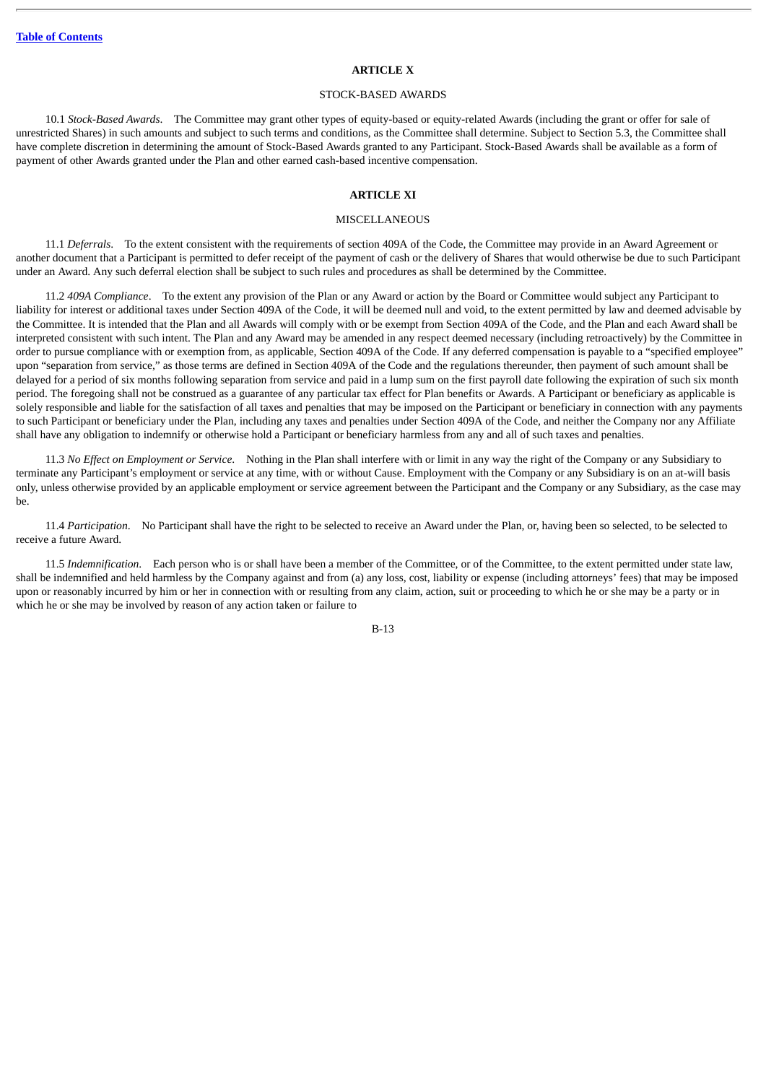## **ARTICLE X**

#### STOCK-BASED AWARDS

10.1 *Stock-Based Awards*. The Committee may grant other types of equity-based or equity-related Awards (including the grant or offer for sale of unrestricted Shares) in such amounts and subject to such terms and conditions, as the Committee shall determine. Subject to Section 5.3, the Committee shall have complete discretion in determining the amount of Stock-Based Awards granted to any Participant. Stock-Based Awards shall be available as a form of payment of other Awards granted under the Plan and other earned cash-based incentive compensation.

# **ARTICLE XI**

# **MISCELLANEOUS**

11.1 *Deferrals*. To the extent consistent with the requirements of section 409A of the Code, the Committee may provide in an Award Agreement or another document that a Participant is permitted to defer receipt of the payment of cash or the delivery of Shares that would otherwise be due to such Participant under an Award. Any such deferral election shall be subject to such rules and procedures as shall be determined by the Committee.

11.2 *409A Compliance*. To the extent any provision of the Plan or any Award or action by the Board or Committee would subject any Participant to liability for interest or additional taxes under Section 409A of the Code, it will be deemed null and void, to the extent permitted by law and deemed advisable by the Committee. It is intended that the Plan and all Awards will comply with or be exempt from Section 409A of the Code, and the Plan and each Award shall be interpreted consistent with such intent. The Plan and any Award may be amended in any respect deemed necessary (including retroactively) by the Committee in order to pursue compliance with or exemption from, as applicable, Section 409A of the Code. If any deferred compensation is payable to a "specified employee" upon "separation from service," as those terms are defined in Section 409A of the Code and the regulations thereunder, then payment of such amount shall be delayed for a period of six months following separation from service and paid in a lump sum on the first payroll date following the expiration of such six month period. The foregoing shall not be construed as a guarantee of any particular tax effect for Plan benefits or Awards. A Participant or beneficiary as applicable is solely responsible and liable for the satisfaction of all taxes and penalties that may be imposed on the Participant or beneficiary in connection with any payments to such Participant or beneficiary under the Plan, including any taxes and penalties under Section 409A of the Code, and neither the Company nor any Affiliate shall have any obligation to indemnify or otherwise hold a Participant or beneficiary harmless from any and all of such taxes and penalties.

11.3 *No Effect on Employment or Service*. Nothing in the Plan shall interfere with or limit in any way the right of the Company or any Subsidiary to terminate any Participant's employment or service at any time, with or without Cause. Employment with the Company or any Subsidiary is on an at-will basis only, unless otherwise provided by an applicable employment or service agreement between the Participant and the Company or any Subsidiary, as the case may be.

11.4 *Participation*. No Participant shall have the right to be selected to receive an Award under the Plan, or, having been so selected, to be selected to receive a future Award.

11.5 *Indemnification*. Each person who is or shall have been a member of the Committee, or of the Committee, to the extent permitted under state law, shall be indemnified and held harmless by the Company against and from (a) any loss, cost, liability or expense (including attorneys' fees) that may be imposed upon or reasonably incurred by him or her in connection with or resulting from any claim, action, suit or proceeding to which he or she may be a party or in which he or she may be involved by reason of any action taken or failure to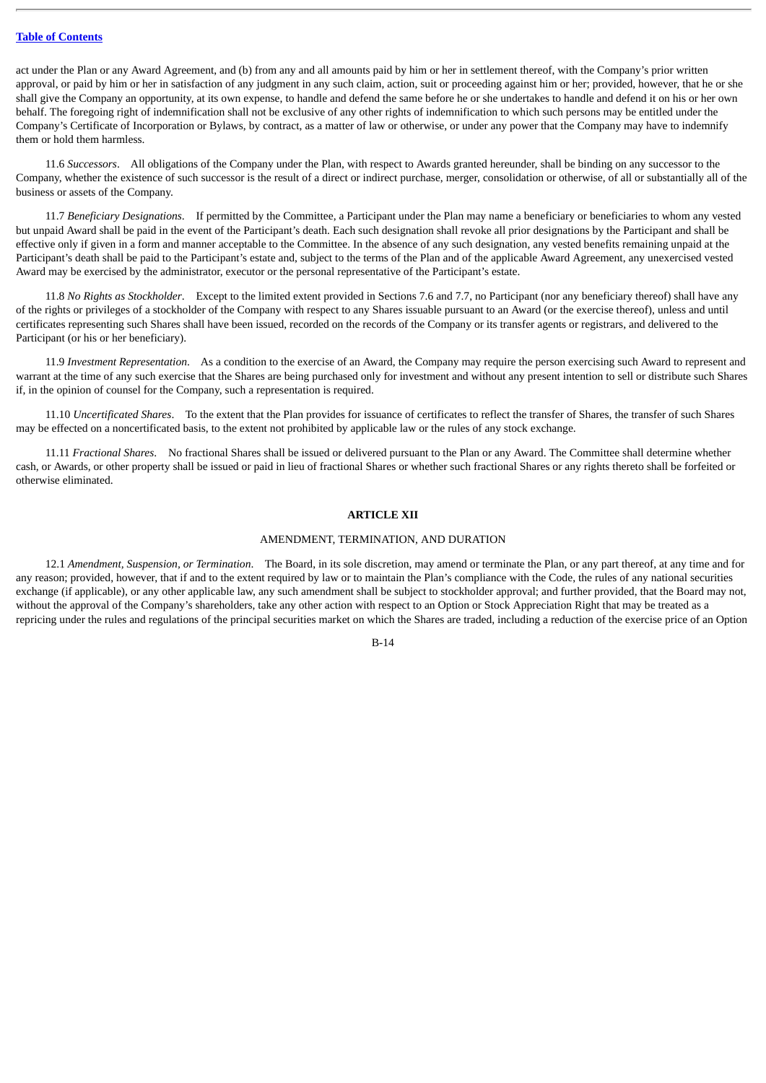act under the Plan or any Award Agreement, and (b) from any and all amounts paid by him or her in settlement thereof, with the Company's prior written approval, or paid by him or her in satisfaction of any judgment in any such claim, action, suit or proceeding against him or her; provided, however, that he or she shall give the Company an opportunity, at its own expense, to handle and defend the same before he or she undertakes to handle and defend it on his or her own behalf. The foregoing right of indemnification shall not be exclusive of any other rights of indemnification to which such persons may be entitled under the Company's Certificate of Incorporation or Bylaws, by contract, as a matter of law or otherwise, or under any power that the Company may have to indemnify them or hold them harmless.

11.6 *Successors*. All obligations of the Company under the Plan, with respect to Awards granted hereunder, shall be binding on any successor to the Company, whether the existence of such successor is the result of a direct or indirect purchase, merger, consolidation or otherwise, of all or substantially all of the business or assets of the Company.

11.7 *Beneficiary Designations*. If permitted by the Committee, a Participant under the Plan may name a beneficiary or beneficiaries to whom any vested but unpaid Award shall be paid in the event of the Participant's death. Each such designation shall revoke all prior designations by the Participant and shall be effective only if given in a form and manner acceptable to the Committee. In the absence of any such designation, any vested benefits remaining unpaid at the Participant's death shall be paid to the Participant's estate and, subject to the terms of the Plan and of the applicable Award Agreement, any unexercised vested Award may be exercised by the administrator, executor or the personal representative of the Participant's estate.

11.8 *No Rights as Stockholder*. Except to the limited extent provided in Sections 7.6 and 7.7, no Participant (nor any beneficiary thereof) shall have any of the rights or privileges of a stockholder of the Company with respect to any Shares issuable pursuant to an Award (or the exercise thereof), unless and until certificates representing such Shares shall have been issued, recorded on the records of the Company or its transfer agents or registrars, and delivered to the Participant (or his or her beneficiary).

11.9 *Investment Representation*. As a condition to the exercise of an Award, the Company may require the person exercising such Award to represent and warrant at the time of any such exercise that the Shares are being purchased only for investment and without any present intention to sell or distribute such Shares if, in the opinion of counsel for the Company, such a representation is required.

11.10 *Uncertificated Shares*. To the extent that the Plan provides for issuance of certificates to reflect the transfer of Shares, the transfer of such Shares may be effected on a noncertificated basis, to the extent not prohibited by applicable law or the rules of any stock exchange.

11.11 *Fractional Shares*. No fractional Shares shall be issued or delivered pursuant to the Plan or any Award. The Committee shall determine whether cash, or Awards, or other property shall be issued or paid in lieu of fractional Shares or whether such fractional Shares or any rights thereto shall be forfeited or otherwise eliminated.

#### **ARTICLE XII**

#### AMENDMENT, TERMINATION, AND DURATION

12.1 *Amendment, Suspension, or Termination*. The Board, in its sole discretion, may amend or terminate the Plan, or any part thereof, at any time and for any reason; provided, however, that if and to the extent required by law or to maintain the Plan's compliance with the Code, the rules of any national securities exchange (if applicable), or any other applicable law, any such amendment shall be subject to stockholder approval; and further provided, that the Board may not, without the approval of the Company's shareholders, take any other action with respect to an Option or Stock Appreciation Right that may be treated as a repricing under the rules and regulations of the principal securities market on which the Shares are traded, including a reduction of the exercise price of an Option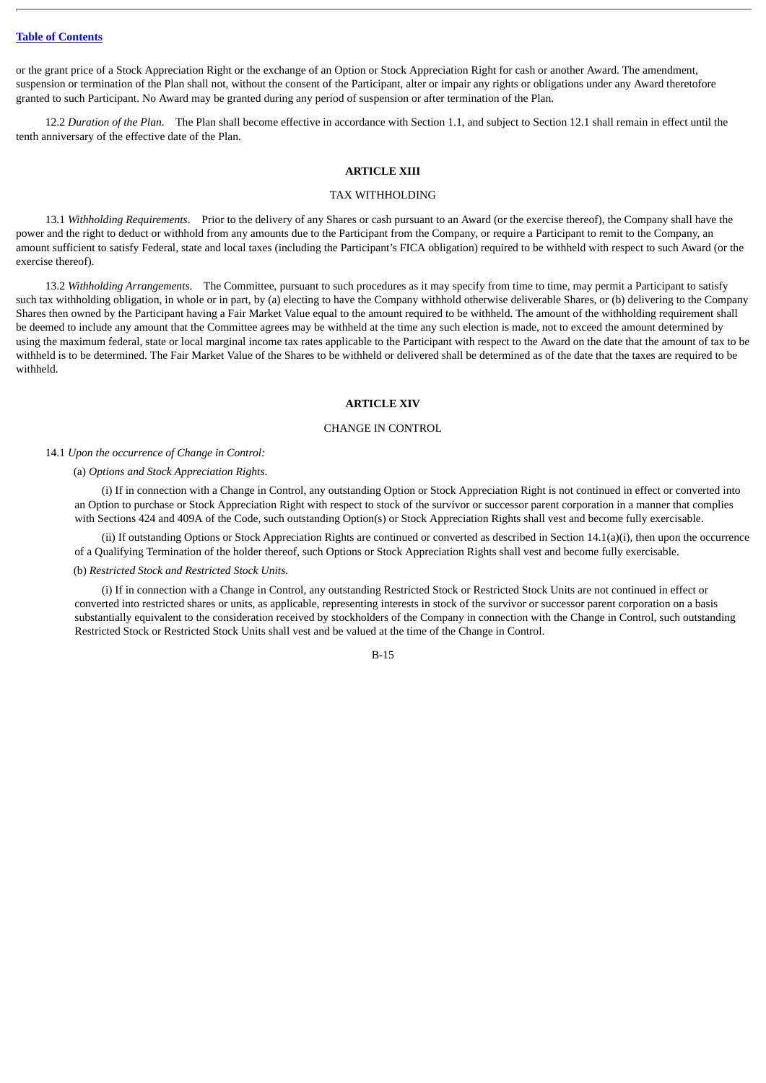or the grant price of a Stock Appreciation Right or the exchange of an Option or Stock Appreciation Right for cash or another Award. The amendment, suspension or termination of the Plan shall not, without the consent of the Participant, alter or impair any rights or obligations under any Award theretofore granted to such Participant. No Award may be granted during any period of suspension or after termination of the Plan.

12.2 *Duration of the Plan*. The Plan shall become effective in accordance with Section 1.1, and subject to Section 12.1 shall remain in effect until the tenth anniversary of the effective date of the Plan.

# **ARTICLE XIII**

## TAX WITHHOLDING

13.1 *Withholding Requirements*. Prior to the delivery of any Shares or cash pursuant to an Award (or the exercise thereof), the Company shall have the power and the right to deduct or withhold from any amounts due to the Participant from the Company, or require a Participant to remit to the Company, an amount sufficient to satisfy Federal, state and local taxes (including the Participant's FICA obligation) required to be withheld with respect to such Award (or the exercise thereof).

13.2 *Withholding Arrangements*. The Committee, pursuant to such procedures as it may specify from time to time, may permit a Participant to satisfy such tax withholding obligation, in whole or in part, by (a) electing to have the Company withhold otherwise deliverable Shares, or (b) delivering to the Company Shares then owned by the Participant having a Fair Market Value equal to the amount required to be withheld. The amount of the withholding requirement shall be deemed to include any amount that the Committee agrees may be withheld at the time any such election is made, not to exceed the amount determined by using the maximum federal, state or local marginal income tax rates applicable to the Participant with respect to the Award on the date that the amount of tax to be withheld is to be determined. The Fair Market Value of the Shares to be withheld or delivered shall be determined as of the date that the taxes are required to be withheld.

## **ARTICLE XIV**

# CHANGE IN CONTROL

# 14.1 *Upon the occurrence of Change in Control:*

#### (a) *Options and Stock Appreciation Rights*.

(i) If in connection with a Change in Control, any outstanding Option or Stock Appreciation Right is not continued in effect or converted into an Option to purchase or Stock Appreciation Right with respect to stock of the survivor or successor parent corporation in a manner that complies with Sections 424 and 409A of the Code, such outstanding Option(s) or Stock Appreciation Rights shall vest and become fully exercisable.

(ii) If outstanding Options or Stock Appreciation Rights are continued or converted as described in Section 14.1(a)(i), then upon the occurrence of a Qualifying Termination of the holder thereof, such Options or Stock Appreciation Rights shall vest and become fully exercisable.

#### (b) *Restricted Stock and Restricted Stock Units*.

(i) If in connection with a Change in Control, any outstanding Restricted Stock or Restricted Stock Units are not continued in effect or converted into restricted shares or units, as applicable, representing interests in stock of the survivor or successor parent corporation on a basis substantially equivalent to the consideration received by stockholders of the Company in connection with the Change in Control, such outstanding Restricted Stock or Restricted Stock Units shall vest and be valued at the time of the Change in Control.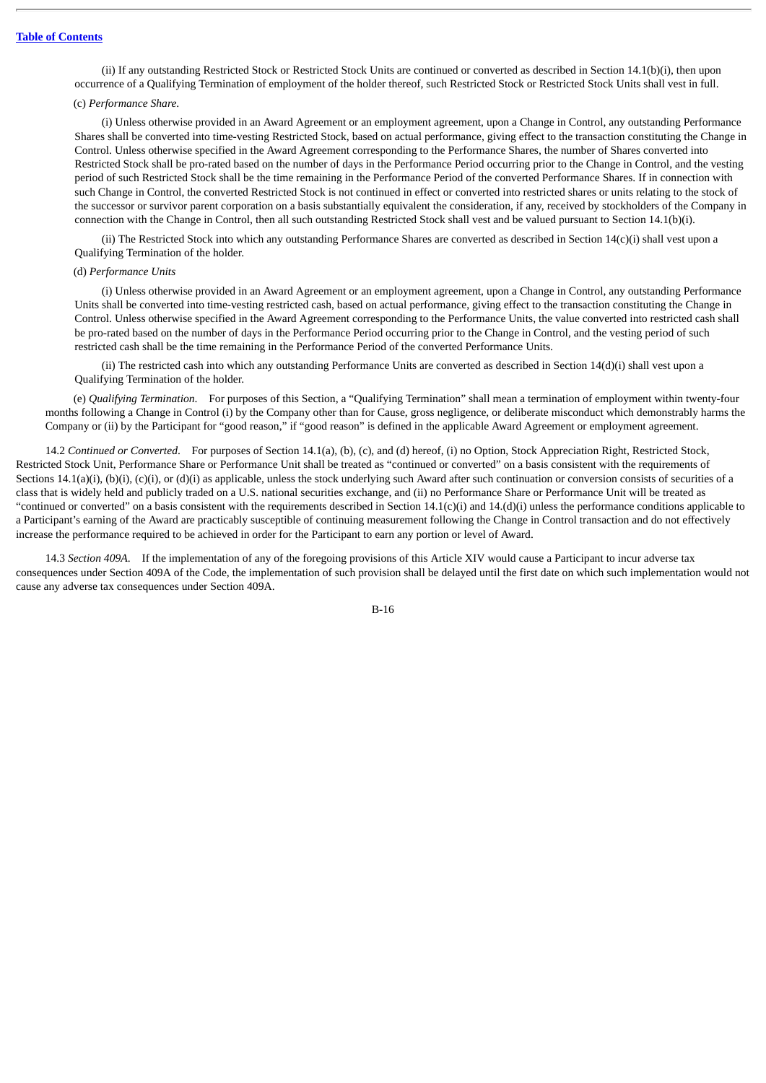(ii) If any outstanding Restricted Stock or Restricted Stock Units are continued or converted as described in Section 14.1(b)(i), then upon occurrence of a Qualifying Termination of employment of the holder thereof, such Restricted Stock or Restricted Stock Units shall vest in full.

# (c) *Performance Share*.

(i) Unless otherwise provided in an Award Agreement or an employment agreement, upon a Change in Control, any outstanding Performance Shares shall be converted into time-vesting Restricted Stock, based on actual performance, giving effect to the transaction constituting the Change in Control. Unless otherwise specified in the Award Agreement corresponding to the Performance Shares, the number of Shares converted into Restricted Stock shall be pro-rated based on the number of days in the Performance Period occurring prior to the Change in Control, and the vesting period of such Restricted Stock shall be the time remaining in the Performance Period of the converted Performance Shares. If in connection with such Change in Control, the converted Restricted Stock is not continued in effect or converted into restricted shares or units relating to the stock of the successor or survivor parent corporation on a basis substantially equivalent the consideration, if any, received by stockholders of the Company in connection with the Change in Control, then all such outstanding Restricted Stock shall vest and be valued pursuant to Section 14.1(b)(i).

(ii) The Restricted Stock into which any outstanding Performance Shares are converted as described in Section 14(c)(i) shall vest upon a Qualifying Termination of the holder.

#### (d) *Performance Units*

(i) Unless otherwise provided in an Award Agreement or an employment agreement, upon a Change in Control, any outstanding Performance Units shall be converted into time-vesting restricted cash, based on actual performance, giving effect to the transaction constituting the Change in Control. Unless otherwise specified in the Award Agreement corresponding to the Performance Units, the value converted into restricted cash shall be pro-rated based on the number of days in the Performance Period occurring prior to the Change in Control, and the vesting period of such restricted cash shall be the time remaining in the Performance Period of the converted Performance Units.

(ii) The restricted cash into which any outstanding Performance Units are converted as described in Section 14(d)(i) shall vest upon a Qualifying Termination of the holder.

(e) *Qualifying Termination*. For purposes of this Section, a "Qualifying Termination" shall mean a termination of employment within twenty-four months following a Change in Control (i) by the Company other than for Cause, gross negligence, or deliberate misconduct which demonstrably harms the Company or (ii) by the Participant for "good reason," if "good reason" is defined in the applicable Award Agreement or employment agreement.

14.2 *Continued or Converted*. For purposes of Section 14.1(a), (b), (c), and (d) hereof, (i) no Option, Stock Appreciation Right, Restricted Stock, Restricted Stock Unit, Performance Share or Performance Unit shall be treated as "continued or converted" on a basis consistent with the requirements of Sections  $14.1(a)(i)$ ,  $(b)(i)$ ,  $(c)(i)$ , or  $(d)(i)$  as applicable, unless the stock underlying such Award after such continuation or conversion consists of securities of a class that is widely held and publicly traded on a U.S. national securities exchange, and (ii) no Performance Share or Performance Unit will be treated as "continued or converted" on a basis consistent with the requirements described in Section 14.1(c)(i) and 14.(d)(i) unless the performance conditions applicable to a Participant's earning of the Award are practicably susceptible of continuing measurement following the Change in Control transaction and do not effectively increase the performance required to be achieved in order for the Participant to earn any portion or level of Award.

14.3 *Section 409A*. If the implementation of any of the foregoing provisions of this Article XIV would cause a Participant to incur adverse tax consequences under Section 409A of the Code, the implementation of such provision shall be delayed until the first date on which such implementation would not cause any adverse tax consequences under Section 409A.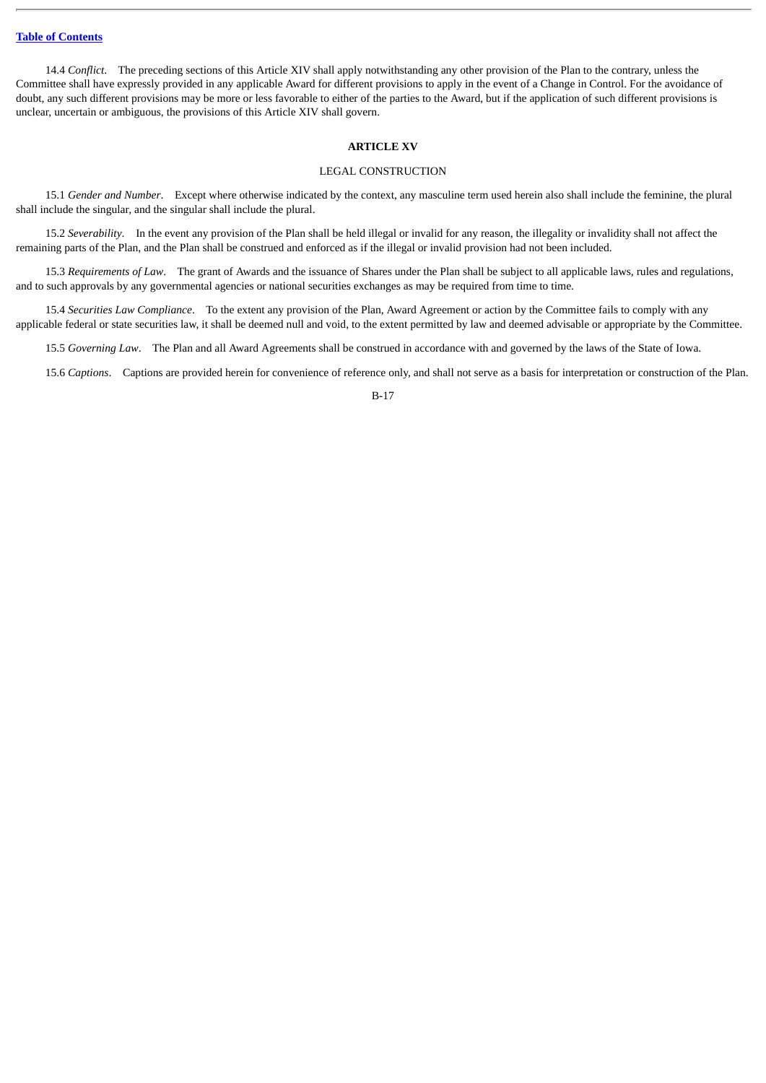14.4 *Conflict*. The preceding sections of this Article XIV shall apply notwithstanding any other provision of the Plan to the contrary, unless the Committee shall have expressly provided in any applicable Award for different provisions to apply in the event of a Change in Control. For the avoidance of doubt, any such different provisions may be more or less favorable to either of the parties to the Award, but if the application of such different provisions is unclear, uncertain or ambiguous, the provisions of this Article XIV shall govern.

## **ARTICLE XV**

# LEGAL CONSTRUCTION

15.1 *Gender and Number*. Except where otherwise indicated by the context, any masculine term used herein also shall include the feminine, the plural shall include the singular, and the singular shall include the plural.

15.2 *Severability*. In the event any provision of the Plan shall be held illegal or invalid for any reason, the illegality or invalidity shall not affect the remaining parts of the Plan, and the Plan shall be construed and enforced as if the illegal or invalid provision had not been included.

15.3 *Requirements of Law*. The grant of Awards and the issuance of Shares under the Plan shall be subject to all applicable laws, rules and regulations, and to such approvals by any governmental agencies or national securities exchanges as may be required from time to time.

15.4 *Securities Law Compliance*. To the extent any provision of the Plan, Award Agreement or action by the Committee fails to comply with any applicable federal or state securities law, it shall be deemed null and void, to the extent permitted by law and deemed advisable or appropriate by the Committee.

15.5 *Governing Law*. The Plan and all Award Agreements shall be construed in accordance with and governed by the laws of the State of Iowa.

15.6 *Captions*. Captions are provided herein for convenience of reference only, and shall not serve as a basis for interpretation or construction of the Plan.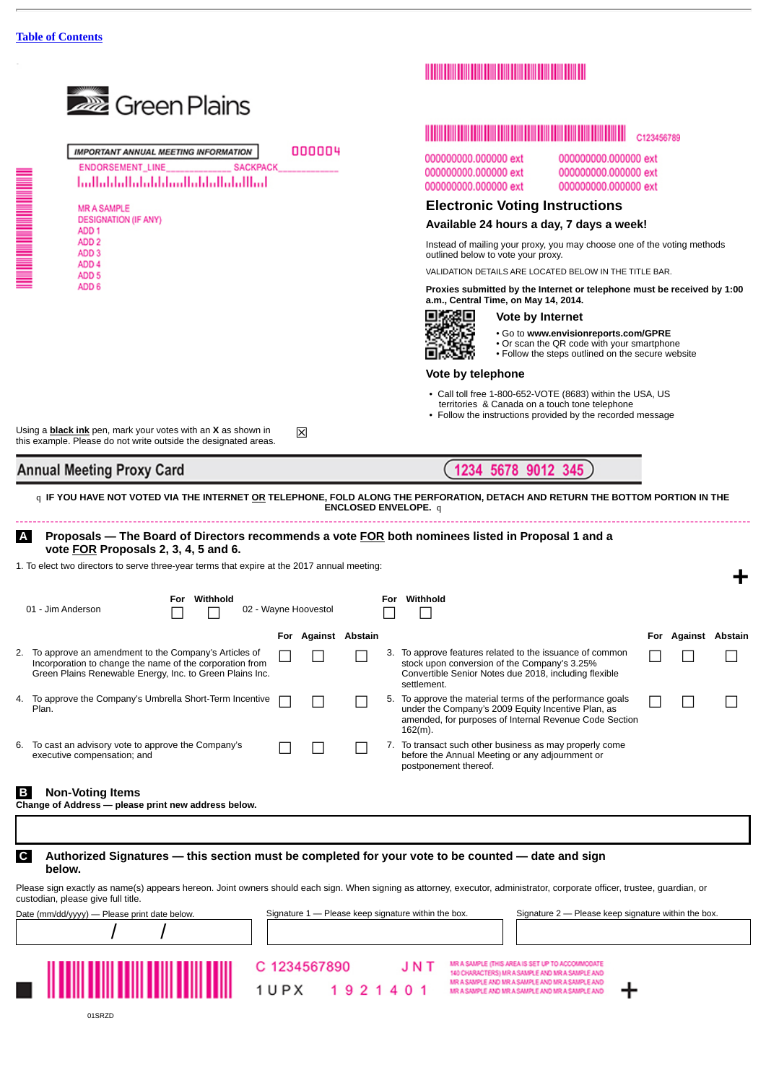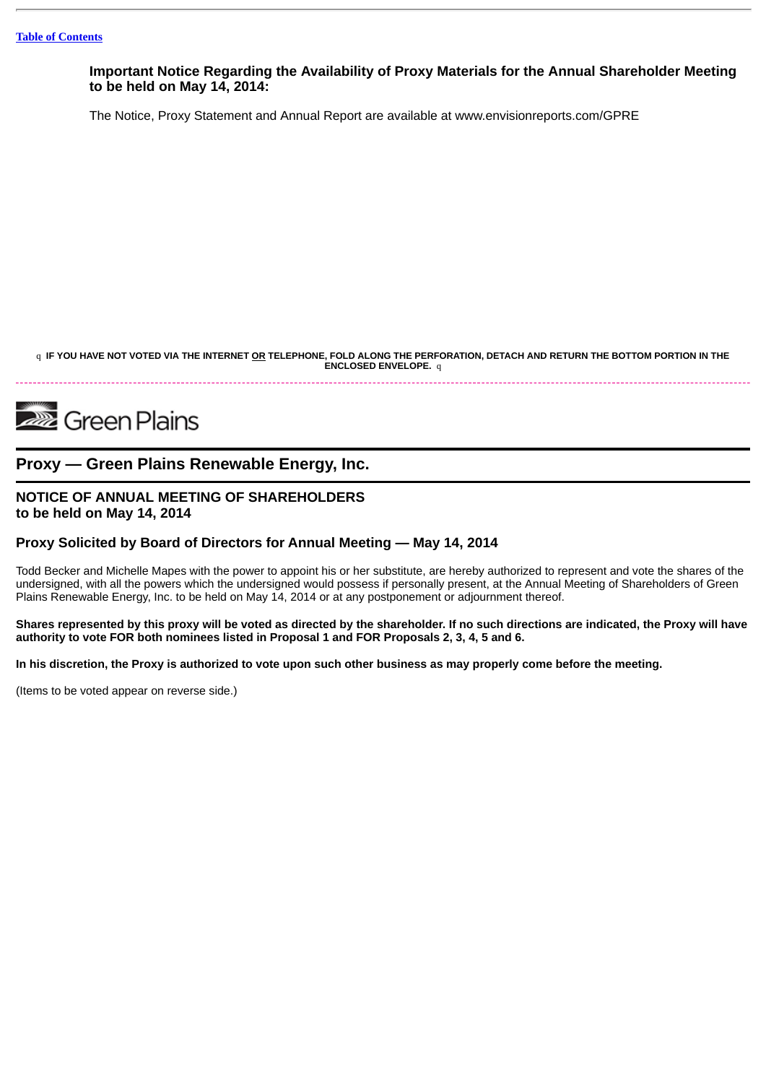**Important Notice Regarding the Availability of Proxy Materials for the Annual Shareholder Meeting to be held on May 14, 2014:**

The Notice, Proxy Statement and Annual Report are available at www.envisionreports.com/GPRE

q IF YOU HAVE NOT VOTED VIA THE INTERNET OR TELEPHONE, FOLD ALONG THE PERFORATION, DETACH AND RETURN THE BOTTOM PORTION IN THE **ENCLOSED ENVELOPE.** q

# **222** Green Plains

# **Proxy — Green Plains Renewable Energy, Inc.**

# **NOTICE OF ANNUAL MEETING OF SHAREHOLDERS to be held on May 14, 2014**

# **Proxy Solicited by Board of Directors for Annual Meeting — May 14, 2014**

Todd Becker and Michelle Mapes with the power to appoint his or her substitute, are hereby authorized to represent and vote the shares of the undersigned, with all the powers which the undersigned would possess if personally present, at the Annual Meeting of Shareholders of Green Plains Renewable Energy, Inc. to be held on May 14, 2014 or at any postponement or adjournment thereof.

Shares represented by this proxy will be voted as directed by the shareholder. If no such directions are indicated, the Proxy will have authority to vote FOR both nominees listed in Proposal 1 and FOR Proposals 2, 3, 4, 5 and 6.

In his discretion, the Proxy is authorized to vote upon such other business as may properly come before the meeting.

(Items to be voted appear on reverse side.)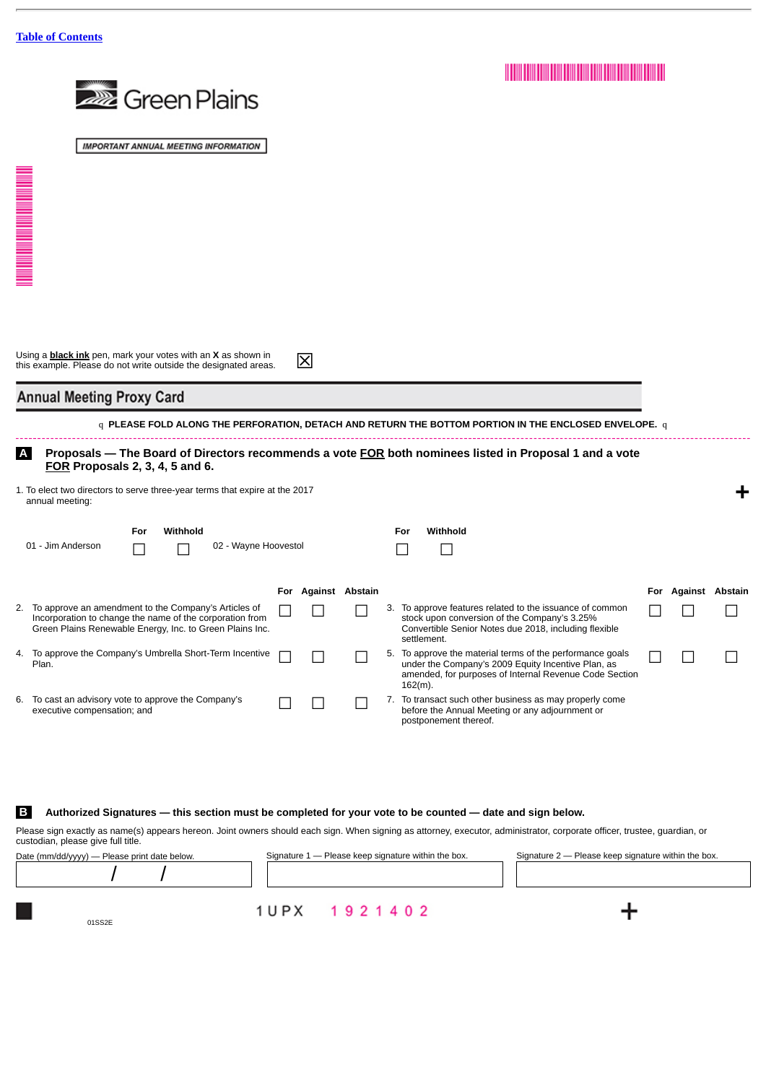|                                            | <b>222</b> Green Plains                                                                                                                                                         |  |                     |                          |  |                                                                                                                                                                                                                 |  |                     |   |
|--------------------------------------------|---------------------------------------------------------------------------------------------------------------------------------------------------------------------------------|--|---------------------|--------------------------|--|-----------------------------------------------------------------------------------------------------------------------------------------------------------------------------------------------------------------|--|---------------------|---|
|                                            | <b>IMPORTANT ANNUAL MEETING INFORMATION</b>                                                                                                                                     |  |                     |                          |  |                                                                                                                                                                                                                 |  |                     |   |
| <b>THE REAL PROPERTY AND REAL PROPERTY</b> |                                                                                                                                                                                 |  |                     |                          |  |                                                                                                                                                                                                                 |  |                     |   |
|                                            | Using a <b>black ink</b> pen, mark your votes with an $X$ as shown in<br>this example. Please do not write outside the designated areas.<br><b>Annual Meeting Proxy Card</b>    |  | 区                   |                          |  |                                                                                                                                                                                                                 |  |                     |   |
| <b>A</b>                                   | FOR Proposals 2, 3, 4, 5 and 6.                                                                                                                                                 |  |                     |                          |  | q PLEASE FOLD ALONG THE PERFORATION, DETACH AND RETURN THE BOTTOM PORTION IN THE ENCLOSED ENVELOPE. q<br>Proposals - The Board of Directors recommends a vote FOR both nominees listed in Proposal 1 and a vote |  |                     |   |
|                                            | 1. To elect two directors to serve three-year terms that expire at the 2017<br>annual meeting:                                                                                  |  |                     |                          |  |                                                                                                                                                                                                                 |  |                     | ╈ |
|                                            | Withhold<br>For                                                                                                                                                                 |  |                     |                          |  | Withhold<br>For                                                                                                                                                                                                 |  |                     |   |
|                                            | 01 - Jim Anderson<br>02 - Wayne Hoovestol                                                                                                                                       |  |                     |                          |  |                                                                                                                                                                                                                 |  |                     |   |
|                                            |                                                                                                                                                                                 |  | For Against Abstain |                          |  |                                                                                                                                                                                                                 |  | For Against Abstain |   |
|                                            | 2. To approve an amendment to the Company's Articles of<br>Incorporation to change the name of the corporation from<br>Green Plains Renewable Energy, Inc. to Green Plains Inc. |  |                     |                          |  | 3. To approve features related to the issuance of common<br>stock upon conversion of the Company's 3.25%<br>Convertible Senior Notes due 2018, including flexible<br>settlement.                                |  |                     |   |
|                                            | 4. To approve the Company's Umbrella Short-Term Incentive<br>Plan.                                                                                                              |  |                     |                          |  | 5. To approve the material terms of the performance goals<br>under the Company's 2009 Equity Incentive Plan, as<br>amended, for purposes of Internal Revenue Code Section<br>$162(m)$ .                         |  |                     |   |
|                                            | 6. To cast an advisory vote to approve the Company's<br>executive compensation; and                                                                                             |  |                     | $\overline{\phantom{0}}$ |  | 7. To transact such other business as may properly come<br>before the Annual Meeting or any adjournment or<br>postponement thereof.                                                                             |  |                     |   |

# **B Authorized Signatures — this section must be completed for your vote to be counted — date and sign below.**

Please sign exactly as name(s) appears hereon. Joint owners should each sign. When signing as attorney, executor, administrator, corporate officer, trustee, guardian, or custodian, please give full title. Date (mm/dd/yyyy) — Please print date below. Signature 1 — Please keep signature within the box. Signature 2 — Please keep signature within the box.

| $P^{\text{u}}(1)$ is a set of $\frac{1}{2}$ | <b>The case print date below.</b> |                       | <u> - grador - Alexandr rock ergrador - montre del .</u> |  |
|---------------------------------------------|-----------------------------------|-----------------------|----------------------------------------------------------|--|
|                                             |                                   |                       |                                                          |  |
|                                             | 01SS2E                            | 1 U P X 1 9 2 1 4 0 2 |                                                          |  |